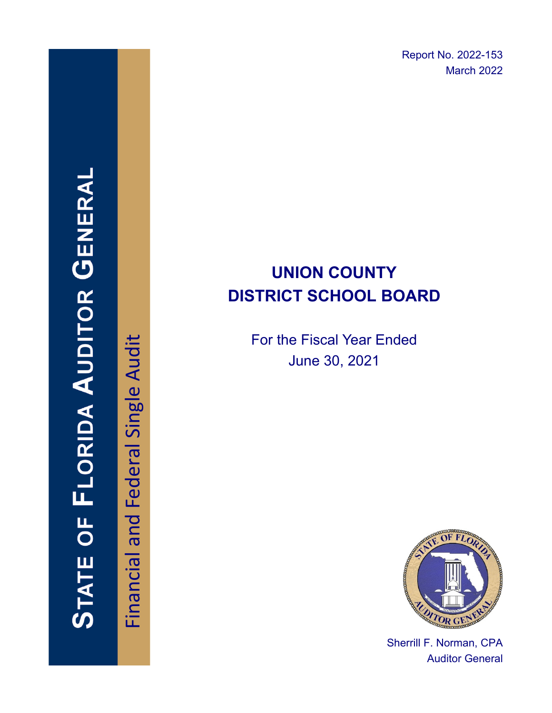Report No. 2022-153 March 2022

# **UNION COUNTY DISTRICT SCHOOL BOARD**

For the Fiscal Year Ended June 30, 2021



Sherrill F. Norman, CPA Auditor General

Financial and Federal Single Audit Financial and Federal Single Audit

STATE OF FLORIDA AUDITOR GENERAI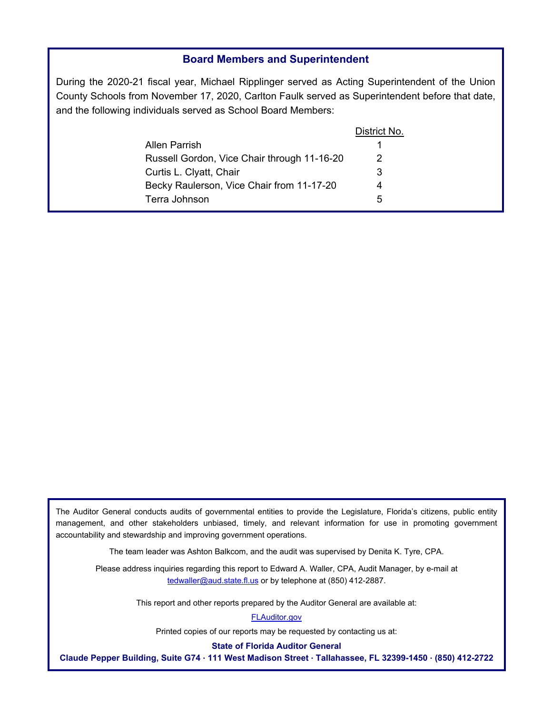#### **Board Members and Superintendent**

During the 2020-21 fiscal year, Michael Ripplinger served as Acting Superintendent of the Union County Schools from November 17, 2020, Carlton Faulk served as Superintendent before that date, and the following individuals served as School Board Members:

|                                             | District No. |
|---------------------------------------------|--------------|
| Allen Parrish                               |              |
| Russell Gordon, Vice Chair through 11-16-20 | 2            |
| Curtis L. Clyatt, Chair                     | 3            |
| Becky Raulerson, Vice Chair from 11-17-20   |              |
| Terra Johnson                               | .5           |
|                                             |              |

The Auditor General conducts audits of governmental entities to provide the Legislature, Florida's citizens, public entity management, and other stakeholders unbiased, timely, and relevant information for use in promoting government accountability and stewardship and improving government operations.

The team leader was Ashton Balkcom, and the audit was supervised by Denita K. Tyre, CPA.

Please address inquiries regarding this report to Edward A. Waller, CPA, Audit Manager, by e-mail at tedwaller@aud.state.fl.us or by telephone at (850) 412-2887.

This report and other reports prepared by the Auditor General are available at:

[FLAuditor.gov](http://flauditor.gov/)

Printed copies of our reports may be requested by contacting us at:

**State of Florida Auditor General** 

**Claude Pepper Building, Suite G74 · 111 West Madison Street · Tallahassee, FL 32399-1450 · (850) 412-2722**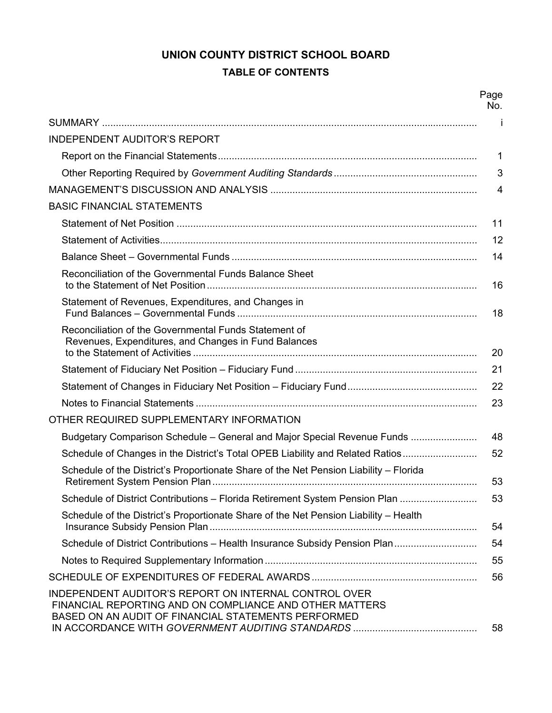## **UNION COUNTY DISTRICT SCHOOL BOARD TABLE OF CONTENTS**

|                                                                                                                                                                         | Page<br>No.    |
|-------------------------------------------------------------------------------------------------------------------------------------------------------------------------|----------------|
|                                                                                                                                                                         | Ť              |
| <b>INDEPENDENT AUDITOR'S REPORT</b>                                                                                                                                     |                |
|                                                                                                                                                                         | 1              |
|                                                                                                                                                                         | 3              |
|                                                                                                                                                                         | $\overline{4}$ |
| <b>BASIC FINANCIAL STATEMENTS</b>                                                                                                                                       |                |
|                                                                                                                                                                         | 11             |
|                                                                                                                                                                         | 12             |
|                                                                                                                                                                         | 14             |
| Reconciliation of the Governmental Funds Balance Sheet                                                                                                                  | 16             |
| Statement of Revenues, Expenditures, and Changes in                                                                                                                     | 18             |
| Reconciliation of the Governmental Funds Statement of<br>Revenues, Expenditures, and Changes in Fund Balances                                                           | 20             |
|                                                                                                                                                                         | 21             |
|                                                                                                                                                                         | 22             |
|                                                                                                                                                                         | 23             |
| OTHER REQUIRED SUPPLEMENTARY INFORMATION                                                                                                                                |                |
| Budgetary Comparison Schedule – General and Major Special Revenue Funds                                                                                                 | 48             |
| Schedule of Changes in the District's Total OPEB Liability and Related Ratios                                                                                           | 52             |
| Schedule of the District's Proportionate Share of the Net Pension Liability – Florida                                                                                   | 53             |
| Schedule of District Contributions - Florida Retirement System Pension Plan                                                                                             | 53             |
| Schedule of the District's Proportionate Share of the Net Pension Liability - Health                                                                                    | 54             |
| Schedule of District Contributions - Health Insurance Subsidy Pension Plan                                                                                              | 54             |
|                                                                                                                                                                         | 55             |
|                                                                                                                                                                         | 56             |
| INDEPENDENT AUDITOR'S REPORT ON INTERNAL CONTROL OVER<br>FINANCIAL REPORTING AND ON COMPLIANCE AND OTHER MATTERS<br>BASED ON AN AUDIT OF FINANCIAL STATEMENTS PERFORMED | 58             |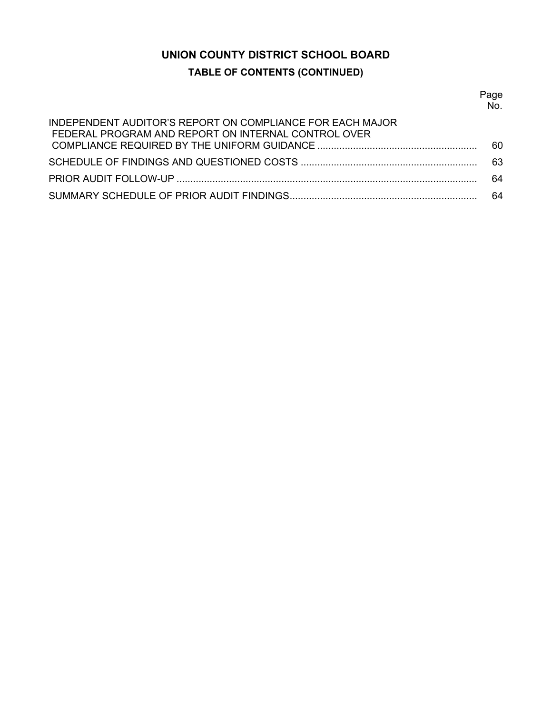## **UNION COUNTY DISTRICT SCHOOL BOARD**

## **TABLE OF CONTENTS (CONTINUED)**

Page No.

| INDEPENDENT AUDITOR'S REPORT ON COMPLIANCE FOR EACH MAJOR<br>FEDERAL PROGRAM AND REPORT ON INTERNAL CONTROL OVER |      |
|------------------------------------------------------------------------------------------------------------------|------|
|                                                                                                                  | -60. |
|                                                                                                                  |      |
|                                                                                                                  | -64  |
|                                                                                                                  | 64   |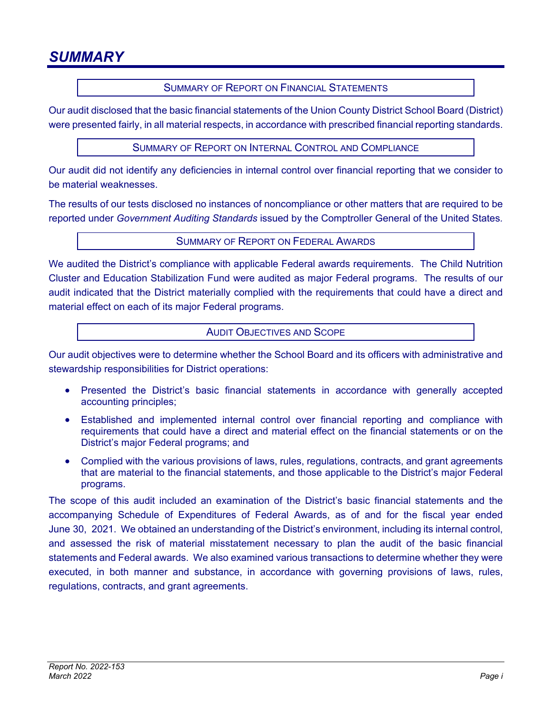#### SUMMARY OF REPORT ON FINANCIAL STATEMENTS

<span id="page-4-0"></span>Our audit disclosed that the basic financial statements of the Union County District School Board (District) were presented fairly, in all material respects, in accordance with prescribed financial reporting standards.

#### SUMMARY OF REPORT ON INTERNAL CONTROL AND COMPLIANCE

Our audit did not identify any deficiencies in internal control over financial reporting that we consider to be material weaknesses.

The results of our tests disclosed no instances of noncompliance or other matters that are required to be reported under *Government Auditing Standards* issued by the Comptroller General of the United States*.* 

#### SUMMARY OF REPORT ON FEDERAL AWARDS

We audited the District's compliance with applicable Federal awards requirements. The Child Nutrition Cluster and Education Stabilization Fund were audited as major Federal programs. The results of our audit indicated that the District materially complied with the requirements that could have a direct and material effect on each of its major Federal programs.

#### AUDIT OBJECTIVES AND SCOPE

Our audit objectives were to determine whether the School Board and its officers with administrative and stewardship responsibilities for District operations:

- Presented the District's basic financial statements in accordance with generally accepted accounting principles;
- Established and implemented internal control over financial reporting and compliance with requirements that could have a direct and material effect on the financial statements or on the District's major Federal programs; and
- Complied with the various provisions of laws, rules, regulations, contracts, and grant agreements that are material to the financial statements, and those applicable to the District's major Federal programs.

The scope of this audit included an examination of the District's basic financial statements and the accompanying Schedule of Expenditures of Federal Awards, as of and for the fiscal year ended June 30, 2021. We obtained an understanding of the District's environment, including its internal control, and assessed the risk of material misstatement necessary to plan the audit of the basic financial statements and Federal awards. We also examined various transactions to determine whether they were executed, in both manner and substance, in accordance with governing provisions of laws, rules, regulations, contracts, and grant agreements.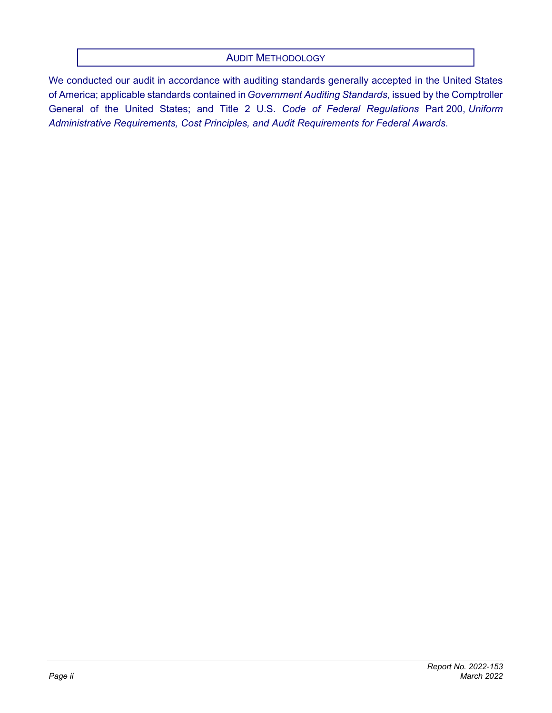#### AUDIT METHODOLOGY

We conducted our audit in accordance with auditing standards generally accepted in the United States of America; applicable standards contained in *Government Auditing Standards*, issued by the Comptroller General of the United States; and Title 2 U.S. *Code of Federal Regulations* Part 200, *Uniform Administrative Requirements, Cost Principles, and Audit Requirements for Federal Awards*.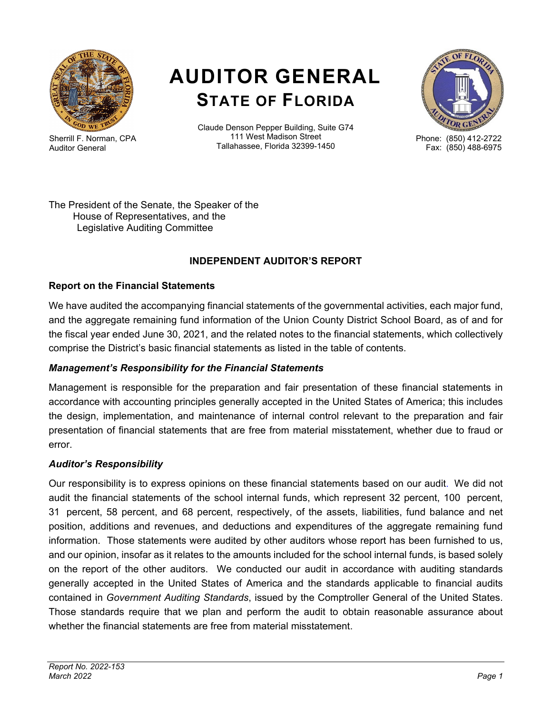<span id="page-6-0"></span>

Sherrill F. Norman, CPA Auditor General

# **AUDITOR GENERAL STATE OF FLORIDA**

Claude Denson Pepper Building, Suite G74 111 West Madison Street Tallahassee, Florida 32399-1450



Phone: (850) 412-2722 Fax: (850) 488-6975

The President of the Senate, the Speaker of the House of Representatives, and the Legislative Auditing Committee

#### **INDEPENDENT AUDITOR'S REPORT**

#### **Report on the Financial Statements**

We have audited the accompanying financial statements of the governmental activities, each major fund, and the aggregate remaining fund information of the Union County District School Board, as of and for the fiscal year ended June 30, 2021, and the related notes to the financial statements, which collectively comprise the District's basic financial statements as listed in the table of contents.

#### *Management's Responsibility for the Financial Statements*

Management is responsible for the preparation and fair presentation of these financial statements in accordance with accounting principles generally accepted in the United States of America; this includes the design, implementation, and maintenance of internal control relevant to the preparation and fair presentation of financial statements that are free from material misstatement, whether due to fraud or error.

#### *Auditor's Responsibility*

Our responsibility is to express opinions on these financial statements based on our audit. We did not audit the financial statements of the school internal funds, which represent 32 percent, 100 percent, 31 percent, 58 percent, and 68 percent, respectively, of the assets, liabilities, fund balance and net position, additions and revenues, and deductions and expenditures of the aggregate remaining fund information. Those statements were audited by other auditors whose report has been furnished to us, and our opinion, insofar as it relates to the amounts included for the school internal funds, is based solely on the report of the other auditors. We conducted our audit in accordance with auditing standards generally accepted in the United States of America and the standards applicable to financial audits contained in *Government Auditing Standards*, issued by the Comptroller General of the United States. Those standards require that we plan and perform the audit to obtain reasonable assurance about whether the financial statements are free from material misstatement.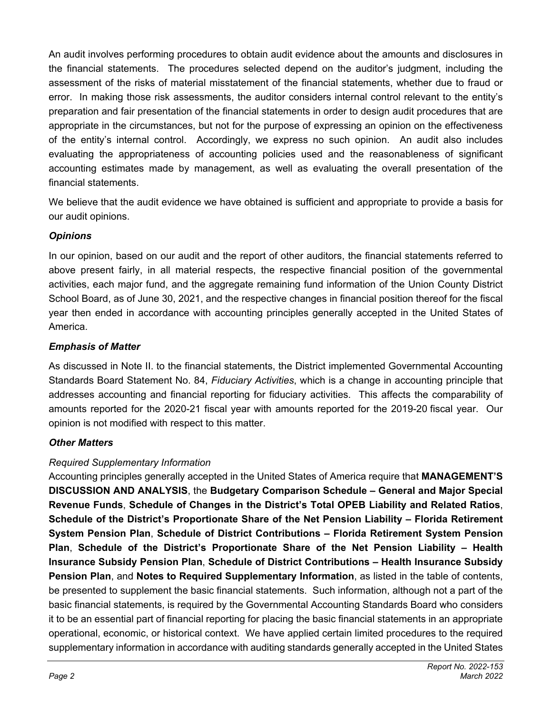An audit involves performing procedures to obtain audit evidence about the amounts and disclosures in the financial statements. The procedures selected depend on the auditor's judgment, including the assessment of the risks of material misstatement of the financial statements, whether due to fraud or error. In making those risk assessments, the auditor considers internal control relevant to the entity's preparation and fair presentation of the financial statements in order to design audit procedures that are appropriate in the circumstances, but not for the purpose of expressing an opinion on the effectiveness of the entity's internal control. Accordingly, we express no such opinion. An audit also includes evaluating the appropriateness of accounting policies used and the reasonableness of significant accounting estimates made by management, as well as evaluating the overall presentation of the financial statements.

We believe that the audit evidence we have obtained is sufficient and appropriate to provide a basis for our audit opinions.

#### *Opinions*

In our opinion, based on our audit and the report of other auditors, the financial statements referred to above present fairly, in all material respects, the respective financial position of the governmental activities, each major fund, and the aggregate remaining fund information of the Union County District School Board, as of June 30, 2021, and the respective changes in financial position thereof for the fiscal year then ended in accordance with accounting principles generally accepted in the United States of America.

#### *Emphasis of Matter*

As discussed in Note II. to the financial statements, the District implemented Governmental Accounting Standards Board Statement No. 84, *Fiduciary Activities*, which is a change in accounting principle that addresses accounting and financial reporting for fiduciary activities. This affects the comparability of amounts reported for the 2020-21 fiscal year with amounts reported for the 2019-20 fiscal year. Our opinion is not modified with respect to this matter.

#### *Other Matters*

#### *Required Supplementary Information*

Accounting principles generally accepted in the United States of America require that **MANAGEMENT'S DISCUSSION AND ANALYSIS**, the **Budgetary Comparison Schedule – General and Major Special Revenue Funds**, **Schedule of Changes in the District's Total OPEB Liability and Related Ratios**, **Schedule of the District's Proportionate Share of the Net Pension Liability – Florida Retirement System Pension Plan**, **Schedule of District Contributions – Florida Retirement System Pension Plan**, **Schedule of the District's Proportionate Share of the Net Pension Liability – Health Insurance Subsidy Pension Plan**, **Schedule of District Contributions – Health Insurance Subsidy Pension Plan**, and **Notes to Required Supplementary Information**, as listed in the table of contents, be presented to supplement the basic financial statements. Such information, although not a part of the basic financial statements, is required by the Governmental Accounting Standards Board who considers it to be an essential part of financial reporting for placing the basic financial statements in an appropriate operational, economic, or historical context. We have applied certain limited procedures to the required supplementary information in accordance with auditing standards generally accepted in the United States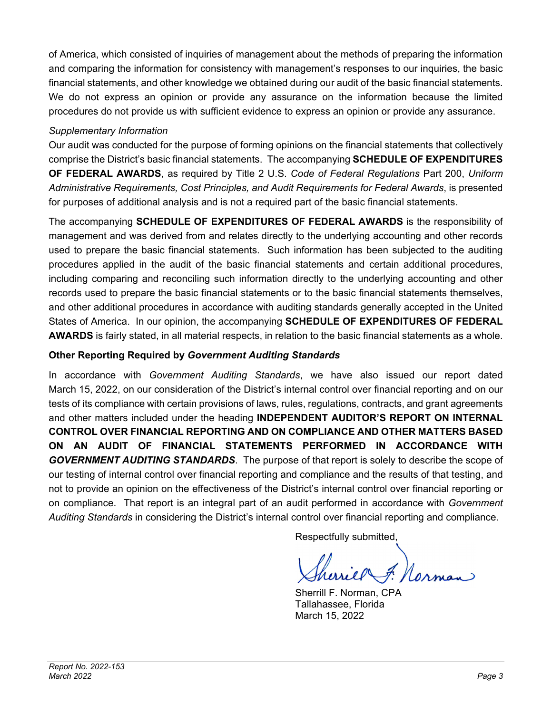<span id="page-8-0"></span>of America, which consisted of inquiries of management about the methods of preparing the information and comparing the information for consistency with management's responses to our inquiries, the basic financial statements, and other knowledge we obtained during our audit of the basic financial statements. We do not express an opinion or provide any assurance on the information because the limited procedures do not provide us with sufficient evidence to express an opinion or provide any assurance.

#### *Supplementary Information*

Our audit was conducted for the purpose of forming opinions on the financial statements that collectively comprise the District's basic financial statements. The accompanying **SCHEDULE OF EXPENDITURES OF FEDERAL AWARDS**, as required by Title 2 U.S. *Code of Federal Regulations* Part 200, *Uniform Administrative Requirements, Cost Principles, and Audit Requirements for Federal Awards*, is presented for purposes of additional analysis and is not a required part of the basic financial statements.

The accompanying **SCHEDULE OF EXPENDITURES OF FEDERAL AWARDS** is the responsibility of management and was derived from and relates directly to the underlying accounting and other records used to prepare the basic financial statements. Such information has been subjected to the auditing procedures applied in the audit of the basic financial statements and certain additional procedures, including comparing and reconciling such information directly to the underlying accounting and other records used to prepare the basic financial statements or to the basic financial statements themselves, and other additional procedures in accordance with auditing standards generally accepted in the United States of America. In our opinion, the accompanying **SCHEDULE OF EXPENDITURES OF FEDERAL AWARDS** is fairly stated, in all material respects, in relation to the basic financial statements as a whole.

#### **Other Reporting Required by** *Government Auditing Standards*

In accordance with *Government Auditing Standards*, we have also issued our report dated March 15, 2022, on our consideration of the District's internal control over financial reporting and on our tests of its compliance with certain provisions of laws, rules, regulations, contracts, and grant agreements and other matters included under the heading **INDEPENDENT AUDITOR'S REPORT ON INTERNAL CONTROL OVER FINANCIAL REPORTING AND ON COMPLIANCE AND OTHER MATTERS BASED ON AN AUDIT OF FINANCIAL STATEMENTS PERFORMED IN ACCORDANCE WITH**  *GOVERNMENT AUDITING STANDARDS*. The purpose of that report is solely to describe the scope of our testing of internal control over financial reporting and compliance and the results of that testing, and not to provide an opinion on the effectiveness of the District's internal control over financial reporting or on compliance. That report is an integral part of an audit performed in accordance with *Government Auditing Standards* in considering the District's internal control over financial reporting and compliance.

Respectfully submitted,

Sherrill F. Norman, CPA Tallahassee, Florida March 15, 2022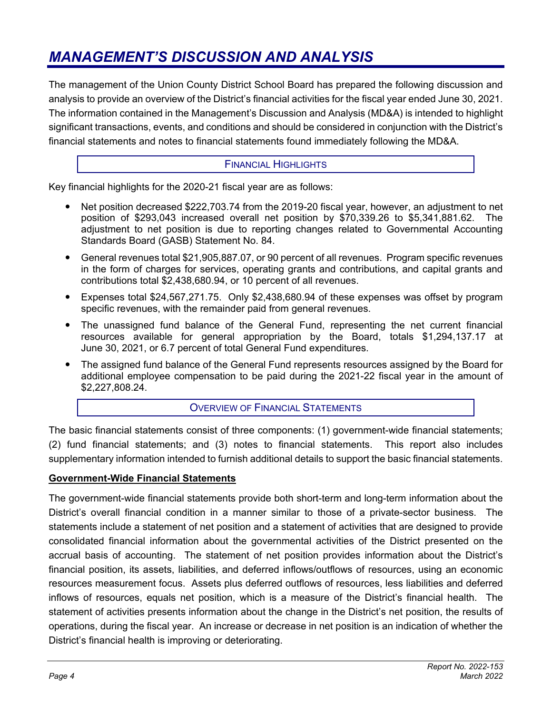## <span id="page-9-0"></span>*MANAGEMENT'S DISCUSSION AND ANALYSIS*

The management of the Union County District School Board has prepared the following discussion and analysis to provide an overview of the District's financial activities for the fiscal year ended June 30, 2021. The information contained in the Management's Discussion and Analysis (MD&A) is intended to highlight significant transactions, events, and conditions and should be considered in conjunction with the District's financial statements and notes to financial statements found immediately following the MD&A.

#### FINANCIAL HIGHLIGHTS

Key financial highlights for the 2020-21 fiscal year are as follows:

- Net position decreased \$222,703.74 from the 2019-20 fiscal year, however, an adjustment to net position of \$293,043 increased overall net position by \$70,339.26 to \$5,341,881.62. The adjustment to net position is due to reporting changes related to Governmental Accounting Standards Board (GASB) Statement No. 84.
- General revenues total \$21,905,887.07, or 90 percent of all revenues. Program specific revenues in the form of charges for services, operating grants and contributions, and capital grants and contributions total \$2,438,680.94, or 10 percent of all revenues.
- Expenses total \$24,567,271.75. Only \$2,438,680.94 of these expenses was offset by program specific revenues, with the remainder paid from general revenues.
- The unassigned fund balance of the General Fund, representing the net current financial resources available for general appropriation by the Board, totals \$1,294,137.17 at June 30, 2021, or 6.7 percent of total General Fund expenditures.
- The assigned fund balance of the General Fund represents resources assigned by the Board for additional employee compensation to be paid during the 2021-22 fiscal year in the amount of \$2,227,808.24.

#### OVERVIEW OF FINANCIAL STATEMENTS

The basic financial statements consist of three components: (1) government-wide financial statements; (2) fund financial statements; and (3) notes to financial statements. This report also includes supplementary information intended to furnish additional details to support the basic financial statements.

#### **Government-Wide Financial Statements**

The government-wide financial statements provide both short-term and long-term information about the District's overall financial condition in a manner similar to those of a private-sector business. The statements include a statement of net position and a statement of activities that are designed to provide consolidated financial information about the governmental activities of the District presented on the accrual basis of accounting. The statement of net position provides information about the District's financial position, its assets, liabilities, and deferred inflows/outflows of resources, using an economic resources measurement focus. Assets plus deferred outflows of resources, less liabilities and deferred inflows of resources, equals net position, which is a measure of the District's financial health. The statement of activities presents information about the change in the District's net position, the results of operations, during the fiscal year. An increase or decrease in net position is an indication of whether the District's financial health is improving or deteriorating.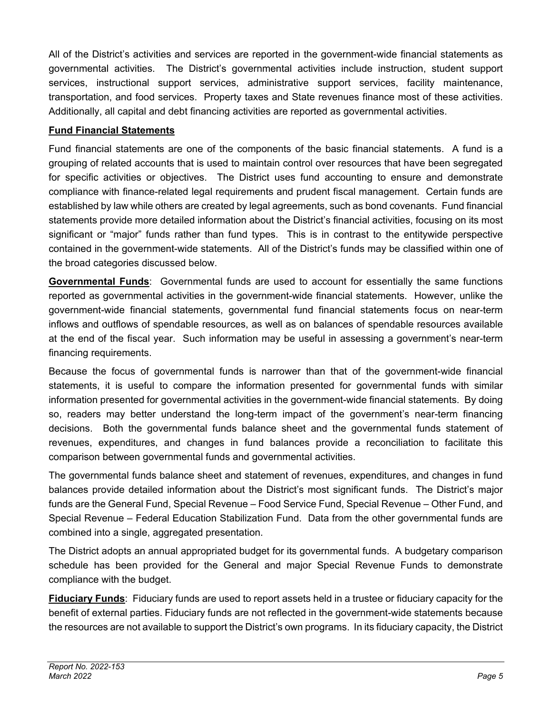All of the District's activities and services are reported in the government-wide financial statements as governmental activities. The District's governmental activities include instruction, student support services, instructional support services, administrative support services, facility maintenance, transportation, and food services. Property taxes and State revenues finance most of these activities. Additionally, all capital and debt financing activities are reported as governmental activities.

#### **Fund Financial Statements**

Fund financial statements are one of the components of the basic financial statements. A fund is a grouping of related accounts that is used to maintain control over resources that have been segregated for specific activities or objectives. The District uses fund accounting to ensure and demonstrate compliance with finance-related legal requirements and prudent fiscal management. Certain funds are established by law while others are created by legal agreements, such as bond covenants. Fund financial statements provide more detailed information about the District's financial activities, focusing on its most significant or "major" funds rather than fund types. This is in contrast to the entitywide perspective contained in the government-wide statements. All of the District's funds may be classified within one of the broad categories discussed below.

**Governmental Funds**: Governmental funds are used to account for essentially the same functions reported as governmental activities in the government-wide financial statements. However, unlike the government-wide financial statements, governmental fund financial statements focus on near-term inflows and outflows of spendable resources, as well as on balances of spendable resources available at the end of the fiscal year. Such information may be useful in assessing a government's near-term financing requirements.

Because the focus of governmental funds is narrower than that of the government-wide financial statements, it is useful to compare the information presented for governmental funds with similar information presented for governmental activities in the government-wide financial statements. By doing so, readers may better understand the long-term impact of the government's near-term financing decisions. Both the governmental funds balance sheet and the governmental funds statement of revenues, expenditures, and changes in fund balances provide a reconciliation to facilitate this comparison between governmental funds and governmental activities.

The governmental funds balance sheet and statement of revenues, expenditures, and changes in fund balances provide detailed information about the District's most significant funds. The District's major funds are the General Fund, Special Revenue – Food Service Fund, Special Revenue – Other Fund, and Special Revenue – Federal Education Stabilization Fund. Data from the other governmental funds are combined into a single, aggregated presentation.

The District adopts an annual appropriated budget for its governmental funds. A budgetary comparison schedule has been provided for the General and major Special Revenue Funds to demonstrate compliance with the budget.

**Fiduciary Funds**: Fiduciary funds are used to report assets held in a trustee or fiduciary capacity for the benefit of external parties. Fiduciary funds are not reflected in the government-wide statements because the resources are not available to support the District's own programs. In its fiduciary capacity, the District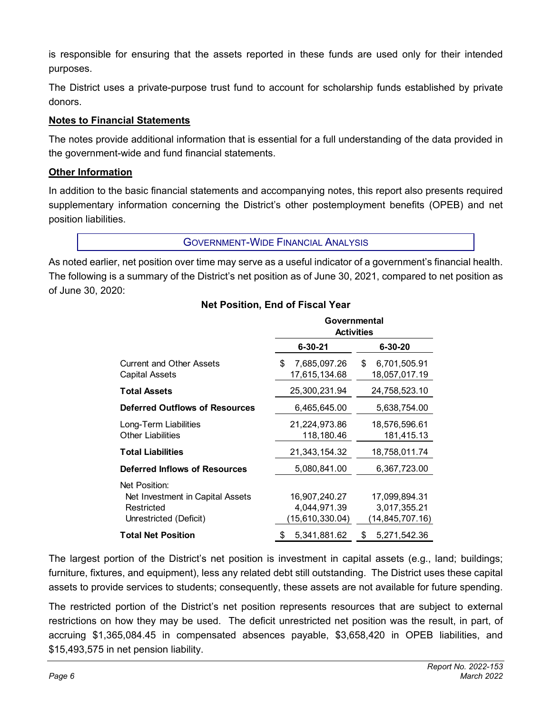is responsible for ensuring that the assets reported in these funds are used only for their intended purposes.

The District uses a private-purpose trust fund to account for scholarship funds established by private donors.

#### **Notes to Financial Statements**

The notes provide additional information that is essential for a full understanding of the data provided in the government-wide and fund financial statements.

#### **Other Information**

In addition to the basic financial statements and accompanying notes, this report also presents required supplementary information concerning the District's other postemployment benefits (OPEB) and net position liabilities.

GOVERNMENT-WIDE FINANCIAL ANALYSIS

As noted earlier, net position over time may serve as a useful indicator of a government's financial health. The following is a summary of the District's net position as of June 30, 2021, compared to net position as of June 30, 2020:

|                                                                                           | Governmental                                     |                                                  |  |  |  |  |
|-------------------------------------------------------------------------------------------|--------------------------------------------------|--------------------------------------------------|--|--|--|--|
|                                                                                           | <b>Activities</b>                                |                                                  |  |  |  |  |
|                                                                                           | $6 - 30 - 21$                                    | $6 - 30 - 20$                                    |  |  |  |  |
| <b>Current and Other Assets</b><br>Capital Assets                                         | 7,685,097.26<br>\$.<br>17,615,134.68             | 6,701,505.91<br>\$.<br>18,057,017.19             |  |  |  |  |
| <b>Total Assets</b>                                                                       | 25,300,231.94                                    | 24,758,523.10                                    |  |  |  |  |
| <b>Deferred Outflows of Resources</b>                                                     | 6,465,645.00                                     | 5,638,754.00                                     |  |  |  |  |
| Long-Term Liabilities<br><b>Other Liabilities</b>                                         | 21,224,973.86<br>118,180.46                      | 18,576,596.61<br>181,415.13                      |  |  |  |  |
| <b>Total Liabilities</b>                                                                  | 21,343,154.32                                    | 18,758,011.74                                    |  |  |  |  |
| Deferred Inflows of Resources                                                             | 5,080,841.00                                     | 6,367,723.00                                     |  |  |  |  |
| Net Position:<br>Net Investment in Capital Assets<br>Restricted<br>Unrestricted (Deficit) | 16,907,240.27<br>4,044,971.39<br>(15,610,330.04) | 17,099,894.31<br>3,017,355.21<br>(14,845,707.16) |  |  |  |  |
| <b>Total Net Position</b>                                                                 | 5,341,881.62<br>æ.                               | 5,271,542.36<br>\$                               |  |  |  |  |

#### **Net Position, End of Fiscal Year**

The largest portion of the District's net position is investment in capital assets (e.g., land; buildings; furniture, fixtures, and equipment), less any related debt still outstanding. The District uses these capital assets to provide services to students; consequently, these assets are not available for future spending.

The restricted portion of the District's net position represents resources that are subject to external restrictions on how they may be used. The deficit unrestricted net position was the result, in part, of accruing \$1,365,084.45 in compensated absences payable, \$3,658,420 in OPEB liabilities, and \$15,493,575 in net pension liability.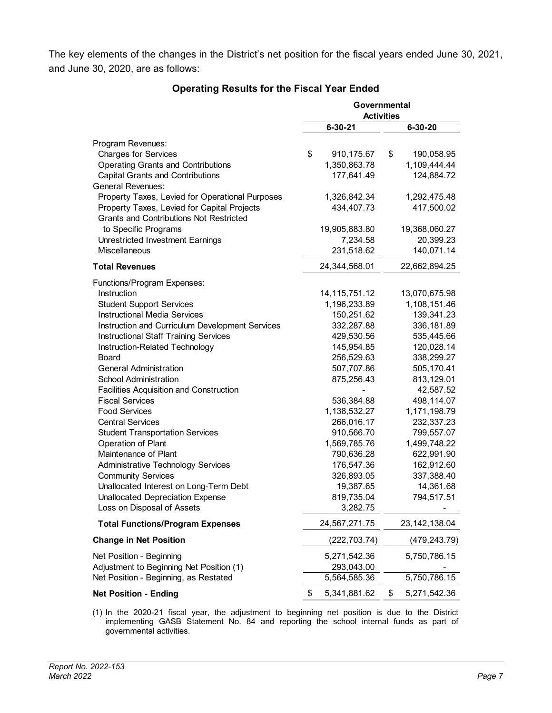The key elements of the changes in the District's net position for the fiscal years ended June 30, 2021, and June 30, 2020, are as follows:

|                                                                     | Governmental       |                            |  |  |  |
|---------------------------------------------------------------------|--------------------|----------------------------|--|--|--|
|                                                                     |                    | <b>Activities</b>          |  |  |  |
|                                                                     | $6 - 30 - 21$      | 6-30-20                    |  |  |  |
| Program Revenues:                                                   |                    |                            |  |  |  |
| <b>Charges for Services</b>                                         | \$<br>910,175.67   | \$<br>190,058.95           |  |  |  |
| <b>Operating Grants and Contributions</b>                           | 1,350,863.78       | 1,109,444.44               |  |  |  |
|                                                                     |                    |                            |  |  |  |
| <b>Capital Grants and Contributions</b><br><b>General Revenues:</b> | 177,641.49         | 124,884.72                 |  |  |  |
|                                                                     | 1,326,842.34       |                            |  |  |  |
| Property Taxes, Levied for Operational Purposes                     |                    | 1,292,475.48<br>417,500.02 |  |  |  |
| Property Taxes, Levied for Capital Projects                         | 434,407.73         |                            |  |  |  |
| <b>Grants and Contributions Not Restricted</b>                      |                    |                            |  |  |  |
| to Specific Programs                                                | 19,905,883.80      | 19,368,060.27              |  |  |  |
| <b>Unrestricted Investment Earnings</b>                             | 7,234.58           | 20,399.23                  |  |  |  |
| Miscellaneous                                                       | 231,518.62         | 140,071.14                 |  |  |  |
| <b>Total Revenues</b>                                               | 24,344,568.01      | 22,662,894.25              |  |  |  |
| Functions/Program Expenses:                                         |                    |                            |  |  |  |
| Instruction                                                         | 14, 115, 751. 12   | 13,070,675.98              |  |  |  |
| <b>Student Support Services</b>                                     | 1,196,233.89       | 1,108,151.46               |  |  |  |
| <b>Instructional Media Services</b>                                 | 150,251.62         | 139,341.23                 |  |  |  |
| Instruction and Curriculum Development Services                     | 332,287.88         | 336,181.89                 |  |  |  |
| <b>Instructional Staff Training Services</b>                        | 429,530.56         | 535,445.66                 |  |  |  |
| Instruction-Related Technology                                      | 145,954.85         | 120,028.14                 |  |  |  |
| Board                                                               | 256,529.63         | 338,299.27                 |  |  |  |
| <b>General Administration</b>                                       | 507,707.86         | 505,170.41                 |  |  |  |
| <b>School Administration</b>                                        | 875,256.43         | 813,129.01                 |  |  |  |
| <b>Facilities Acquisition and Construction</b>                      |                    | 42,587.52                  |  |  |  |
| <b>Fiscal Services</b>                                              | 536,384.88         | 498,114.07                 |  |  |  |
| <b>Food Services</b>                                                | 1,138,532.27       | 1,171,198.79               |  |  |  |
| <b>Central Services</b>                                             | 266,016.17         | 232,337.23                 |  |  |  |
| <b>Student Transportation Services</b>                              | 910,566.70         | 799,557.07                 |  |  |  |
| Operation of Plant                                                  | 1,569,785.76       | 1,499,748.22               |  |  |  |
| Maintenance of Plant                                                | 790,636.28         | 622,991.90                 |  |  |  |
| Administrative Technology Services                                  | 176,547.36         | 162,912.60                 |  |  |  |
| <b>Community Services</b>                                           | 326,893.05         | 337,388.40                 |  |  |  |
| Unallocated Interest on Long-Term Debt                              | 19,387.65          | 14,361.68                  |  |  |  |
| <b>Unallocated Depreciation Expense</b>                             | 819,735.04         | 794,517.51                 |  |  |  |
| Loss on Disposal of Assets                                          | 3,282.75           |                            |  |  |  |
|                                                                     |                    |                            |  |  |  |
| <b>Total Functions/Program Expenses</b>                             | 24,567,271.75      | 23, 142, 138.04            |  |  |  |
| <b>Change in Net Position</b>                                       | (222,703.74)       | (479,243.79)               |  |  |  |
| Net Position - Beginning                                            | 5,271,542.36       | 5,750,786.15               |  |  |  |
| Adjustment to Beginning Net Position (1)                            | 293,043.00         |                            |  |  |  |
| Net Position - Beginning, as Restated                               | 5,564,585.36       | 5,750,786.15               |  |  |  |
| <b>Net Position - Ending</b>                                        | 5,341,881.62<br>\$ | \$<br>5,271,542.36         |  |  |  |

#### **Operating Results for the Fiscal Year Ended**

(1) In the 2020-21 fiscal year, the adjustment to beginning net position is due to the District implementing GASB Statement No. 84 and reporting the school internal funds as part of governmental activities.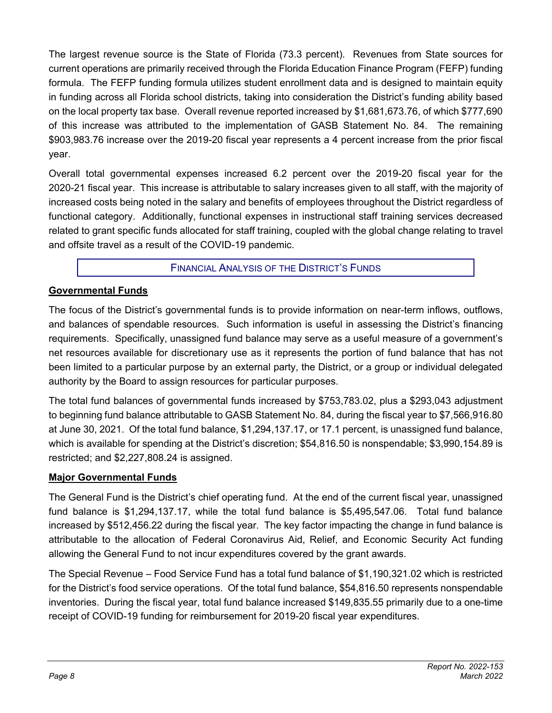The largest revenue source is the State of Florida (73.3 percent). Revenues from State sources for current operations are primarily received through the Florida Education Finance Program (FEFP) funding formula. The FEFP funding formula utilizes student enrollment data and is designed to maintain equity in funding across all Florida school districts, taking into consideration the District's funding ability based on the local property tax base. Overall revenue reported increased by \$1,681,673.76, of which \$777,690 of this increase was attributed to the implementation of GASB Statement No. 84. The remaining \$903,983.76 increase over the 2019-20 fiscal year represents a 4 percent increase from the prior fiscal year.

Overall total governmental expenses increased 6.2 percent over the 2019-20 fiscal year for the 2020-21 fiscal year. This increase is attributable to salary increases given to all staff, with the majority of increased costs being noted in the salary and benefits of employees throughout the District regardless of functional category. Additionally, functional expenses in instructional staff training services decreased related to grant specific funds allocated for staff training, coupled with the global change relating to travel and offsite travel as a result of the COVID-19 pandemic.

#### FINANCIAL ANALYSIS OF THE DISTRICT'S FUNDS

#### **Governmental Funds**

The focus of the District's governmental funds is to provide information on near-term inflows, outflows, and balances of spendable resources. Such information is useful in assessing the District's financing requirements. Specifically, unassigned fund balance may serve as a useful measure of a government's net resources available for discretionary use as it represents the portion of fund balance that has not been limited to a particular purpose by an external party, the District, or a group or individual delegated authority by the Board to assign resources for particular purposes.

The total fund balances of governmental funds increased by \$753,783.02, plus a \$293,043 adjustment to beginning fund balance attributable to GASB Statement No. 84, during the fiscal year to \$7,566,916.80 at June 30, 2021. Of the total fund balance, \$1,294,137.17, or 17.1 percent, is unassigned fund balance, which is available for spending at the District's discretion; \$54,816.50 is nonspendable; \$3,990,154.89 is restricted; and \$2,227,808.24 is assigned.

#### **Major Governmental Funds**

The General Fund is the District's chief operating fund. At the end of the current fiscal year, unassigned fund balance is \$1,294,137.17, while the total fund balance is \$5,495,547.06. Total fund balance increased by \$512,456.22 during the fiscal year. The key factor impacting the change in fund balance is attributable to the allocation of Federal Coronavirus Aid, Relief, and Economic Security Act funding allowing the General Fund to not incur expenditures covered by the grant awards.

The Special Revenue – Food Service Fund has a total fund balance of \$1,190,321.02 which is restricted for the District's food service operations. Of the total fund balance, \$54,816.50 represents nonspendable inventories. During the fiscal year, total fund balance increased \$149,835.55 primarily due to a one-time receipt of COVID-19 funding for reimbursement for 2019-20 fiscal year expenditures.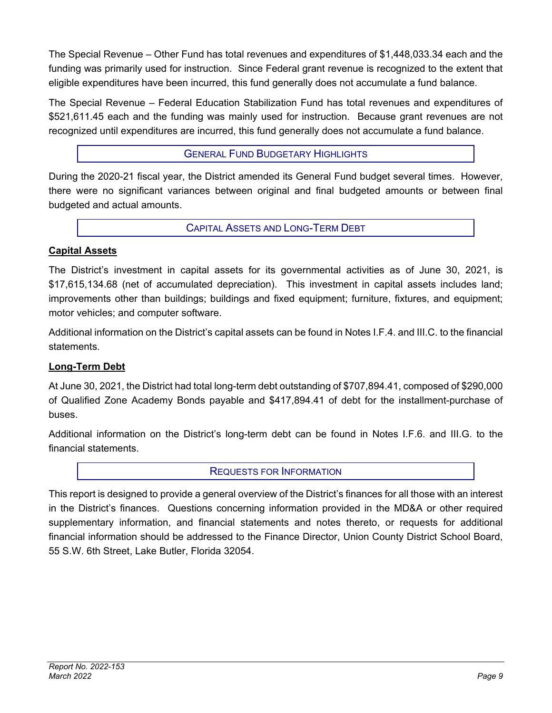The Special Revenue – Other Fund has total revenues and expenditures of \$1,448,033.34 each and the funding was primarily used for instruction. Since Federal grant revenue is recognized to the extent that eligible expenditures have been incurred, this fund generally does not accumulate a fund balance.

The Special Revenue – Federal Education Stabilization Fund has total revenues and expenditures of \$521,611.45 each and the funding was mainly used for instruction. Because grant revenues are not recognized until expenditures are incurred, this fund generally does not accumulate a fund balance.

#### GENERAL FUND BUDGETARY HIGHLIGHTS

During the 2020-21 fiscal year, the District amended its General Fund budget several times. However, there were no significant variances between original and final budgeted amounts or between final budgeted and actual amounts.

CAPITAL ASSETS AND LONG-TERM DEBT

#### **Capital Assets**

The District's investment in capital assets for its governmental activities as of June 30, 2021, is \$17,615,134.68 (net of accumulated depreciation). This investment in capital assets includes land; improvements other than buildings; buildings and fixed equipment; furniture, fixtures, and equipment; motor vehicles; and computer software.

Additional information on the District's capital assets can be found in Notes I.F.4. and III.C. to the financial statements.

#### **Long-Term Debt**

At June 30, 2021, the District had total long-term debt outstanding of \$707,894.41, composed of \$290,000 of Qualified Zone Academy Bonds payable and \$417,894.41 of debt for the installment-purchase of buses.

Additional information on the District's long-term debt can be found in Notes I.F.6. and III.G. to the financial statements.

REQUESTS FOR INFORMATION

This report is designed to provide a general overview of the District's finances for all those with an interest in the District's finances. Questions concerning information provided in the MD&A or other required supplementary information, and financial statements and notes thereto, or requests for additional financial information should be addressed to the Finance Director, Union County District School Board, 55 S.W. 6th Street, Lake Butler, Florida 32054.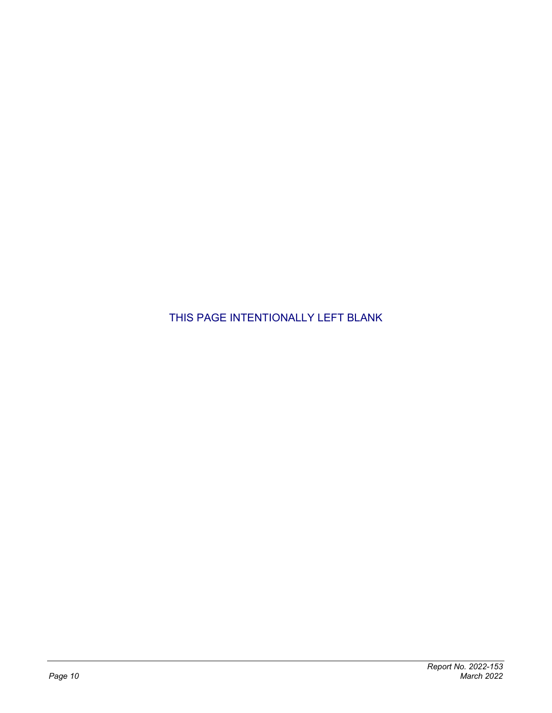THIS PAGE INTENTIONALLY LEFT BLANK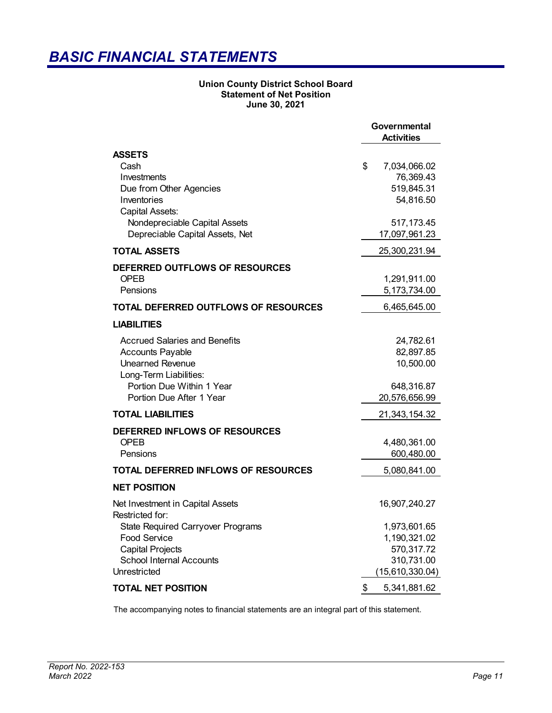## <span id="page-16-0"></span>*BASIC FINANCIAL STATEMENTS*

#### **Union County District School Board Statement of Net Position June 30, 2021**

|                                                     | Governmental<br><b>Activities</b> |
|-----------------------------------------------------|-----------------------------------|
| <b>ASSETS</b>                                       |                                   |
| Cash                                                | \$<br>7,034,066.02                |
| Investments                                         | 76,369.43                         |
| Due from Other Agencies                             | 519,845.31                        |
| Inventories                                         | 54,816.50                         |
| Capital Assets:                                     |                                   |
| Nondepreciable Capital Assets                       | 517, 173.45                       |
| Depreciable Capital Assets, Net                     | 17,097,961.23                     |
| <b>TOTAL ASSETS</b>                                 | 25,300,231.94                     |
| DEFERRED OUTFLOWS OF RESOURCES                      |                                   |
| <b>OPEB</b>                                         | 1,291,911.00                      |
| Pensions                                            | 5, 173, 734.00                    |
| <b>TOTAL DEFERRED OUTFLOWS OF RESOURCES</b>         | 6,465,645.00                      |
| <b>LIABILITIES</b>                                  |                                   |
| <b>Accrued Salaries and Benefits</b>                | 24,782.61                         |
| <b>Accounts Payable</b>                             | 82,897.85                         |
| <b>Unearned Revenue</b>                             | 10,500.00                         |
| Long-Term Liabilities:                              |                                   |
| Portion Due Within 1 Year                           | 648,316.87                        |
| Portion Due After 1 Year                            | 20,576,656.99                     |
| <b>TOTAL LIABILITIES</b>                            | 21, 343, 154. 32                  |
| DEFERRED INFLOWS OF RESOURCES                       |                                   |
| <b>OPEB</b>                                         | 4,480,361.00                      |
| Pensions                                            | 600,480.00                        |
| TOTAL DEFERRED INFLOWS OF RESOURCES                 | 5,080,841.00                      |
| <b>NET POSITION</b>                                 |                                   |
| Net Investment in Capital Assets<br>Restricted for: | 16,907,240.27                     |
| <b>State Required Carryover Programs</b>            | 1,973,601.65                      |
| <b>Food Service</b>                                 | 1,190,321.02                      |
| <b>Capital Projects</b>                             | 570,317.72                        |
| <b>School Internal Accounts</b>                     | 310,731.00                        |
| Unrestricted                                        | (15,610,330.04)                   |
| <b>TOTAL NET POSITION</b>                           | \$<br>5,341,881.62                |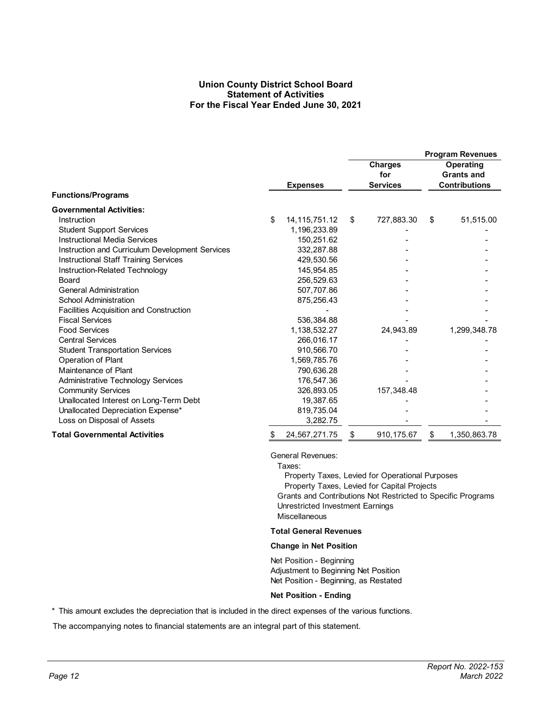#### **Union County District School Board Statement of Activities For the Fiscal Year Ended June 30, 2021**

<span id="page-17-0"></span>

|                                                 |                        |                                          |                                                        | <b>Program Revenues</b> |
|-------------------------------------------------|------------------------|------------------------------------------|--------------------------------------------------------|-------------------------|
|                                                 | <b>Expenses</b>        | <b>Charges</b><br>for<br><b>Services</b> | Operating<br><b>Grants and</b><br><b>Contributions</b> |                         |
| <b>Functions/Programs</b>                       |                        |                                          |                                                        |                         |
| <b>Governmental Activities:</b>                 |                        |                                          |                                                        |                         |
| Instruction                                     | \$<br>14, 115, 751. 12 | \$<br>727,883.30                         | \$                                                     | 51,515.00               |
| <b>Student Support Services</b>                 | 1,196,233.89           |                                          |                                                        |                         |
| <b>Instructional Media Services</b>             | 150,251.62             |                                          |                                                        |                         |
| Instruction and Curriculum Development Services | 332,287.88             |                                          |                                                        |                         |
| <b>Instructional Staff Training Services</b>    | 429,530.56             |                                          |                                                        |                         |
| Instruction-Related Technology                  | 145,954.85             |                                          |                                                        |                         |
| Board                                           | 256,529.63             |                                          |                                                        |                         |
| <b>General Administration</b>                   | 507,707.86             |                                          |                                                        |                         |
| <b>School Administration</b>                    | 875,256.43             |                                          |                                                        |                         |
| Facilities Acquisition and Construction         |                        |                                          |                                                        |                         |
| <b>Fiscal Services</b>                          | 536,384.88             |                                          |                                                        |                         |
| <b>Food Services</b>                            | 1,138,532.27           | 24,943.89                                |                                                        | 1,299,348.78            |
| <b>Central Services</b>                         | 266,016.17             |                                          |                                                        |                         |
| <b>Student Transportation Services</b>          | 910,566.70             |                                          |                                                        |                         |
| Operation of Plant                              | 1,569,785.76           |                                          |                                                        |                         |
| Maintenance of Plant                            | 790,636.28             |                                          |                                                        |                         |
| Administrative Technology Services              | 176,547.36             |                                          |                                                        |                         |
| <b>Community Services</b>                       | 326,893.05             | 157,348.48                               |                                                        |                         |
| Unallocated Interest on Long-Term Debt          | 19,387.65              |                                          |                                                        |                         |
| Unallocated Depreciation Expense*               | 819,735.04             |                                          |                                                        |                         |
| Loss on Disposal of Assets                      | 3,282.75               |                                          |                                                        |                         |
| <b>Total Governmental Activities</b>            | \$<br>24,567,271.75    | \$<br>910, 175.67                        | \$                                                     | 1,350,863.78            |

General Revenues:

Taxes:

 Property Taxes, Levied for Operational Purposes Property Taxes, Levied for Capital Projects Grants and Contributions Not Restricted to Specific Programs Unrestricted Investment Earnings **Miscellaneous** 

#### **Total General Revenues**

#### **Change in Net Position**

Net Position - Beginning Adjustment to Beginning Net Position Net Position - Beginning, as Restated

#### **Net Position - Ending**

\* This amount excludes the depreciation that is included in the direct expenses of the various functions.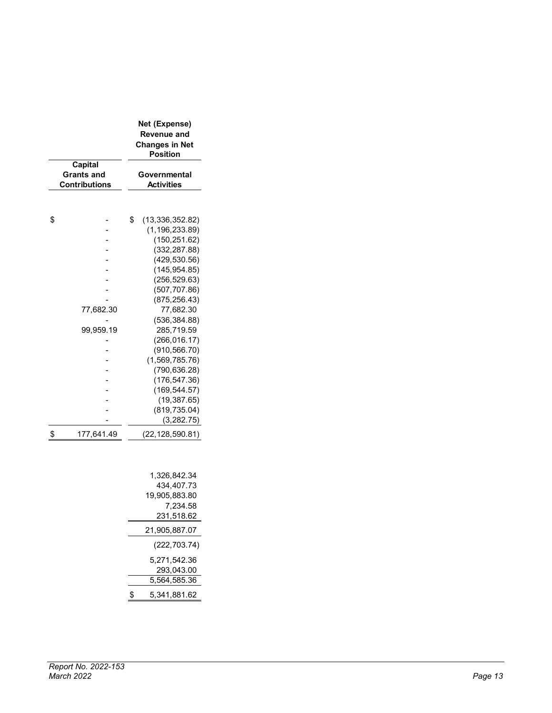|                                                      | Net (Expense)<br><b>Revenue and</b><br><b>Changes in Net</b><br><b>Position</b>                                                                                                                                                                                                                                                     |  |  |  |  |
|------------------------------------------------------|-------------------------------------------------------------------------------------------------------------------------------------------------------------------------------------------------------------------------------------------------------------------------------------------------------------------------------------|--|--|--|--|
| <b>Capital</b><br><b>Grants and</b><br>Contributions | Governmental<br><b>Activities</b>                                                                                                                                                                                                                                                                                                   |  |  |  |  |
| \$<br>77,682.30<br>99,959.19                         | \$<br>(13,336,352.82)<br>(1, 196, 233.89)<br>(150, 251.62)<br>(332, 287.88)<br>(429, 530.56)<br>(145, 954.85)<br>(256, 529.63)<br>(507, 707.86)<br>(875, 256.43)<br>77,682.30<br>(536, 384.88)<br>285,719.59<br>(266, 016.17)<br>(910, 566.70)<br>(1,569,785.76)<br>(790, 636.28)<br>(176, 547.36)<br>(169, 544.57)<br>(19, 387.65) |  |  |  |  |
|                                                      | (819, 735.04)<br>(3,282.75)                                                                                                                                                                                                                                                                                                         |  |  |  |  |
| \$<br>177,641.49                                     | (22,128,590.81)                                                                                                                                                                                                                                                                                                                     |  |  |  |  |

|   | 1.326.842.34  |
|---|---------------|
|   | 434.407.73    |
|   | 19.905.883.80 |
|   | 7.234.58      |
|   | 231,518.62    |
|   | 21,905,887.07 |
|   | (222,703.74)  |
|   | 5.271.542.36  |
|   | 293,043.00    |
|   | 5,564,585.36  |
| S | 5,341,881.62  |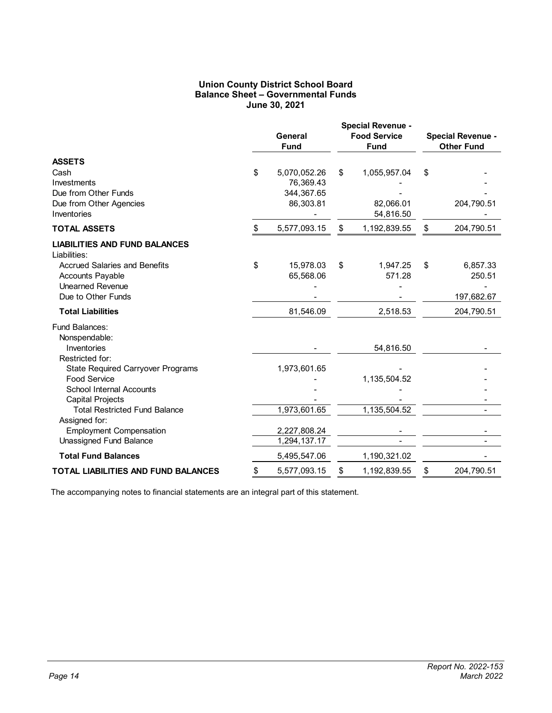#### **Union County District School Board Balance Sheet – Governmental Funds June 30, 2021**

<span id="page-19-0"></span>

|                                                                 |    | General<br><b>Fund</b> | <b>Special Revenue -</b><br><b>Food Service</b><br><b>Fund</b> | <b>Special Revenue -</b><br><b>Other Fund</b> |            |
|-----------------------------------------------------------------|----|------------------------|----------------------------------------------------------------|-----------------------------------------------|------------|
| <b>ASSETS</b>                                                   |    |                        |                                                                |                                               |            |
| Cash                                                            | \$ | 5,070,052.26           | \$<br>1,055,957.04                                             | \$                                            |            |
| Investments                                                     |    | 76,369.43              |                                                                |                                               |            |
| Due from Other Funds                                            |    | 344,367.65             |                                                                |                                               |            |
| Due from Other Agencies<br>Inventories                          |    | 86,303.81              | 82,066.01<br>54,816.50                                         |                                               | 204,790.51 |
| <b>TOTAL ASSETS</b>                                             | \$ | 5,577,093.15           | \$<br>1,192,839.55                                             | \$                                            | 204,790.51 |
| <b>LIABILITIES AND FUND BALANCES</b><br>Liabilities:            |    |                        |                                                                |                                               |            |
| <b>Accrued Salaries and Benefits</b>                            | \$ | 15,978.03              | \$<br>1,947.25                                                 | \$                                            | 6,857.33   |
| <b>Accounts Payable</b>                                         |    | 65,568.06              | 571.28                                                         |                                               | 250.51     |
| Unearned Revenue                                                |    |                        |                                                                |                                               |            |
| Due to Other Funds                                              |    |                        |                                                                |                                               | 197,682.67 |
| <b>Total Liabilities</b>                                        |    | 81,546.09              | 2,518.53                                                       |                                               | 204,790.51 |
| Fund Balances:                                                  |    |                        |                                                                |                                               |            |
| Nonspendable:                                                   |    |                        |                                                                |                                               |            |
| Inventories                                                     |    |                        | 54,816.50                                                      |                                               |            |
| Restricted for:                                                 |    |                        |                                                                |                                               |            |
| <b>State Required Carryover Programs</b><br><b>Food Service</b> |    | 1,973,601.65           |                                                                |                                               |            |
| School Internal Accounts                                        |    |                        | 1,135,504.52                                                   |                                               |            |
| <b>Capital Projects</b>                                         |    |                        |                                                                |                                               |            |
| <b>Total Restricted Fund Balance</b>                            |    | 1,973,601.65           | 1,135,504.52                                                   |                                               |            |
| Assigned for:                                                   |    |                        |                                                                |                                               |            |
| <b>Employment Compensation</b>                                  |    | 2,227,808.24           |                                                                |                                               |            |
| Unassigned Fund Balance                                         |    | 1,294,137.17           |                                                                |                                               |            |
| <b>Total Fund Balances</b>                                      |    | 5,495,547.06           | 1,190,321.02                                                   |                                               |            |
| <b>TOTAL LIABILITIES AND FUND BALANCES</b>                      | \$ | 5,577,093.15           | \$<br>1,192,839.55                                             | \$                                            | 204,790.51 |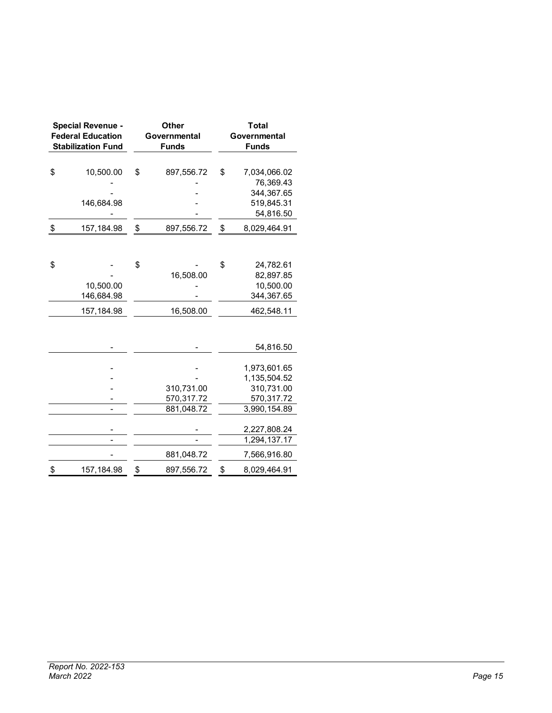| <b>Special Revenue -</b><br><b>Federal Education</b><br><b>Stabilization Fund</b> | Other<br>Governmental<br><b>Funds</b>  |    | <b>Total</b><br>Governmental<br><b>Funds</b>                             |
|-----------------------------------------------------------------------------------|----------------------------------------|----|--------------------------------------------------------------------------|
| \$<br>10,500.00                                                                   | \$<br>897,556.72                       | \$ | 7,034,066.02<br>76,369.43<br>344,367.65                                  |
| 146,684.98                                                                        |                                        |    | 519,845.31<br>54,816.50                                                  |
| \$<br>157,184.98                                                                  | \$<br>897,556.72                       | \$ | 8,029,464.91                                                             |
| \$<br>10,500.00<br>146,684.98                                                     | \$<br>16,508.00                        | \$ | 24,782.61<br>82,897.85<br>10,500.00<br>344,367.65                        |
| 157, 184.98                                                                       | 16,508.00                              |    | 462,548.11<br>54,816.50                                                  |
|                                                                                   | 310,731.00<br>570,317.72<br>881,048.72 |    | 1,973,601.65<br>1,135,504.52<br>310,731.00<br>570,317.72<br>3,990,154.89 |
|                                                                                   |                                        |    | 2,227,808.24<br>1,294,137.17                                             |
|                                                                                   | 881,048.72                             |    | 7,566,916.80                                                             |
| \$<br>157, 184.98                                                                 | \$<br>897,556.72                       | \$ | 8,029,464.91                                                             |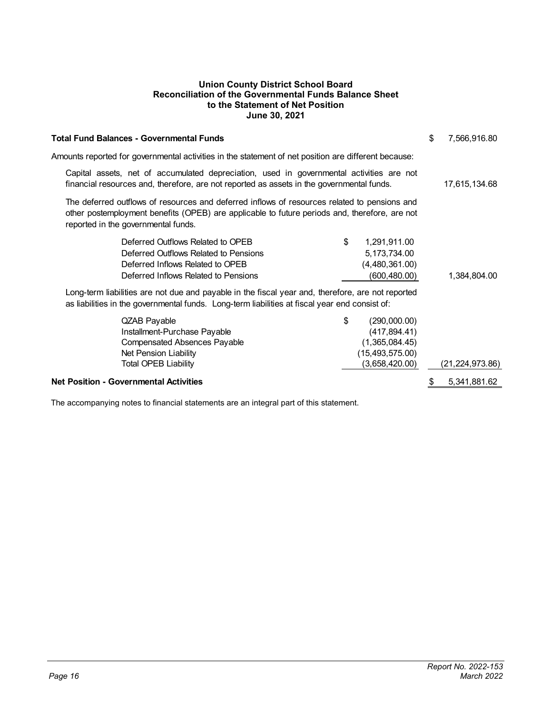#### **Union County District School Board Reconciliation of the Governmental Funds Balance Sheet to the Statement of Net Position June 30, 2021**

<span id="page-21-0"></span>

| <b>Total Fund Balances - Governmental Funds</b>                                                                                                                                                                                      |                                                                                              | \$<br>7,566,916.80 |
|--------------------------------------------------------------------------------------------------------------------------------------------------------------------------------------------------------------------------------------|----------------------------------------------------------------------------------------------|--------------------|
| Amounts reported for governmental activities in the statement of net position are different because:                                                                                                                                 |                                                                                              |                    |
| Capital assets, net of accumulated depreciation, used in governmental activities are not<br>financial resources and, therefore, are not reported as assets in the governmental funds.                                                |                                                                                              | 17,615,134.68      |
| The deferred outflows of resources and deferred inflows of resources related to pensions and<br>other postemployment benefits (OPEB) are applicable to future periods and, therefore, are not<br>reported in the governmental funds. |                                                                                              |                    |
| Deferred Outflows Related to OPEB<br>Deferred Outflows Related to Pensions<br>Deferred Inflows Related to OPEB<br>Deferred Inflows Related to Pensions                                                                               | \$<br>1,291,911.00<br>5, 173, 734.00<br>(4,480,361.00)<br>(600,480.00)                       | 1,384,804.00       |
| Long-term liabilities are not due and payable in the fiscal year and, therefore, are not reported<br>as liabilities in the governmental funds. Long-term liabilities at fiscal year end consist of:                                  |                                                                                              |                    |
| <b>QZAB Payable</b><br>Installment-Purchase Payable<br><b>Compensated Absences Payable</b><br>Net Pension Liability<br><b>Total OPEB Liability</b>                                                                                   | \$<br>(290,000.00)<br>(417, 894.41)<br>(1,365,084.45)<br>(15, 493, 575.00)<br>(3,658,420.00) | (21, 224, 973.86)  |
| <b>Net Position - Governmental Activities</b>                                                                                                                                                                                        |                                                                                              | 5,341,881.62       |
|                                                                                                                                                                                                                                      |                                                                                              |                    |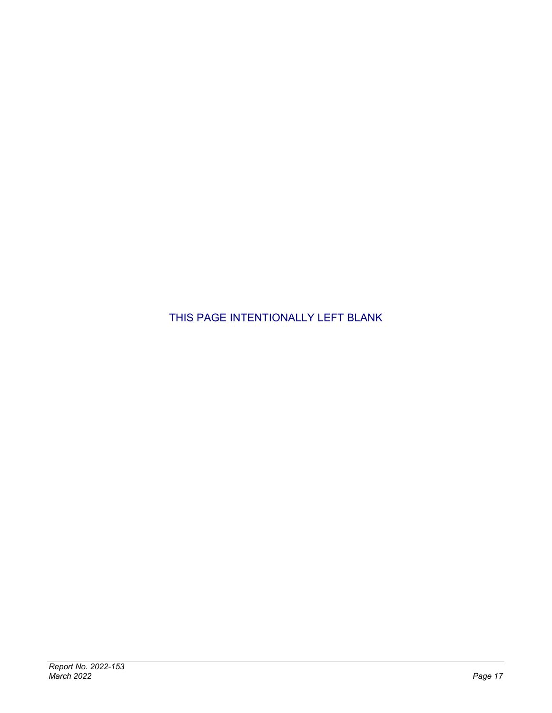THIS PAGE INTENTIONALLY LEFT BLANK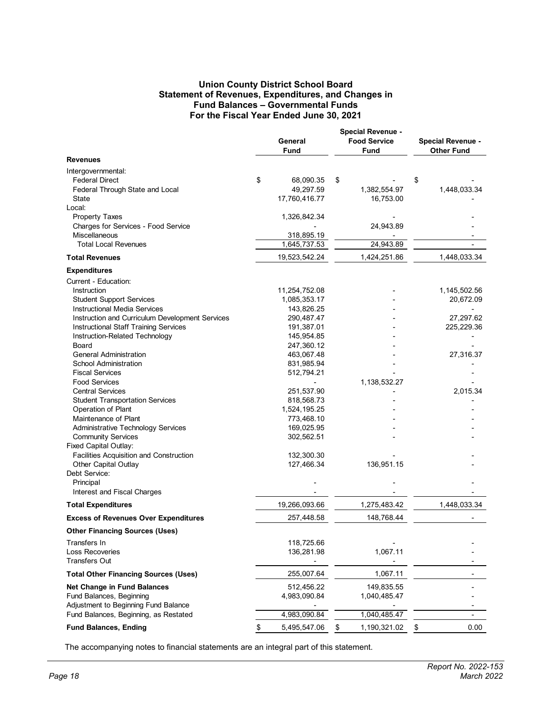#### **Union County District School Board Statement of Revenues, Expenditures, and Changes in Fund Balances – Governmental Funds For the Fiscal Year Ended June 30, 2021**

<span id="page-23-0"></span>

|                                                 |                          | <b>Special Revenue -</b>           |                                               |
|-------------------------------------------------|--------------------------|------------------------------------|-----------------------------------------------|
|                                                 | General<br><b>Fund</b>   | <b>Food Service</b><br><b>Fund</b> | <b>Special Revenue -</b><br><b>Other Fund</b> |
| <b>Revenues</b>                                 |                          |                                    |                                               |
| Intergovernmental:                              |                          |                                    |                                               |
| Federal Direct                                  | \$<br>68,090.35          | \$                                 | \$                                            |
| Federal Through State and Local                 | 49,297.59                | 1,382,554.97                       | 1,448,033.34                                  |
| State                                           | 17,760,416.77            | 16,753.00                          |                                               |
| Local:                                          |                          |                                    |                                               |
| <b>Property Taxes</b>                           | 1,326,842.34             |                                    |                                               |
| Charges for Services - Food Service             |                          | 24,943.89                          |                                               |
| Miscellaneous                                   | 318,895.19               |                                    |                                               |
| <b>Total Local Revenues</b>                     | 1,645,737.53             | 24,943.89                          |                                               |
| <b>Total Revenues</b>                           | 19,523,542.24            | 1,424,251.86                       | 1,448,033.34                                  |
| <b>Expenditures</b>                             |                          |                                    |                                               |
| Current - Education:                            |                          |                                    |                                               |
| Instruction                                     | 11,254,752.08            |                                    | 1,145,502.56                                  |
| <b>Student Support Services</b>                 | 1,085,353.17             |                                    | 20,672.09                                     |
| <b>Instructional Media Services</b>             | 143,826.25               |                                    |                                               |
| Instruction and Curriculum Development Services | 290,487.47               |                                    | 27,297.62                                     |
| <b>Instructional Staff Training Services</b>    | 191,387.01               |                                    | 225,229.36                                    |
| Instruction-Related Technology                  | 145,954.85               |                                    |                                               |
| Board<br><b>General Administration</b>          | 247,360.12               |                                    |                                               |
| School Administration                           | 463,067.48<br>831,985.94 |                                    | 27,316.37                                     |
| <b>Fiscal Services</b>                          | 512,794.21               |                                    |                                               |
| <b>Food Services</b>                            |                          | 1,138,532.27                       |                                               |
| <b>Central Services</b>                         | 251,537.90               |                                    | 2,015.34                                      |
| <b>Student Transportation Services</b>          | 818,568.73               |                                    |                                               |
| Operation of Plant                              | 1,524,195.25             |                                    |                                               |
| Maintenance of Plant                            | 773,468.10               |                                    |                                               |
| Administrative Technology Services              | 169,025.95               |                                    |                                               |
| <b>Community Services</b>                       | 302,562.51               |                                    |                                               |
| Fixed Capital Outlay:                           |                          |                                    |                                               |
| Facilities Acquisition and Construction         | 132,300.30               |                                    |                                               |
| Other Capital Outlay                            | 127,466.34               | 136,951.15                         |                                               |
| Debt Service:                                   |                          |                                    |                                               |
| Principal                                       |                          |                                    |                                               |
| Interest and Fiscal Charges                     |                          |                                    |                                               |
| <b>Total Expenditures</b>                       | 19,266,093.66            | 1,275,483.42                       | 1,448,033.34                                  |
| <b>Excess of Revenues Over Expenditures</b>     | 257,448.58               | 148,768.44                         |                                               |
| <b>Other Financing Sources (Uses)</b>           |                          |                                    |                                               |
| Transfers In                                    | 118,725.66               |                                    |                                               |
| <b>Loss Recoveries</b>                          | 136,281.98               | 1,067.11                           |                                               |
| <b>Transfers Out</b>                            |                          |                                    |                                               |
| <b>Total Other Financing Sources (Uses)</b>     | 255,007.64               | 1,067.11                           |                                               |
| <b>Net Change in Fund Balances</b>              | 512,456.22               | 149,835.55                         |                                               |
| Fund Balances, Beginning                        | 4,983,090.84             | 1,040,485.47                       |                                               |
| Adjustment to Beginning Fund Balance            |                          |                                    |                                               |
| Fund Balances, Beginning, as Restated           | 4,983,090.84             | 1,040,485.47                       |                                               |
| <b>Fund Balances, Ending</b>                    | \$<br>5,495,547.06       | \$<br>1,190,321.02                 | \$<br>0.00                                    |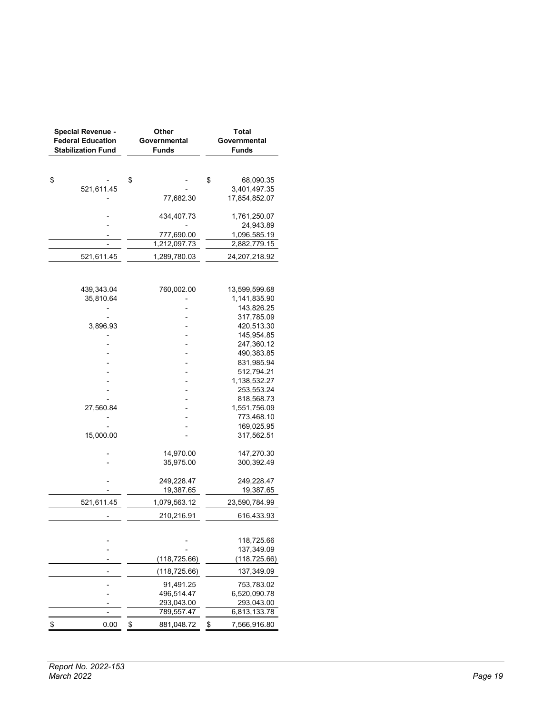| <b>Special Revenue -</b><br><b>Federal Education</b><br><b>Stabilization Fund</b> | Other<br>Governmental<br><b>Funds</b> | <b>Total</b><br>Governmental<br><b>Funds</b>     |
|-----------------------------------------------------------------------------------|---------------------------------------|--------------------------------------------------|
|                                                                                   |                                       |                                                  |
| \$<br>521,611.45                                                                  | \$<br>77,682.30                       | \$<br>68,090.35<br>3,401,497.35<br>17,854,852.07 |
|                                                                                   |                                       |                                                  |
|                                                                                   | 434,407.73                            | 1,761,250.07<br>24,943.89                        |
|                                                                                   | 777,690.00<br>1,212,097.73            | 1,096,585.19<br>2,882,779.15                     |
| 521,611.45                                                                        | 1,289,780.03                          | 24,207,218.92                                    |
|                                                                                   |                                       |                                                  |
|                                                                                   |                                       |                                                  |
| 439,343.04                                                                        | 760,002.00                            | 13,599,599.68                                    |
| 35,810.64                                                                         |                                       | 1,141,835.90                                     |
|                                                                                   |                                       | 143,826.25                                       |
| 3,896.93                                                                          |                                       | 317,785.09<br>420,513.30                         |
|                                                                                   |                                       | 145,954.85                                       |
|                                                                                   |                                       | 247,360.12                                       |
|                                                                                   |                                       | 490,383.85                                       |
|                                                                                   |                                       | 831,985.94                                       |
|                                                                                   |                                       | 512,794.21                                       |
|                                                                                   |                                       | 1,138,532.27                                     |
|                                                                                   |                                       | 253,553.24                                       |
|                                                                                   |                                       | 818,568.73                                       |
| 27,560.84                                                                         |                                       | 1,551,756.09                                     |
|                                                                                   |                                       | 773,468.10                                       |
|                                                                                   |                                       | 169,025.95                                       |
| 15,000.00                                                                         |                                       | 317,562.51                                       |
|                                                                                   | 14,970.00                             | 147,270.30                                       |
|                                                                                   | 35,975.00                             | 300,392.49                                       |
|                                                                                   | 249,228.47                            | 249,228.47                                       |
|                                                                                   | 19,387.65                             | 19,387.65                                        |
| 521,611.45                                                                        | 1,079,563.12                          | 23,590,784.99                                    |
|                                                                                   | 210,216.91                            | 616,433.93                                       |
|                                                                                   |                                       |                                                  |
|                                                                                   |                                       | 118,725.66                                       |
|                                                                                   |                                       | 137,349.09                                       |
|                                                                                   | (118, 725.66)                         | (118,725.66)                                     |
|                                                                                   | (118,725.66)                          | 137,349.09                                       |
|                                                                                   | 91,491.25                             | 753,783.02                                       |
|                                                                                   | 496,514.47                            | 6,520,090.78                                     |
|                                                                                   | 293,043.00                            | 293,043.00                                       |
|                                                                                   | 789,557.47                            | 6,813,133.78                                     |
| \$<br>0.00                                                                        | \$<br>881,048.72                      | \$<br>7,566,916.80                               |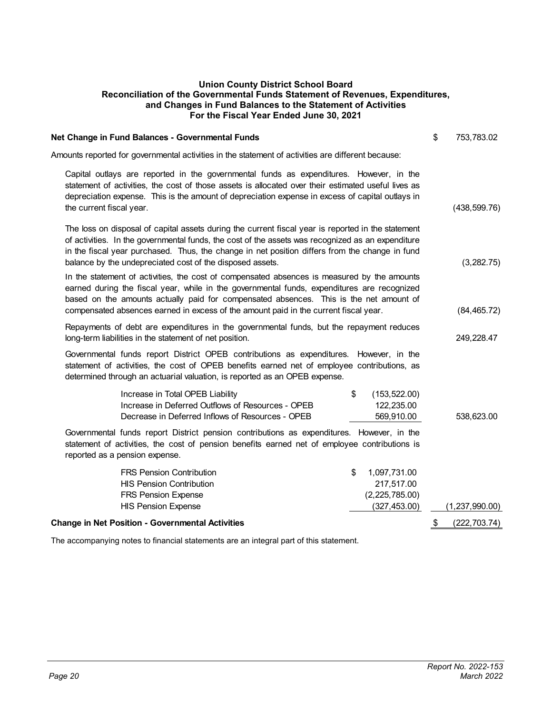#### <span id="page-25-0"></span>**Union County District School Board Reconciliation of the Governmental Funds Statement of Revenues, Expenditures, and Changes in Fund Balances to the Statement of Activities For the Fiscal Year Ended June 30, 2021**

| Net Change in Fund Balances - Governmental Funds                                                                                                                                                                                                                                                                                                                             | \$<br>753,783.02    |
|------------------------------------------------------------------------------------------------------------------------------------------------------------------------------------------------------------------------------------------------------------------------------------------------------------------------------------------------------------------------------|---------------------|
| Amounts reported for governmental activities in the statement of activities are different because:                                                                                                                                                                                                                                                                           |                     |
| Capital outlays are reported in the governmental funds as expenditures. However, in the<br>statement of activities, the cost of those assets is allocated over their estimated useful lives as<br>depreciation expense. This is the amount of depreciation expense in excess of capital outlays in<br>the current fiscal year.                                               | (438, 599.76)       |
| The loss on disposal of capital assets during the current fiscal year is reported in the statement<br>of activities. In the governmental funds, the cost of the assets was recognized as an expenditure<br>in the fiscal year purchased. Thus, the change in net position differs from the change in fund<br>balance by the undepreciated cost of the disposed assets.       | (3,282.75)          |
| In the statement of activities, the cost of compensated absences is measured by the amounts<br>earned during the fiscal year, while in the governmental funds, expenditures are recognized<br>based on the amounts actually paid for compensated absences. This is the net amount of<br>compensated absences earned in excess of the amount paid in the current fiscal year. | (84, 465.72)        |
| Repayments of debt are expenditures in the governmental funds, but the repayment reduces<br>long-term liabilities in the statement of net position.                                                                                                                                                                                                                          | 249,228.47          |
| Governmental funds report District OPEB contributions as expenditures. However, in the<br>statement of activities, the cost of OPEB benefits earned net of employee contributions, as<br>determined through an actuarial valuation, is reported as an OPEB expense.                                                                                                          |                     |
| \$<br>Increase in Total OPEB Liability<br>(153, 522.00)<br>Increase in Deferred Outflows of Resources - OPEB<br>122,235.00<br>Decrease in Deferred Inflows of Resources - OPEB<br>569,910.00                                                                                                                                                                                 | 538,623.00          |
| Governmental funds report District pension contributions as expenditures. However, in the<br>statement of activities, the cost of pension benefits earned net of employee contributions is<br>reported as a pension expense.                                                                                                                                                 |                     |
| \$<br><b>FRS Pension Contribution</b><br>1,097,731.00<br><b>HIS Pension Contribution</b><br>217,517.00<br>(2,225,785.00)<br><b>FRS Pension Expense</b><br><b>HIS Pension Expense</b><br>(327, 453.00)                                                                                                                                                                        | (1,237,990.00)      |
| <b>Change in Net Position - Governmental Activities</b>                                                                                                                                                                                                                                                                                                                      | \$<br>(222, 703.74) |
|                                                                                                                                                                                                                                                                                                                                                                              |                     |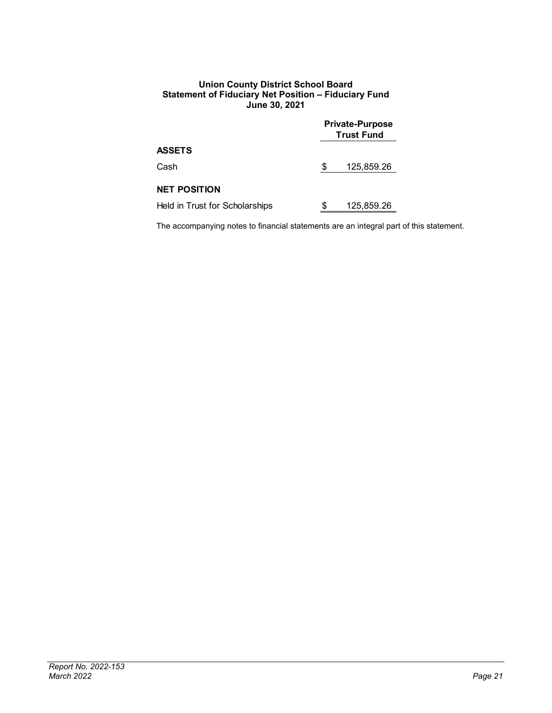#### <span id="page-26-0"></span>**Union County District School Board Statement of Fiduciary Net Position – Fiduciary Fund June 30, 2021**

|                                | <b>Private-Purpose</b><br><b>Trust Fund</b> |            |  |  |
|--------------------------------|---------------------------------------------|------------|--|--|
| <b>ASSETS</b>                  |                                             |            |  |  |
| Cash                           | S                                           | 125,859.26 |  |  |
| <b>NET POSITION</b>            |                                             |            |  |  |
| Held in Trust for Scholarships | S                                           | 125,859.26 |  |  |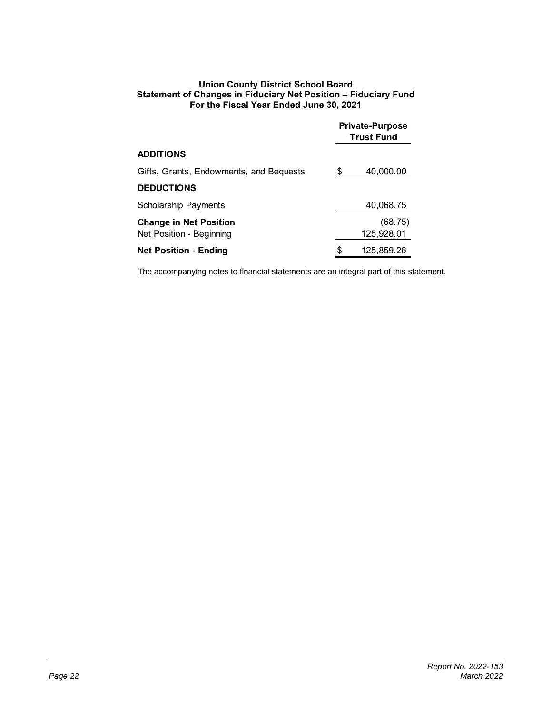#### <span id="page-27-0"></span>**Union County District School Board Statement of Changes in Fiduciary Net Position – Fiduciary Fund For the Fiscal Year Ended June 30, 2021**

|                                                           | <b>Private-Purpose</b><br><b>Trust Fund</b> |                       |
|-----------------------------------------------------------|---------------------------------------------|-----------------------|
| <b>ADDITIONS</b>                                          |                                             |                       |
| Gifts, Grants, Endowments, and Bequests                   | \$                                          | 40,000.00             |
| <b>DEDUCTIONS</b>                                         |                                             |                       |
| <b>Scholarship Payments</b>                               |                                             | 40,068.75             |
| <b>Change in Net Position</b><br>Net Position - Beginning |                                             | (68.75)<br>125,928.01 |
| <b>Net Position - Ending</b>                              | S                                           | 125.859.26            |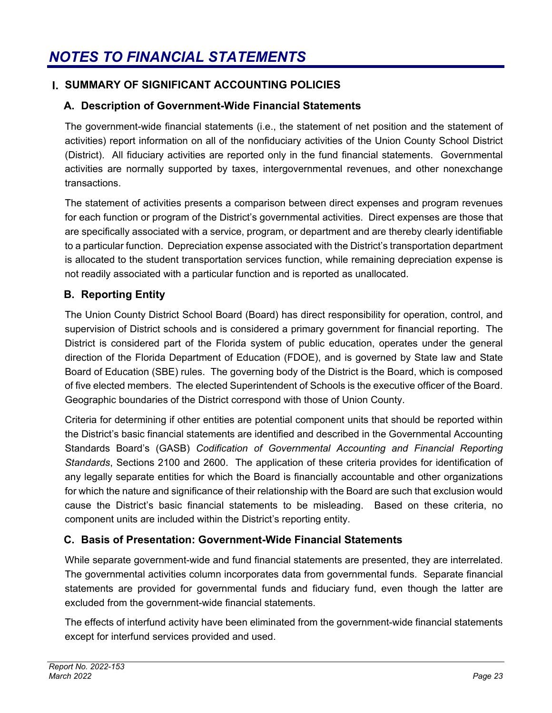#### <span id="page-28-0"></span> **SUMMARY OF SIGNIFICANT ACCOUNTING POLICIES**

#### **A. Description of Government-Wide Financial Statements**

The government-wide financial statements (i.e., the statement of net position and the statement of activities) report information on all of the nonfiduciary activities of the Union County School District (District). All fiduciary activities are reported only in the fund financial statements. Governmental activities are normally supported by taxes, intergovernmental revenues, and other nonexchange transactions.

The statement of activities presents a comparison between direct expenses and program revenues for each function or program of the District's governmental activities. Direct expenses are those that are specifically associated with a service, program, or department and are thereby clearly identifiable to a particular function. Depreciation expense associated with the District's transportation department is allocated to the student transportation services function, while remaining depreciation expense is not readily associated with a particular function and is reported as unallocated.

#### **B. Reporting Entity**

The Union County District School Board (Board) has direct responsibility for operation, control, and supervision of District schools and is considered a primary government for financial reporting. The District is considered part of the Florida system of public education, operates under the general direction of the Florida Department of Education (FDOE), and is governed by State law and State Board of Education (SBE) rules. The governing body of the District is the Board, which is composed of five elected members. The elected Superintendent of Schools is the executive officer of the Board. Geographic boundaries of the District correspond with those of Union County.

Criteria for determining if other entities are potential component units that should be reported within the District's basic financial statements are identified and described in the Governmental Accounting Standards Board's (GASB) *Codification of Governmental Accounting and Financial Reporting Standards*, Sections 2100 and 2600. The application of these criteria provides for identification of any legally separate entities for which the Board is financially accountable and other organizations for which the nature and significance of their relationship with the Board are such that exclusion would cause the District's basic financial statements to be misleading. Based on these criteria, no component units are included within the District's reporting entity.

#### **C. Basis of Presentation: Government-Wide Financial Statements**

While separate government-wide and fund financial statements are presented, they are interrelated. The governmental activities column incorporates data from governmental funds. Separate financial statements are provided for governmental funds and fiduciary fund, even though the latter are excluded from the government-wide financial statements.

The effects of interfund activity have been eliminated from the government-wide financial statements except for interfund services provided and used.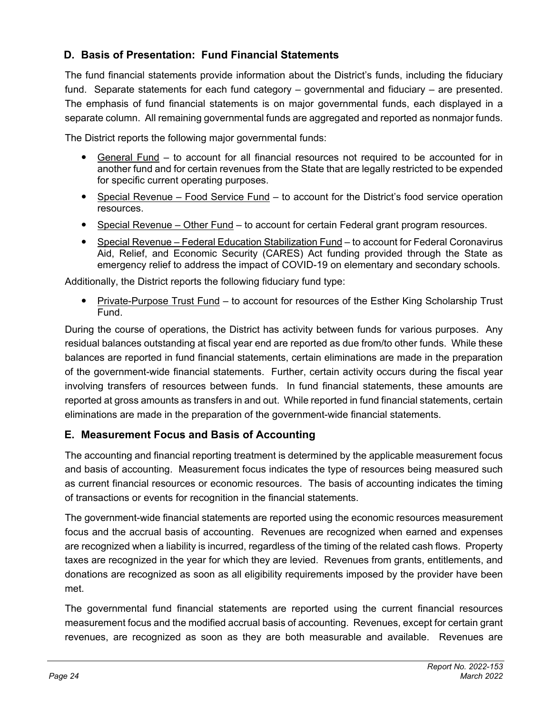#### **D. Basis of Presentation: Fund Financial Statements**

The fund financial statements provide information about the District's funds, including the fiduciary fund. Separate statements for each fund category – governmental and fiduciary – are presented. The emphasis of fund financial statements is on major governmental funds, each displayed in a separate column. All remaining governmental funds are aggregated and reported as nonmajor funds.

The District reports the following major governmental funds:

- General Fund to account for all financial resources not required to be accounted for in another fund and for certain revenues from the State that are legally restricted to be expended for specific current operating purposes.
- Special Revenue Food Service Fund to account for the District's food service operation resources.
- Special Revenue Other Fund to account for certain Federal grant program resources.
- Special Revenue Federal Education Stabilization Fund to account for Federal Coronavirus Aid, Relief, and Economic Security (CARES) Act funding provided through the State as emergency relief to address the impact of COVID-19 on elementary and secondary schools.

Additionally, the District reports the following fiduciary fund type:

 Private-Purpose Trust Fund – to account for resources of the Esther King Scholarship Trust Fund.

During the course of operations, the District has activity between funds for various purposes. Any residual balances outstanding at fiscal year end are reported as due from/to other funds. While these balances are reported in fund financial statements, certain eliminations are made in the preparation of the government-wide financial statements. Further, certain activity occurs during the fiscal year involving transfers of resources between funds. In fund financial statements, these amounts are reported at gross amounts as transfers in and out. While reported in fund financial statements, certain eliminations are made in the preparation of the government-wide financial statements.

#### **E. Measurement Focus and Basis of Accounting**

The accounting and financial reporting treatment is determined by the applicable measurement focus and basis of accounting. Measurement focus indicates the type of resources being measured such as current financial resources or economic resources. The basis of accounting indicates the timing of transactions or events for recognition in the financial statements.

The government-wide financial statements are reported using the economic resources measurement focus and the accrual basis of accounting. Revenues are recognized when earned and expenses are recognized when a liability is incurred, regardless of the timing of the related cash flows. Property taxes are recognized in the year for which they are levied. Revenues from grants, entitlements, and donations are recognized as soon as all eligibility requirements imposed by the provider have been met.

The governmental fund financial statements are reported using the current financial resources measurement focus and the modified accrual basis of accounting. Revenues, except for certain grant revenues, are recognized as soon as they are both measurable and available. Revenues are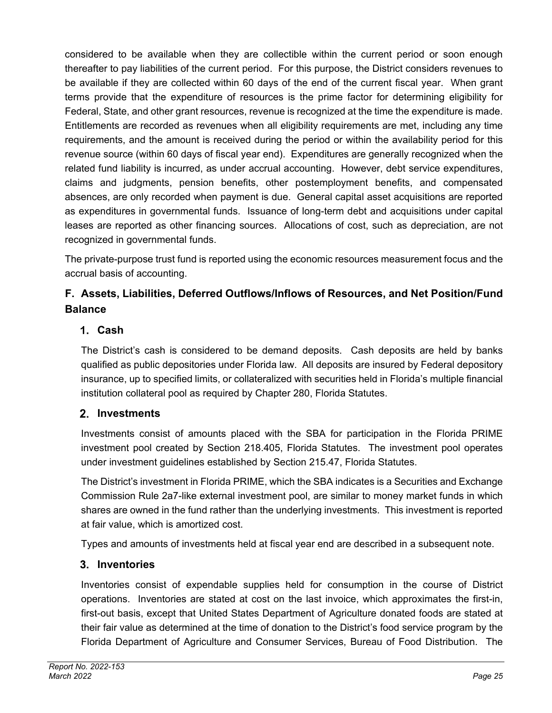considered to be available when they are collectible within the current period or soon enough thereafter to pay liabilities of the current period. For this purpose, the District considers revenues to be available if they are collected within 60 days of the end of the current fiscal year. When grant terms provide that the expenditure of resources is the prime factor for determining eligibility for Federal, State, and other grant resources, revenue is recognized at the time the expenditure is made. Entitlements are recorded as revenues when all eligibility requirements are met, including any time requirements, and the amount is received during the period or within the availability period for this revenue source (within 60 days of fiscal year end). Expenditures are generally recognized when the related fund liability is incurred, as under accrual accounting. However, debt service expenditures, claims and judgments, pension benefits, other postemployment benefits, and compensated absences, are only recorded when payment is due. General capital asset acquisitions are reported as expenditures in governmental funds. Issuance of long-term debt and acquisitions under capital leases are reported as other financing sources. Allocations of cost, such as depreciation, are not recognized in governmental funds.

The private-purpose trust fund is reported using the economic resources measurement focus and the accrual basis of accounting.

## **F. Assets, Liabilities, Deferred Outflows/Inflows of Resources, and Net Position/Fund Balance**

## **Cash**

The District's cash is considered to be demand deposits. Cash deposits are held by banks qualified as public depositories under Florida law. All deposits are insured by Federal depository insurance, up to specified limits, or collateralized with securities held in Florida's multiple financial institution collateral pool as required by Chapter 280, Florida Statutes.

## **Investments**

Investments consist of amounts placed with the SBA for participation in the Florida PRIME investment pool created by Section 218.405, Florida Statutes. The investment pool operates under investment guidelines established by Section 215.47, Florida Statutes.

The District's investment in Florida PRIME, which the SBA indicates is a Securities and Exchange Commission Rule 2a7-like external investment pool, are similar to money market funds in which shares are owned in the fund rather than the underlying investments. This investment is reported at fair value, which is amortized cost.

Types and amounts of investments held at fiscal year end are described in a subsequent note.

## **Inventories**

Inventories consist of expendable supplies held for consumption in the course of District operations. Inventories are stated at cost on the last invoice, which approximates the first-in, first-out basis, except that United States Department of Agriculture donated foods are stated at their fair value as determined at the time of donation to the District's food service program by the Florida Department of Agriculture and Consumer Services, Bureau of Food Distribution. The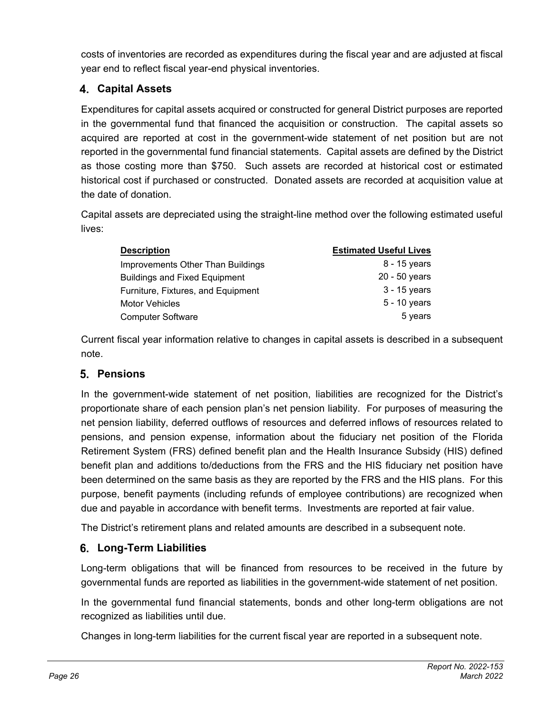costs of inventories are recorded as expenditures during the fiscal year and are adjusted at fiscal year end to reflect fiscal year-end physical inventories.

## **Capital Assets**

Expenditures for capital assets acquired or constructed for general District purposes are reported in the governmental fund that financed the acquisition or construction. The capital assets so acquired are reported at cost in the government-wide statement of net position but are not reported in the governmental fund financial statements. Capital assets are defined by the District as those costing more than \$750. Such assets are recorded at historical cost or estimated historical cost if purchased or constructed. Donated assets are recorded at acquisition value at the date of donation.

Capital assets are depreciated using the straight-line method over the following estimated useful lives:

| <b>Description</b>                   | <b>Estimated Useful Lives</b> |
|--------------------------------------|-------------------------------|
| Improvements Other Than Buildings    | 8 - 15 years                  |
| <b>Buildings and Fixed Equipment</b> | 20 - 50 years                 |
| Furniture, Fixtures, and Equipment   | $3 - 15$ years                |
| <b>Motor Vehicles</b>                | $5 - 10$ years                |
| <b>Computer Software</b>             | 5 years                       |

Current fiscal year information relative to changes in capital assets is described in a subsequent note.

## **Pensions**

In the government-wide statement of net position, liabilities are recognized for the District's proportionate share of each pension plan's net pension liability. For purposes of measuring the net pension liability, deferred outflows of resources and deferred inflows of resources related to pensions, and pension expense, information about the fiduciary net position of the Florida Retirement System (FRS) defined benefit plan and the Health Insurance Subsidy (HIS) defined benefit plan and additions to/deductions from the FRS and the HIS fiduciary net position have been determined on the same basis as they are reported by the FRS and the HIS plans. For this purpose, benefit payments (including refunds of employee contributions) are recognized when due and payable in accordance with benefit terms. Investments are reported at fair value.

The District's retirement plans and related amounts are described in a subsequent note.

## **Long-Term Liabilities**

Long-term obligations that will be financed from resources to be received in the future by governmental funds are reported as liabilities in the government-wide statement of net position.

In the governmental fund financial statements, bonds and other long-term obligations are not recognized as liabilities until due.

Changes in long-term liabilities for the current fiscal year are reported in a subsequent note.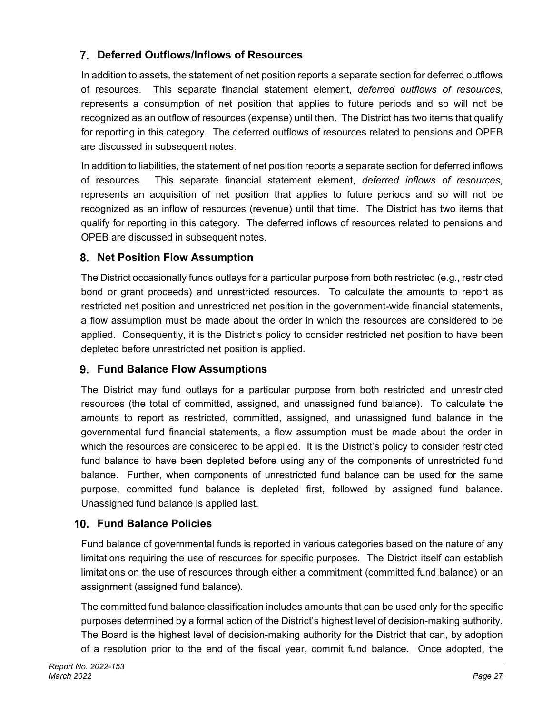## **Deferred Outflows/Inflows of Resources**

In addition to assets, the statement of net position reports a separate section for deferred outflows of resources. This separate financial statement element, *deferred outflows of resources*, represents a consumption of net position that applies to future periods and so will not be recognized as an outflow of resources (expense) until then. The District has two items that qualify for reporting in this category. The deferred outflows of resources related to pensions and OPEB are discussed in subsequent notes.

In addition to liabilities, the statement of net position reports a separate section for deferred inflows of resources. This separate financial statement element, *deferred inflows of resources*, represents an acquisition of net position that applies to future periods and so will not be recognized as an inflow of resources (revenue) until that time. The District has two items that qualify for reporting in this category. The deferred inflows of resources related to pensions and OPEB are discussed in subsequent notes.

## **Net Position Flow Assumption**

The District occasionally funds outlays for a particular purpose from both restricted (e.g., restricted bond or grant proceeds) and unrestricted resources. To calculate the amounts to report as restricted net position and unrestricted net position in the government-wide financial statements, a flow assumption must be made about the order in which the resources are considered to be applied. Consequently, it is the District's policy to consider restricted net position to have been depleted before unrestricted net position is applied.

## **Fund Balance Flow Assumptions**

The District may fund outlays for a particular purpose from both restricted and unrestricted resources (the total of committed, assigned, and unassigned fund balance). To calculate the amounts to report as restricted, committed, assigned, and unassigned fund balance in the governmental fund financial statements, a flow assumption must be made about the order in which the resources are considered to be applied. It is the District's policy to consider restricted fund balance to have been depleted before using any of the components of unrestricted fund balance. Further, when components of unrestricted fund balance can be used for the same purpose, committed fund balance is depleted first, followed by assigned fund balance. Unassigned fund balance is applied last.

## **Fund Balance Policies**

Fund balance of governmental funds is reported in various categories based on the nature of any limitations requiring the use of resources for specific purposes. The District itself can establish limitations on the use of resources through either a commitment (committed fund balance) or an assignment (assigned fund balance).

The committed fund balance classification includes amounts that can be used only for the specific purposes determined by a formal action of the District's highest level of decision-making authority. The Board is the highest level of decision-making authority for the District that can, by adoption of a resolution prior to the end of the fiscal year, commit fund balance. Once adopted, the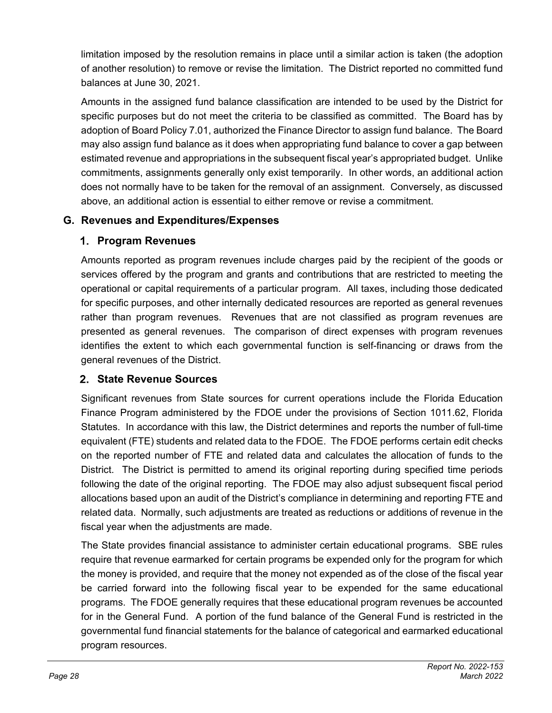limitation imposed by the resolution remains in place until a similar action is taken (the adoption of another resolution) to remove or revise the limitation. The District reported no committed fund balances at June 30, 2021.

Amounts in the assigned fund balance classification are intended to be used by the District for specific purposes but do not meet the criteria to be classified as committed. The Board has by adoption of Board Policy 7.01, authorized the Finance Director to assign fund balance. The Board may also assign fund balance as it does when appropriating fund balance to cover a gap between estimated revenue and appropriations in the subsequent fiscal year's appropriated budget. Unlike commitments, assignments generally only exist temporarily. In other words, an additional action does not normally have to be taken for the removal of an assignment. Conversely, as discussed above, an additional action is essential to either remove or revise a commitment.

#### **G. Revenues and Expenditures/Expenses**

#### **Program Revenues**

Amounts reported as program revenues include charges paid by the recipient of the goods or services offered by the program and grants and contributions that are restricted to meeting the operational or capital requirements of a particular program. All taxes, including those dedicated for specific purposes, and other internally dedicated resources are reported as general revenues rather than program revenues. Revenues that are not classified as program revenues are presented as general revenues. The comparison of direct expenses with program revenues identifies the extent to which each governmental function is self-financing or draws from the general revenues of the District.

## **State Revenue Sources**

Significant revenues from State sources for current operations include the Florida Education Finance Program administered by the FDOE under the provisions of Section 1011.62, Florida Statutes. In accordance with this law, the District determines and reports the number of full-time equivalent (FTE) students and related data to the FDOE. The FDOE performs certain edit checks on the reported number of FTE and related data and calculates the allocation of funds to the District. The District is permitted to amend its original reporting during specified time periods following the date of the original reporting. The FDOE may also adjust subsequent fiscal period allocations based upon an audit of the District's compliance in determining and reporting FTE and related data. Normally, such adjustments are treated as reductions or additions of revenue in the fiscal year when the adjustments are made.

The State provides financial assistance to administer certain educational programs. SBE rules require that revenue earmarked for certain programs be expended only for the program for which the money is provided, and require that the money not expended as of the close of the fiscal year be carried forward into the following fiscal year to be expended for the same educational programs. The FDOE generally requires that these educational program revenues be accounted for in the General Fund. A portion of the fund balance of the General Fund is restricted in the governmental fund financial statements for the balance of categorical and earmarked educational program resources.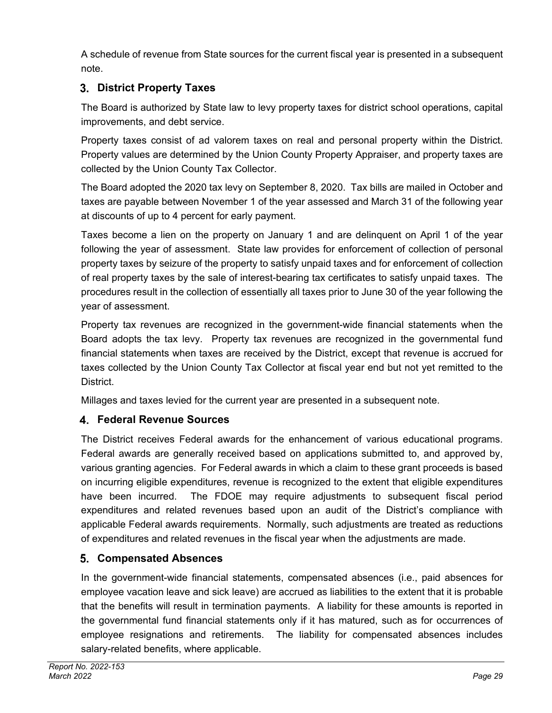A schedule of revenue from State sources for the current fiscal year is presented in a subsequent note.

## **District Property Taxes**

The Board is authorized by State law to levy property taxes for district school operations, capital improvements, and debt service.

Property taxes consist of ad valorem taxes on real and personal property within the District. Property values are determined by the Union County Property Appraiser, and property taxes are collected by the Union County Tax Collector.

The Board adopted the 2020 tax levy on September 8, 2020. Tax bills are mailed in October and taxes are payable between November 1 of the year assessed and March 31 of the following year at discounts of up to 4 percent for early payment.

Taxes become a lien on the property on January 1 and are delinquent on April 1 of the year following the year of assessment. State law provides for enforcement of collection of personal property taxes by seizure of the property to satisfy unpaid taxes and for enforcement of collection of real property taxes by the sale of interest-bearing tax certificates to satisfy unpaid taxes. The procedures result in the collection of essentially all taxes prior to June 30 of the year following the year of assessment.

Property tax revenues are recognized in the government-wide financial statements when the Board adopts the tax levy. Property tax revenues are recognized in the governmental fund financial statements when taxes are received by the District, except that revenue is accrued for taxes collected by the Union County Tax Collector at fiscal year end but not yet remitted to the District.

Millages and taxes levied for the current year are presented in a subsequent note.

## **Federal Revenue Sources**

The District receives Federal awards for the enhancement of various educational programs. Federal awards are generally received based on applications submitted to, and approved by, various granting agencies. For Federal awards in which a claim to these grant proceeds is based on incurring eligible expenditures, revenue is recognized to the extent that eligible expenditures have been incurred. The FDOE may require adjustments to subsequent fiscal period expenditures and related revenues based upon an audit of the District's compliance with applicable Federal awards requirements. Normally, such adjustments are treated as reductions of expenditures and related revenues in the fiscal year when the adjustments are made.

## **Compensated Absences**

In the government-wide financial statements, compensated absences (i.e., paid absences for employee vacation leave and sick leave) are accrued as liabilities to the extent that it is probable that the benefits will result in termination payments. A liability for these amounts is reported in the governmental fund financial statements only if it has matured, such as for occurrences of employee resignations and retirements. The liability for compensated absences includes salary-related benefits, where applicable.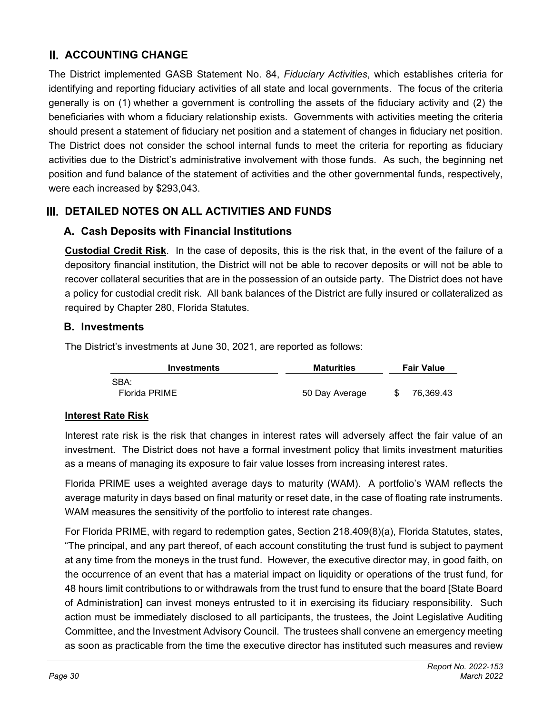## **II. ACCOUNTING CHANGE**

The District implemented GASB Statement No. 84, *Fiduciary Activities*, which establishes criteria for identifying and reporting fiduciary activities of all state and local governments. The focus of the criteria generally is on (1) whether a government is controlling the assets of the fiduciary activity and (2) the beneficiaries with whom a fiduciary relationship exists. Governments with activities meeting the criteria should present a statement of fiduciary net position and a statement of changes in fiduciary net position. The District does not consider the school internal funds to meet the criteria for reporting as fiduciary activities due to the District's administrative involvement with those funds. As such, the beginning net position and fund balance of the statement of activities and the other governmental funds, respectively, were each increased by \$293,043.

## **DETAILED NOTES ON ALL ACTIVITIES AND FUNDS**

#### **A. Cash Deposits with Financial Institutions**

**Custodial Credit Risk**. In the case of deposits, this is the risk that, in the event of the failure of a depository financial institution, the District will not be able to recover deposits or will not be able to recover collateral securities that are in the possession of an outside party. The District does not have a policy for custodial credit risk. All bank balances of the District are fully insured or collateralized as required by Chapter 280, Florida Statutes.

#### **B. Investments**

The District's investments at June 30, 2021, are reported as follows:

| Investments   | <b>Maturities</b> |  | <b>Fair Value</b> |  |  |
|---------------|-------------------|--|-------------------|--|--|
| SBA:          |                   |  |                   |  |  |
| Florida PRIME | 50 Day Average    |  | 76,369.43         |  |  |

#### **Interest Rate Risk**

Interest rate risk is the risk that changes in interest rates will adversely affect the fair value of an investment. The District does not have a formal investment policy that limits investment maturities as a means of managing its exposure to fair value losses from increasing interest rates.

Florida PRIME uses a weighted average days to maturity (WAM). A portfolio's WAM reflects the average maturity in days based on final maturity or reset date, in the case of floating rate instruments. WAM measures the sensitivity of the portfolio to interest rate changes.

For Florida PRIME, with regard to redemption gates, Section 218.409(8)(a), Florida Statutes, states, "The principal, and any part thereof, of each account constituting the trust fund is subject to payment at any time from the moneys in the trust fund. However, the executive director may, in good faith, on the occurrence of an event that has a material impact on liquidity or operations of the trust fund, for 48 hours limit contributions to or withdrawals from the trust fund to ensure that the board [State Board of Administration] can invest moneys entrusted to it in exercising its fiduciary responsibility. Such action must be immediately disclosed to all participants, the trustees, the Joint Legislative Auditing Committee, and the Investment Advisory Council. The trustees shall convene an emergency meeting as soon as practicable from the time the executive director has instituted such measures and review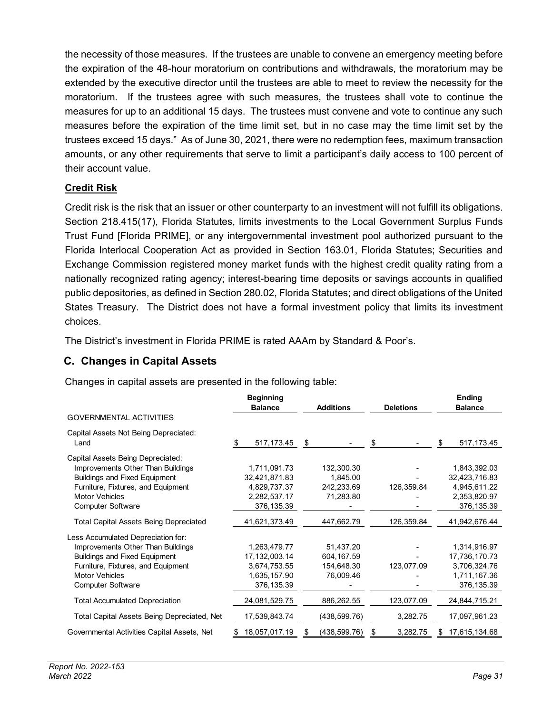the necessity of those measures. If the trustees are unable to convene an emergency meeting before the expiration of the 48-hour moratorium on contributions and withdrawals, the moratorium may be extended by the executive director until the trustees are able to meet to review the necessity for the moratorium. If the trustees agree with such measures, the trustees shall vote to continue the measures for up to an additional 15 days. The trustees must convene and vote to continue any such measures before the expiration of the time limit set, but in no case may the time limit set by the trustees exceed 15 days." As of June 30, 2021, there were no redemption fees, maximum transaction amounts, or any other requirements that serve to limit a participant's daily access to 100 percent of their account value.

#### **Credit Risk**

Credit risk is the risk that an issuer or other counterparty to an investment will not fulfill its obligations. Section 218.415(17), Florida Statutes, limits investments to the Local Government Surplus Funds Trust Fund [Florida PRIME], or any intergovernmental investment pool authorized pursuant to the Florida Interlocal Cooperation Act as provided in Section 163.01, Florida Statutes; Securities and Exchange Commission registered money market funds with the highest credit quality rating from a nationally recognized rating agency; interest-bearing time deposits or savings accounts in qualified public depositories, as defined in Section 280.02, Florida Statutes; and direct obligations of the United States Treasury. The District does not have a formal investment policy that limits its investment choices.

The District's investment in Florida PRIME is rated AAAm by Standard & Poor's.

#### **C. Changes in Capital Assets**

Changes in capital assets are presented in the following table:

|                                                                                                                                                                                                            | <b>Beginning</b><br><b>Balance</b>                                           | <b>Additions</b>                                    | <b>Deletions</b> | <b>Ending</b><br><b>Balance</b>                                              |
|------------------------------------------------------------------------------------------------------------------------------------------------------------------------------------------------------------|------------------------------------------------------------------------------|-----------------------------------------------------|------------------|------------------------------------------------------------------------------|
| <b>GOVERNMENTAL ACTIVITIES</b>                                                                                                                                                                             |                                                                              |                                                     |                  |                                                                              |
| Capital Assets Not Being Depreciated:<br>Land                                                                                                                                                              | 517, 173.45<br>S                                                             | \$                                                  | \$               | 517, 173.45<br>\$                                                            |
| Capital Assets Being Depreciated:<br>Improvements Other Than Buildings<br><b>Buildings and Fixed Equipment</b><br>Furniture, Fixtures, and Equipment<br><b>Motor Vehicles</b><br><b>Computer Software</b>  | 1,711,091.73<br>32,421,871.83<br>4,829,737.37<br>2,282,537.17<br>376,135.39  | 132,300.30<br>1.845.00<br>242,233.69<br>71,283.80   | 126,359.84       | 1,843,392.03<br>32,423,716.83<br>4,945,611.22<br>2,353,820.97<br>376, 135.39 |
| <b>Total Capital Assets Being Depreciated</b>                                                                                                                                                              | 41,621,373.49                                                                | 447,662.79                                          | 126,359.84       | 41,942,676.44                                                                |
| Less Accumulated Depreciation for:<br>Improvements Other Than Buildings<br><b>Buildings and Fixed Equipment</b><br>Furniture, Fixtures, and Equipment<br><b>Motor Vehicles</b><br><b>Computer Software</b> | 1,263,479.77<br>17,132,003.14<br>3,674,753.55<br>1,635,157.90<br>376, 135.39 | 51,437.20<br>604, 167.59<br>154,648.30<br>76,009.46 | 123,077.09       | 1,314,916.97<br>17,736,170.73<br>3,706,324.76<br>1,711,167.36<br>376, 135.39 |
| <b>Total Accumulated Depreciation</b>                                                                                                                                                                      | 24,081,529.75                                                                | 886,262.55                                          | 123,077.09       | 24,844,715.21                                                                |
| Total Capital Assets Being Depreciated, Net                                                                                                                                                                | 17,539,843.74                                                                | (438,599.76)                                        | 3,282.75         | 17,097,961.23                                                                |
| Governmental Activities Capital Assets, Net                                                                                                                                                                | 18,057,017.19                                                                | (438, 599.76)                                       | 3,282.75<br>\$   | 17,615,134.68<br>S.                                                          |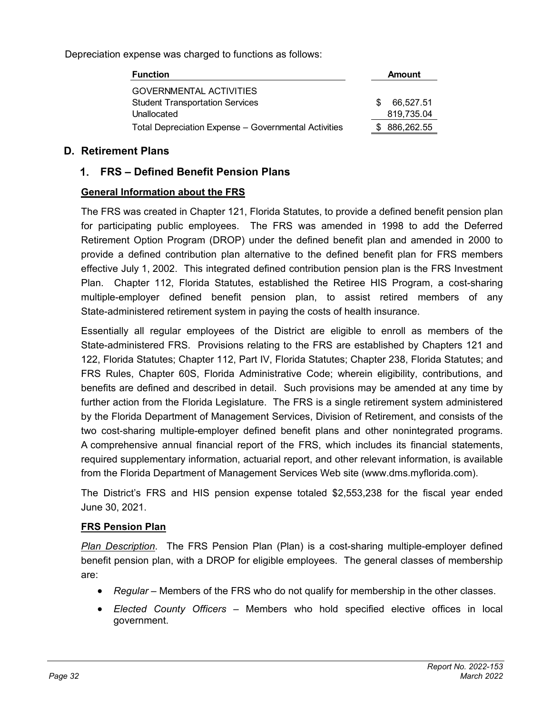Depreciation expense was charged to functions as follows:

| <b>Function</b>                                      |    | Amount     |
|------------------------------------------------------|----|------------|
| <b>GOVERNMENTAL ACTIVITIES</b>                       |    |            |
| <b>Student Transportation Services</b>               | £. | 66.527.51  |
| Unallocated                                          |    | 819,735.04 |
| Total Depreciation Expense - Governmental Activities |    | 886,262.55 |

#### **D. Retirement Plans**

#### **FRS – Defined Benefit Pension Plans**

#### **General Information about the FRS**

The FRS was created in Chapter 121, Florida Statutes, to provide a defined benefit pension plan for participating public employees. The FRS was amended in 1998 to add the Deferred Retirement Option Program (DROP) under the defined benefit plan and amended in 2000 to provide a defined contribution plan alternative to the defined benefit plan for FRS members effective July 1, 2002. This integrated defined contribution pension plan is the FRS Investment Plan. Chapter 112, Florida Statutes, established the Retiree HIS Program, a cost-sharing multiple-employer defined benefit pension plan, to assist retired members of any State-administered retirement system in paying the costs of health insurance.

Essentially all regular employees of the District are eligible to enroll as members of the State-administered FRS. Provisions relating to the FRS are established by Chapters 121 and 122, Florida Statutes; Chapter 112, Part IV, Florida Statutes; Chapter 238, Florida Statutes; and FRS Rules, Chapter 60S, Florida Administrative Code; wherein eligibility, contributions, and benefits are defined and described in detail. Such provisions may be amended at any time by further action from the Florida Legislature. The FRS is a single retirement system administered by the Florida Department of Management Services, Division of Retirement, and consists of the two cost-sharing multiple-employer defined benefit plans and other nonintegrated programs. A comprehensive annual financial report of the FRS, which includes its financial statements, required supplementary information, actuarial report, and other relevant information, is available from the Florida Department of Management Services Web site (www.dms.myflorida.com).

The District's FRS and HIS pension expense totaled \$2,553,238 for the fiscal year ended June 30, 2021.

#### **FRS Pension Plan**

*Plan Description*. The FRS Pension Plan (Plan) is a cost-sharing multiple-employer defined benefit pension plan, with a DROP for eligible employees. The general classes of membership are:

- *Regular* Members of the FRS who do not qualify for membership in the other classes.
- *Elected County Officers* Members who hold specified elective offices in local government.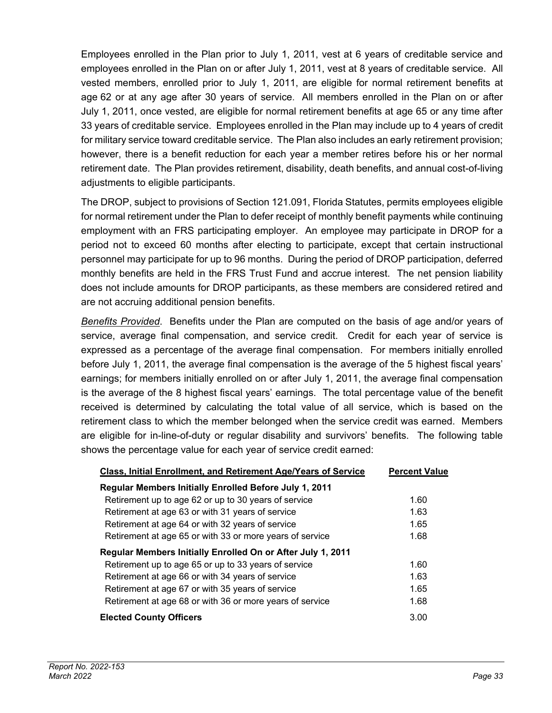Employees enrolled in the Plan prior to July 1, 2011, vest at 6 years of creditable service and employees enrolled in the Plan on or after July 1, 2011, vest at 8 years of creditable service. All vested members, enrolled prior to July 1, 2011, are eligible for normal retirement benefits at age 62 or at any age after 30 years of service. All members enrolled in the Plan on or after July 1, 2011, once vested, are eligible for normal retirement benefits at age 65 or any time after 33 years of creditable service. Employees enrolled in the Plan may include up to 4 years of credit for military service toward creditable service. The Plan also includes an early retirement provision; however, there is a benefit reduction for each year a member retires before his or her normal retirement date. The Plan provides retirement, disability, death benefits, and annual cost-of-living adjustments to eligible participants.

The DROP, subject to provisions of Section 121.091, Florida Statutes, permits employees eligible for normal retirement under the Plan to defer receipt of monthly benefit payments while continuing employment with an FRS participating employer. An employee may participate in DROP for a period not to exceed 60 months after electing to participate, except that certain instructional personnel may participate for up to 96 months. During the period of DROP participation, deferred monthly benefits are held in the FRS Trust Fund and accrue interest. The net pension liability does not include amounts for DROP participants, as these members are considered retired and are not accruing additional pension benefits.

*Benefits Provided*. Benefits under the Plan are computed on the basis of age and/or years of service, average final compensation, and service credit. Credit for each year of service is expressed as a percentage of the average final compensation. For members initially enrolled before July 1, 2011, the average final compensation is the average of the 5 highest fiscal years' earnings; for members initially enrolled on or after July 1, 2011, the average final compensation is the average of the 8 highest fiscal years' earnings. The total percentage value of the benefit received is determined by calculating the total value of all service, which is based on the retirement class to which the member belonged when the service credit was earned. Members are eligible for in-line-of-duty or regular disability and survivors' benefits. The following table shows the percentage value for each year of service credit earned:

| Class, Initial Enrollment, and Retirement Age/Years of Service | <b>Percent Value</b> |
|----------------------------------------------------------------|----------------------|
| Regular Members Initially Enrolled Before July 1, 2011         |                      |
| Retirement up to age 62 or up to 30 years of service           | 1.60                 |
| Retirement at age 63 or with 31 years of service               | 1.63                 |
| Retirement at age 64 or with 32 years of service               | 1.65                 |
| Retirement at age 65 or with 33 or more years of service       | 1.68                 |
| Regular Members Initially Enrolled On or After July 1, 2011    |                      |
| Retirement up to age 65 or up to 33 years of service           | 1.60                 |
| Retirement at age 66 or with 34 years of service               | 1.63                 |
| Retirement at age 67 or with 35 years of service               | 1.65                 |
| Retirement at age 68 or with 36 or more years of service       | 1.68                 |
| <b>Elected County Officers</b>                                 | 3.00                 |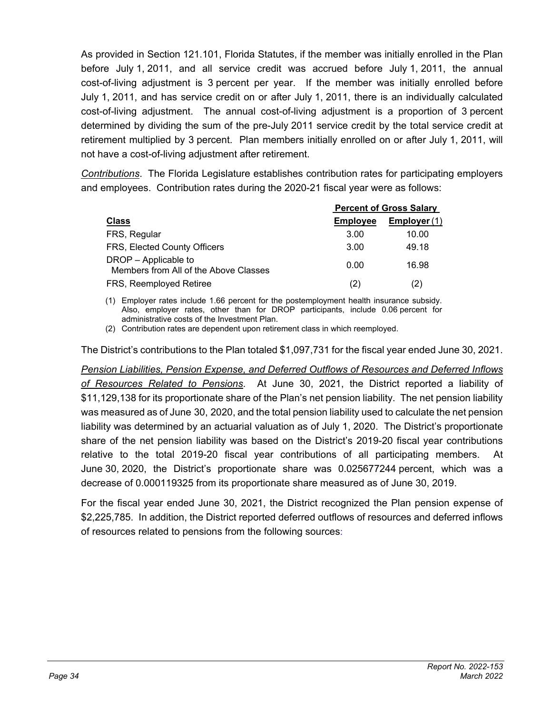As provided in Section 121.101, Florida Statutes, if the member was initially enrolled in the Plan before July 1, 2011, and all service credit was accrued before July 1, 2011, the annual cost-of-living adjustment is 3 percent per year. If the member was initially enrolled before July 1, 2011, and has service credit on or after July 1, 2011, there is an individually calculated cost-of-living adjustment. The annual cost-of-living adjustment is a proportion of 3 percent determined by dividing the sum of the pre-July 2011 service credit by the total service credit at retirement multiplied by 3 percent. Plan members initially enrolled on or after July 1, 2011, will not have a cost-of-living adjustment after retirement.

*Contributions*. The Florida Legislature establishes contribution rates for participating employers and employees. Contribution rates during the 2020-21 fiscal year were as follows:

|                                                               | <b>Percent of Gross Salary</b> |                |  |
|---------------------------------------------------------------|--------------------------------|----------------|--|
| <b>Class</b>                                                  | <b>Employee</b>                | Employer $(1)$ |  |
| FRS, Regular                                                  | 3.00                           | 10.00          |  |
| FRS, Elected County Officers                                  | 3.00                           | 49.18          |  |
| DROP - Applicable to<br>Members from All of the Above Classes | 0.00                           | 16.98          |  |
| FRS, Reemployed Retiree                                       | (2)                            | (2)            |  |

(1) Employer rates include 1.66 percent for the postemployment health insurance subsidy. Also, employer rates, other than for DROP participants, include 0.06 percent for administrative costs of the Investment Plan.

(2) Contribution rates are dependent upon retirement class in which reemployed.

The District's contributions to the Plan totaled \$1,097,731 for the fiscal year ended June 30, 2021.

*Pension Liabilities, Pension Expense, and Deferred Outflows of Resources and Deferred Inflows of Resources Related to Pensions*. At June 30, 2021, the District reported a liability of \$11,129,138 for its proportionate share of the Plan's net pension liability. The net pension liability was measured as of June 30, 2020, and the total pension liability used to calculate the net pension liability was determined by an actuarial valuation as of July 1, 2020. The District's proportionate share of the net pension liability was based on the District's 2019-20 fiscal year contributions relative to the total 2019-20 fiscal year contributions of all participating members. At June 30, 2020, the District's proportionate share was 0.025677244 percent, which was a decrease of 0.000119325 from its proportionate share measured as of June 30, 2019.

For the fiscal year ended June 30, 2021, the District recognized the Plan pension expense of \$2,225,785. In addition, the District reported deferred outflows of resources and deferred inflows of resources related to pensions from the following sources: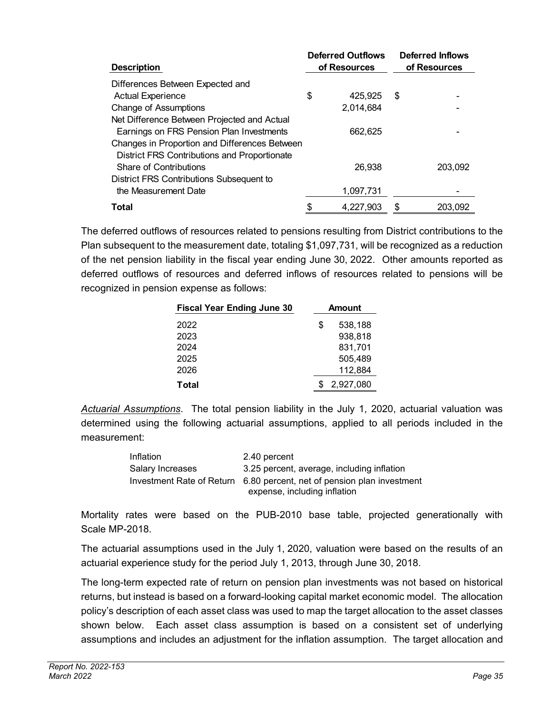|                                               | <b>Deferred Outflows</b> |    | <b>Deferred Inflows</b> |
|-----------------------------------------------|--------------------------|----|-------------------------|
| <b>Description</b>                            | of Resources             |    | of Resources            |
| Differences Between Expected and              |                          |    |                         |
| <b>Actual Experience</b>                      | \$<br>425,925            | \$ |                         |
| <b>Change of Assumptions</b>                  | 2,014,684                |    |                         |
| Net Difference Between Projected and Actual   |                          |    |                         |
| Earnings on FRS Pension Plan Investments      | 662,625                  |    |                         |
| Changes in Proportion and Differences Between |                          |    |                         |
| District FRS Contributions and Proportionate  |                          |    |                         |
| Share of Contributions                        | 26,938                   |    | 203,092                 |
| District FRS Contributions Subsequent to      |                          |    |                         |
| the Measurement Date                          | 1,097,731                |    |                         |
| <b>Total</b>                                  | 4.227.903                | S  | 203.092                 |

The deferred outflows of resources related to pensions resulting from District contributions to the Plan subsequent to the measurement date, totaling \$1,097,731, will be recognized as a reduction of the net pension liability in the fiscal year ending June 30, 2022. Other amounts reported as deferred outflows of resources and deferred inflows of resources related to pensions will be recognized in pension expense as follows:

| <b>Fiscal Year Ending June 30</b> |    | <b>Amount</b> |  |  |
|-----------------------------------|----|---------------|--|--|
| 2022                              | \$ | 538,188       |  |  |
| 2023                              |    | 938,818       |  |  |
| 2024                              |    | 831,701       |  |  |
| 2025                              |    | 505,489       |  |  |
| 2026                              |    | 112,884       |  |  |
| Total                             |    | 2,927,080     |  |  |
|                                   |    |               |  |  |

*Actuarial Assumptions*. The total pension liability in the July 1, 2020, actuarial valuation was determined using the following actuarial assumptions, applied to all periods included in the measurement:

| Inflation        | 2.40 percent                                                           |
|------------------|------------------------------------------------------------------------|
| Salary Increases | 3.25 percent, average, including inflation                             |
|                  | Investment Rate of Return 6.80 percent, net of pension plan investment |
|                  | expense, including inflation                                           |

Mortality rates were based on the PUB-2010 base table, projected generationally with Scale MP-2018.

The actuarial assumptions used in the July 1, 2020, valuation were based on the results of an actuarial experience study for the period July 1, 2013, through June 30, 2018.

The long-term expected rate of return on pension plan investments was not based on historical returns, but instead is based on a forward-looking capital market economic model. The allocation policy's description of each asset class was used to map the target allocation to the asset classes shown below. Each asset class assumption is based on a consistent set of underlying assumptions and includes an adjustment for the inflation assumption. The target allocation and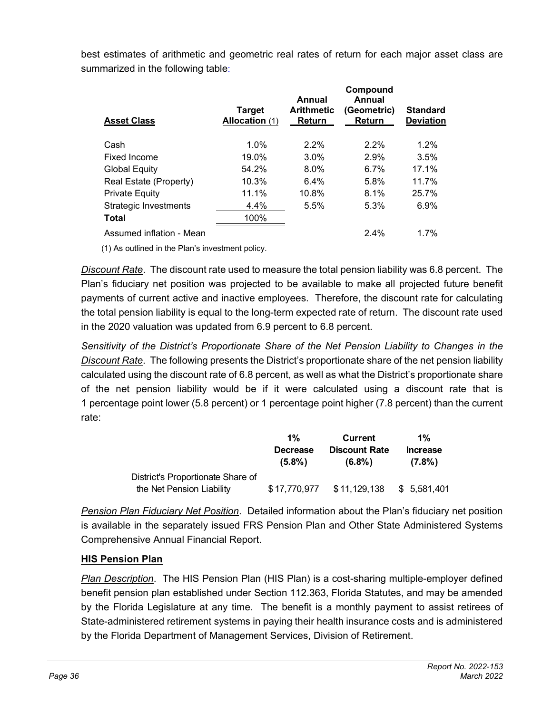best estimates of arithmetic and geometric real rates of return for each major asset class are summarized in the following table:

| <b>Asset Class</b>           | <b>Target</b><br><b>Allocation (1)</b> | Annual<br><b>Arithmetic</b><br>Return | Compound<br>Annual<br>(Geometric)<br>Return | <b>Standard</b><br><b>Deviation</b> |
|------------------------------|----------------------------------------|---------------------------------------|---------------------------------------------|-------------------------------------|
| Cash                         | 1.0%                                   | $2.2\%$                               | $2.2\%$                                     | $1.2\%$                             |
| <b>Fixed Income</b>          | 19.0%                                  | 3.0%                                  | 2.9%                                        | 3.5%                                |
| <b>Global Equity</b>         | 54.2%                                  | 8.0%                                  | 6.7%                                        | 17.1%                               |
| Real Estate (Property)       | 10.3%                                  | 6.4%                                  | 5.8%                                        | 11.7%                               |
| <b>Private Equity</b>        | 11.1%                                  | 10.8%                                 | 8.1%                                        | 25.7%                               |
| <b>Strategic Investments</b> | 4.4%                                   | 5.5%                                  | 5.3%                                        | 6.9%                                |
| <b>Total</b>                 | 100%                                   |                                       |                                             |                                     |
| Assumed inflation - Mean     |                                        |                                       | 2.4%                                        | 1.7%                                |

(1) As outlined in the Plan's investment policy.

*Discount Rate*. The discount rate used to measure the total pension liability was 6.8 percent. The Plan's fiduciary net position was projected to be available to make all projected future benefit payments of current active and inactive employees. Therefore, the discount rate for calculating the total pension liability is equal to the long-term expected rate of return. The discount rate used in the 2020 valuation was updated from 6.9 percent to 6.8 percent.

*Sensitivity of the District's Proportionate Share of the Net Pension Liability to Changes in the Discount Rate*. The following presents the District's proportionate share of the net pension liability calculated using the discount rate of 6.8 percent, as well as what the District's proportionate share of the net pension liability would be if it were calculated using a discount rate that is 1 percentage point lower (5.8 percent) or 1 percentage point higher (7.8 percent) than the current rate:

|                                   | $1\%$                     | <b>Current</b>                        | $1\%$                        |
|-----------------------------------|---------------------------|---------------------------------------|------------------------------|
|                                   | <b>Decrease</b><br>(5.8%) | <b>Discount Rate</b><br>$(6.8\%)$     | <b>Increase</b><br>$(7.8\%)$ |
| District's Proportionate Share of |                           |                                       |                              |
| the Net Pension Liability         |                           | \$17,770,977 \$11,129,138 \$5,581,401 |                              |

*Pension Plan Fiduciary Net Position*. Detailed information about the Plan's fiduciary net position is available in the separately issued FRS Pension Plan and Other State Administered Systems Comprehensive Annual Financial Report.

#### **HIS Pension Plan**

*Plan Description*. The HIS Pension Plan (HIS Plan) is a cost-sharing multiple-employer defined benefit pension plan established under Section 112.363, Florida Statutes, and may be amended by the Florida Legislature at any time. The benefit is a monthly payment to assist retirees of State-administered retirement systems in paying their health insurance costs and is administered by the Florida Department of Management Services, Division of Retirement.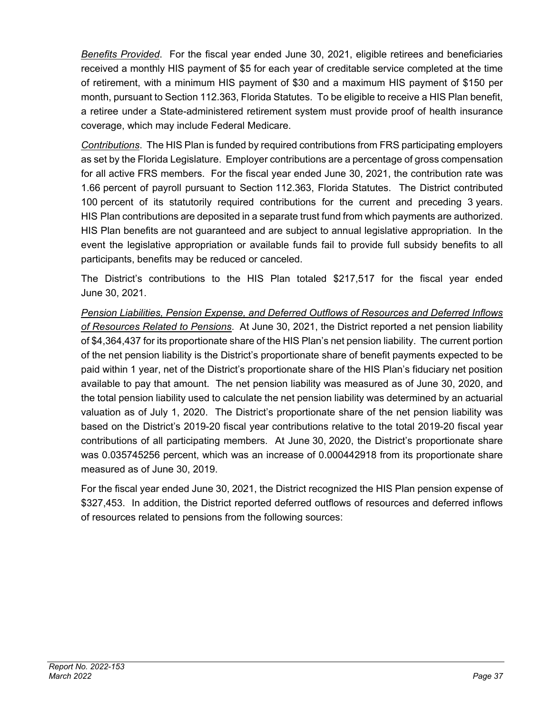*Benefits Provided*. For the fiscal year ended June 30, 2021, eligible retirees and beneficiaries received a monthly HIS payment of \$5 for each year of creditable service completed at the time of retirement, with a minimum HIS payment of \$30 and a maximum HIS payment of \$150 per month, pursuant to Section 112.363, Florida Statutes. To be eligible to receive a HIS Plan benefit, a retiree under a State-administered retirement system must provide proof of health insurance coverage, which may include Federal Medicare.

*Contributions*. The HIS Plan is funded by required contributions from FRS participating employers as set by the Florida Legislature. Employer contributions are a percentage of gross compensation for all active FRS members. For the fiscal year ended June 30, 2021, the contribution rate was 1.66 percent of payroll pursuant to Section 112.363, Florida Statutes. The District contributed 100 percent of its statutorily required contributions for the current and preceding 3 years. HIS Plan contributions are deposited in a separate trust fund from which payments are authorized. HIS Plan benefits are not guaranteed and are subject to annual legislative appropriation. In the event the legislative appropriation or available funds fail to provide full subsidy benefits to all participants, benefits may be reduced or canceled.

The District's contributions to the HIS Plan totaled \$217,517 for the fiscal year ended June 30, 2021.

*Pension Liabilities, Pension Expense, and Deferred Outflows of Resources and Deferred Inflows of Resources Related to Pensions*. At June 30, 2021, the District reported a net pension liability of \$4,364,437 for its proportionate share of the HIS Plan's net pension liability. The current portion of the net pension liability is the District's proportionate share of benefit payments expected to be paid within 1 year, net of the District's proportionate share of the HIS Plan's fiduciary net position available to pay that amount. The net pension liability was measured as of June 30, 2020, and the total pension liability used to calculate the net pension liability was determined by an actuarial valuation as of July 1, 2020. The District's proportionate share of the net pension liability was based on the District's 2019-20 fiscal year contributions relative to the total 2019-20 fiscal year contributions of all participating members. At June 30, 2020, the District's proportionate share was 0.035745256 percent, which was an increase of 0.000442918 from its proportionate share measured as of June 30, 2019.

For the fiscal year ended June 30, 2021, the District recognized the HIS Plan pension expense of \$327,453. In addition, the District reported deferred outflows of resources and deferred inflows of resources related to pensions from the following sources: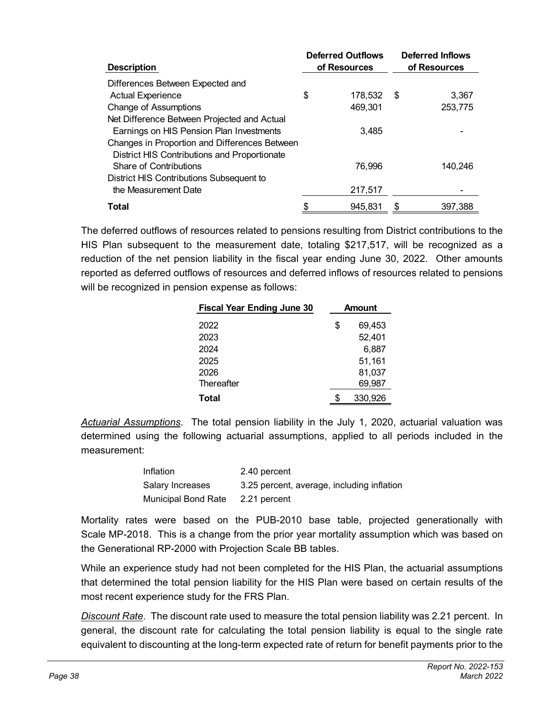| <b>Description</b>                            |    | <b>Deferred Outflows</b><br>of Resources | <b>Deferred Inflows</b><br>of Resources |         |  |
|-----------------------------------------------|----|------------------------------------------|-----------------------------------------|---------|--|
| Differences Between Expected and              |    |                                          |                                         |         |  |
| <b>Actual Experience</b>                      | \$ | 178,532                                  | \$                                      | 3,367   |  |
| <b>Change of Assumptions</b>                  |    | 469,301                                  |                                         | 253,775 |  |
| Net Difference Between Projected and Actual   |    |                                          |                                         |         |  |
| Earnings on HIS Pension Plan Investments      |    | 3.485                                    |                                         |         |  |
| Changes in Proportion and Differences Between |    |                                          |                                         |         |  |
| District HIS Contributions and Proportionate  |    |                                          |                                         |         |  |
| <b>Share of Contributions</b>                 |    | 76,996                                   |                                         | 140,246 |  |
| District HIS Contributions Subsequent to      |    |                                          |                                         |         |  |
| the Measurement Date                          |    | 217,517                                  |                                         |         |  |
| <b>Total</b>                                  | \$ | 945,831                                  | \$                                      | 397,388 |  |

The deferred outflows of resources related to pensions resulting from District contributions to the HIS Plan subsequent to the measurement date, totaling \$217,517, will be recognized as a reduction of the net pension liability in the fiscal year ending June 30, 2022. Other amounts reported as deferred outflows of resources and deferred inflows of resources related to pensions will be recognized in pension expense as follows:

| <b>Fiscal Year Ending June 30</b> |        | Amount  |  |
|-----------------------------------|--------|---------|--|
| 2022                              | \$     | 69,453  |  |
| 2023                              |        | 52,401  |  |
| 2024                              |        | 6,887   |  |
| 2025                              |        | 51,161  |  |
| 2026                              | 81,037 |         |  |
| Thereafter                        |        | 69,987  |  |
| Total                             | S      | 330,926 |  |

*Actuarial Assumptions*. The total pension liability in the July 1, 2020, actuarial valuation was determined using the following actuarial assumptions, applied to all periods included in the measurement:

| Inflation           | 2.40 percent                               |
|---------------------|--------------------------------------------|
| Salary Increases    | 3.25 percent, average, including inflation |
| Municipal Bond Rate | 2.21 percent                               |

Mortality rates were based on the PUB-2010 base table, projected generationally with Scale MP-2018. This is a change from the prior year mortality assumption which was based on the Generational RP-2000 with Projection Scale BB tables.

While an experience study had not been completed for the HIS Plan, the actuarial assumptions that determined the total pension liability for the HIS Plan were based on certain results of the most recent experience study for the FRS Plan.

*Discount Rate*. The discount rate used to measure the total pension liability was 2.21 percent. In general, the discount rate for calculating the total pension liability is equal to the single rate equivalent to discounting at the long-term expected rate of return for benefit payments prior to the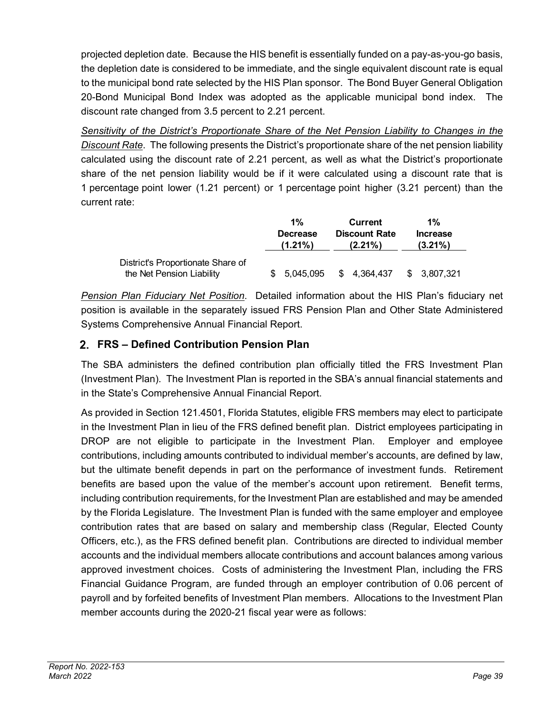projected depletion date. Because the HIS benefit is essentially funded on a pay-as-you-go basis, the depletion date is considered to be immediate, and the single equivalent discount rate is equal to the municipal bond rate selected by the HIS Plan sponsor. The Bond Buyer General Obligation 20-Bond Municipal Bond Index was adopted as the applicable municipal bond index. The discount rate changed from 3.5 percent to 2.21 percent.

*Sensitivity of the District's Proportionate Share of the Net Pension Liability to Changes in the Discount Rate*. The following presents the District's proportionate share of the net pension liability calculated using the discount rate of 2.21 percent, as well as what the District's proportionate share of the net pension liability would be if it were calculated using a discount rate that is 1 percentage point lower (1.21 percent) or 1 percentage point higher (3.21 percent) than the current rate:

|                                                                | $1\%$                         |     | <b>Current</b>                     |     | $1\%$                         |
|----------------------------------------------------------------|-------------------------------|-----|------------------------------------|-----|-------------------------------|
|                                                                | <b>Decrease</b><br>$(1.21\%)$ |     | <b>Discount Rate</b><br>$(2.21\%)$ |     | <b>Increase</b><br>$(3.21\%)$ |
| District's Proportionate Share of<br>the Net Pension Liability | \$<br>5.045.095               | \$. | 4.364.437                          | \$. | 3,807,321                     |

*Pension Plan Fiduciary Net Position*. Detailed information about the HIS Plan's fiduciary net position is available in the separately issued FRS Pension Plan and Other State Administered Systems Comprehensive Annual Financial Report.

## **FRS – Defined Contribution Pension Plan**

The SBA administers the defined contribution plan officially titled the FRS Investment Plan (Investment Plan). The Investment Plan is reported in the SBA's annual financial statements and in the State's Comprehensive Annual Financial Report.

As provided in Section 121.4501, Florida Statutes, eligible FRS members may elect to participate in the Investment Plan in lieu of the FRS defined benefit plan. District employees participating in DROP are not eligible to participate in the Investment Plan. Employer and employee contributions, including amounts contributed to individual member's accounts, are defined by law, but the ultimate benefit depends in part on the performance of investment funds. Retirement benefits are based upon the value of the member's account upon retirement. Benefit terms, including contribution requirements, for the Investment Plan are established and may be amended by the Florida Legislature. The Investment Plan is funded with the same employer and employee contribution rates that are based on salary and membership class (Regular, Elected County Officers, etc.), as the FRS defined benefit plan. Contributions are directed to individual member accounts and the individual members allocate contributions and account balances among various approved investment choices. Costs of administering the Investment Plan, including the FRS Financial Guidance Program, are funded through an employer contribution of 0.06 percent of payroll and by forfeited benefits of Investment Plan members. Allocations to the Investment Plan member accounts during the 2020-21 fiscal year were as follows: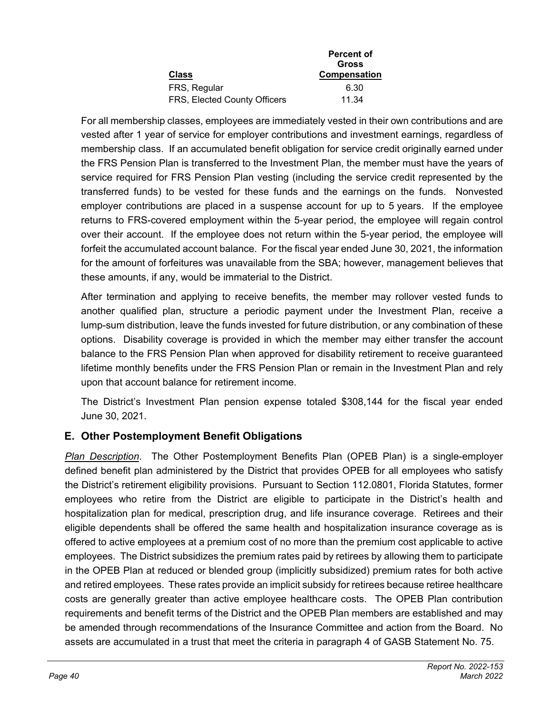|                              | <b>Percent of</b> |  |
|------------------------------|-------------------|--|
|                              | Gross             |  |
| <b>Class</b>                 | Compensation      |  |
| FRS, Regular                 | 6.30              |  |
| FRS, Elected County Officers | 11.34             |  |

For all membership classes, employees are immediately vested in their own contributions and are vested after 1 year of service for employer contributions and investment earnings, regardless of membership class. If an accumulated benefit obligation for service credit originally earned under the FRS Pension Plan is transferred to the Investment Plan, the member must have the years of service required for FRS Pension Plan vesting (including the service credit represented by the transferred funds) to be vested for these funds and the earnings on the funds. Nonvested employer contributions are placed in a suspense account for up to 5 years. If the employee returns to FRS-covered employment within the 5-year period, the employee will regain control over their account. If the employee does not return within the 5-year period, the employee will forfeit the accumulated account balance. For the fiscal year ended June 30, 2021, the information for the amount of forfeitures was unavailable from the SBA; however, management believes that these amounts, if any, would be immaterial to the District.

After termination and applying to receive benefits, the member may rollover vested funds to another qualified plan, structure a periodic payment under the Investment Plan, receive a lump-sum distribution, leave the funds invested for future distribution, or any combination of these options. Disability coverage is provided in which the member may either transfer the account balance to the FRS Pension Plan when approved for disability retirement to receive guaranteed lifetime monthly benefits under the FRS Pension Plan or remain in the Investment Plan and rely upon that account balance for retirement income.

The District's Investment Plan pension expense totaled \$308,144 for the fiscal year ended June 30, 2021.

## **E. Other Postemployment Benefit Obligations**

*Plan Description*. The Other Postemployment Benefits Plan (OPEB Plan) is a single-employer defined benefit plan administered by the District that provides OPEB for all employees who satisfy the District's retirement eligibility provisions. Pursuant to Section 112.0801, Florida Statutes, former employees who retire from the District are eligible to participate in the District's health and hospitalization plan for medical, prescription drug, and life insurance coverage. Retirees and their eligible dependents shall be offered the same health and hospitalization insurance coverage as is offered to active employees at a premium cost of no more than the premium cost applicable to active employees. The District subsidizes the premium rates paid by retirees by allowing them to participate in the OPEB Plan at reduced or blended group (implicitly subsidized) premium rates for both active and retired employees. These rates provide an implicit subsidy for retirees because retiree healthcare costs are generally greater than active employee healthcare costs. The OPEB Plan contribution requirements and benefit terms of the District and the OPEB Plan members are established and may be amended through recommendations of the Insurance Committee and action from the Board. No assets are accumulated in a trust that meet the criteria in paragraph 4 of GASB Statement No. 75.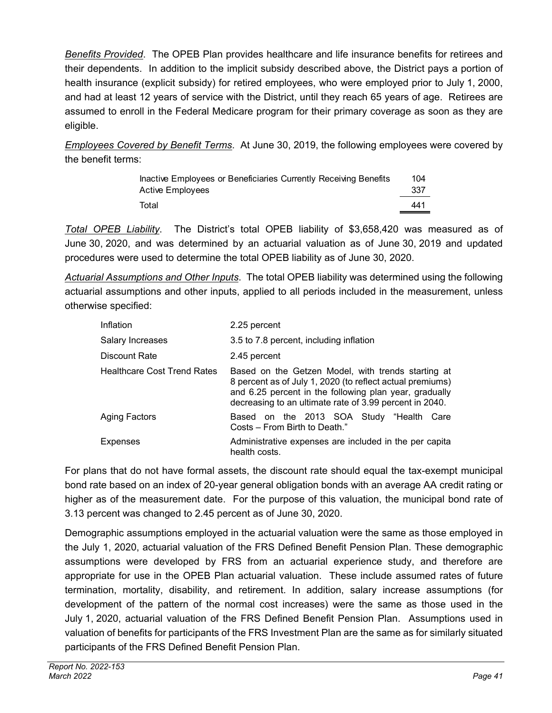*Benefits Provided*.The OPEB Plan provides healthcare and life insurance benefits for retirees and their dependents. In addition to the implicit subsidy described above, the District pays a portion of health insurance (explicit subsidy) for retired employees, who were employed prior to July 1, 2000, and had at least 12 years of service with the District, until they reach 65 years of age. Retirees are assumed to enroll in the Federal Medicare program for their primary coverage as soon as they are eligible.

*Employees Covered by Benefit Terms*. At June 30, 2019, the following employees were covered by the benefit terms:

| Inactive Employees or Beneficiaries Currently Receiving Benefits | 104 |
|------------------------------------------------------------------|-----|
| Active Employees                                                 | 337 |
| Total                                                            | 441 |

*Total OPEB Liability*. The District's total OPEB liability of \$3,658,420 was measured as of June 30, 2020, and was determined by an actuarial valuation as of June 30, 2019 and updated procedures were used to determine the total OPEB liability as of June 30, 2020.

*Actuarial Assumptions and Other Inputs*. The total OPEB liability was determined using the following actuarial assumptions and other inputs, applied to all periods included in the measurement, unless otherwise specified:

| Inflation                          | 2.25 percent                                                                                                                                                                                                                         |  |  |  |
|------------------------------------|--------------------------------------------------------------------------------------------------------------------------------------------------------------------------------------------------------------------------------------|--|--|--|
| <b>Salary Increases</b>            | 3.5 to 7.8 percent, including inflation                                                                                                                                                                                              |  |  |  |
| Discount Rate                      | 2.45 percent                                                                                                                                                                                                                         |  |  |  |
| <b>Healthcare Cost Trend Rates</b> | Based on the Getzen Model, with trends starting at<br>8 percent as of July 1, 2020 (to reflect actual premiums)<br>and 6.25 percent in the following plan year, gradually<br>decreasing to an ultimate rate of 3.99 percent in 2040. |  |  |  |
| <b>Aging Factors</b>               | Based on the 2013 SOA Study "Health<br>Care<br>Costs – From Birth to Death."                                                                                                                                                         |  |  |  |
| <b>Expenses</b>                    | Administrative expenses are included in the per capita<br>health costs.                                                                                                                                                              |  |  |  |

For plans that do not have formal assets, the discount rate should equal the tax-exempt municipal bond rate based on an index of 20-year general obligation bonds with an average AA credit rating or higher as of the measurement date. For the purpose of this valuation, the municipal bond rate of 3.13 percent was changed to 2.45 percent as of June 30, 2020.

Demographic assumptions employed in the actuarial valuation were the same as those employed in the July 1, 2020, actuarial valuation of the FRS Defined Benefit Pension Plan. These demographic assumptions were developed by FRS from an actuarial experience study, and therefore are appropriate for use in the OPEB Plan actuarial valuation. These include assumed rates of future termination, mortality, disability, and retirement. In addition, salary increase assumptions (for development of the pattern of the normal cost increases) were the same as those used in the July 1, 2020, actuarial valuation of the FRS Defined Benefit Pension Plan. Assumptions used in valuation of benefits for participants of the FRS Investment Plan are the same as for similarly situated participants of the FRS Defined Benefit Pension Plan.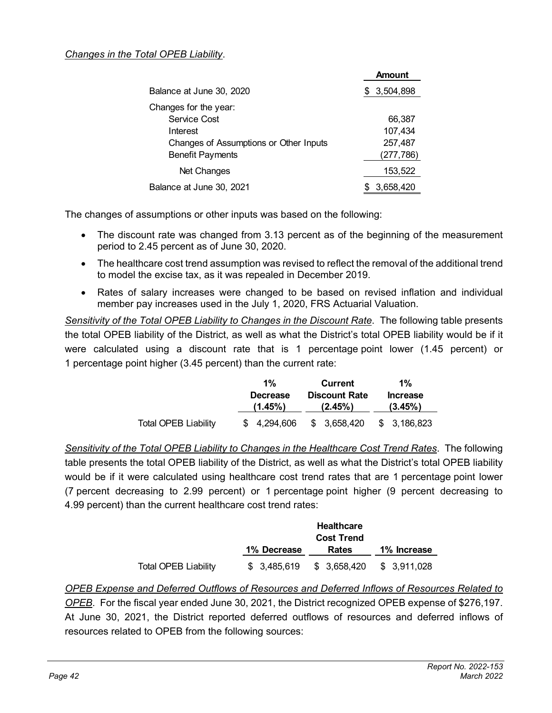#### *Changes in the Total OPEB Liability*.

|                                        |    | <b>Amount</b> |
|----------------------------------------|----|---------------|
| Balance at June 30, 2020               | S. | 3,504,898     |
| Changes for the year:                  |    |               |
| Service Cost                           |    | 66,387        |
| Interest                               |    | 107,434       |
| Changes of Assumptions or Other Inputs |    | 257,487       |
| <b>Benefit Payments</b>                |    | (277,786)     |
| Net Changes                            |    | 153,522       |
| Balance at June 30, 2021               |    | 3.658.420     |

The changes of assumptions or other inputs was based on the following:

- The discount rate was changed from 3.13 percent as of the beginning of the measurement period to 2.45 percent as of June 30, 2020.
- The healthcare cost trend assumption was revised to reflect the removal of the additional trend to model the excise tax, as it was repealed in December 2019.
- Rates of salary increases were changed to be based on revised inflation and individual member pay increases used in the July 1, 2020, FRS Actuarial Valuation.

*Sensitivity of the Total OPEB Liability to Changes in the Discount Rate*. The following table presents the total OPEB liability of the District, as well as what the District's total OPEB liability would be if it were calculated using a discount rate that is 1 percentage point lower (1.45 percent) or 1 percentage point higher (3.45 percent) than the current rate:

|                             | $1\%$           | <b>Current</b>       | $1\%$           |
|-----------------------------|-----------------|----------------------|-----------------|
|                             | <b>Decrease</b> | <b>Discount Rate</b> | <b>Increase</b> |
|                             | (1.45%)         | $(2.45\%)$           | (3.45%)         |
| <b>Total OPEB Liability</b> | \$4.294,606     | \$3,658,420          | \$3,186,823     |

*Sensitivity of the Total OPEB Liability to Changes in the Healthcare Cost Trend Rates*. The following table presents the total OPEB liability of the District, as well as what the District's total OPEB liability would be if it were calculated using healthcare cost trend rates that are 1 percentage point lower (7 percent decreasing to 2.99 percent) or 1 percentage point higher (9 percent decreasing to 4.99 percent) than the current healthcare cost trend rates:

|                             |              | <b>Healthcare</b><br><b>Cost Trend</b> |             |
|-----------------------------|--------------|----------------------------------------|-------------|
|                             | 1% Decrease  | Rates                                  | 1% Increase |
| <b>Total OPEB Liability</b> | \$ 3.485.619 | \$ 3,658,420 \$ 3,911,028              |             |

*OPEB Expense and Deferred Outflows of Resources and Deferred Inflows of Resources Related to OPEB*. For the fiscal year ended June 30, 2021, the District recognized OPEB expense of \$276,197. At June 30, 2021, the District reported deferred outflows of resources and deferred inflows of resources related to OPEB from the following sources: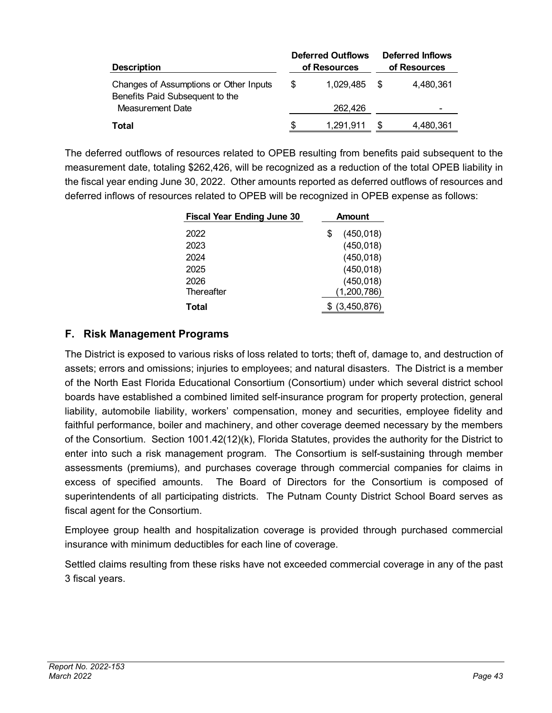| <b>Description</b>                                                        |   | <b>Deferred Outflows</b><br>of Resources |      | <b>Deferred Inflows</b><br>of Resources |
|---------------------------------------------------------------------------|---|------------------------------------------|------|-----------------------------------------|
| Changes of Assumptions or Other Inputs<br>Benefits Paid Subsequent to the | S | 1,029,485                                | - \$ | 4,480,361                               |
| Measurement Date                                                          |   | 262,426                                  |      | $\overline{\phantom{0}}$                |
| Total                                                                     |   | 1,291,911                                | \$.  | 4,480,361                               |

The deferred outflows of resources related to OPEB resulting from benefits paid subsequent to the measurement date, totaling \$262,426, will be recognized as a reduction of the total OPEB liability in the fiscal year ending June 30, 2022. Other amounts reported as deferred outflows of resources and deferred inflows of resources related to OPEB will be recognized in OPEB expense as follows:

| <b>Fiscal Year Ending June 30</b> | <b>Amount</b>    |  |  |
|-----------------------------------|------------------|--|--|
| 2022                              | \$<br>(450, 018) |  |  |
| 2023                              | (450, 018)       |  |  |
| 2024                              | (450, 018)       |  |  |
| 2025                              | (450, 018)       |  |  |
| 2026                              | (450, 018)       |  |  |
| Thereafter                        | (1,200,786)      |  |  |
| Total                             | (3,450,876)      |  |  |

## **F. Risk Management Programs**

The District is exposed to various risks of loss related to torts; theft of, damage to, and destruction of assets; errors and omissions; injuries to employees; and natural disasters. The District is a member of the North East Florida Educational Consortium (Consortium) under which several district school boards have established a combined limited self-insurance program for property protection, general liability, automobile liability, workers' compensation, money and securities, employee fidelity and faithful performance, boiler and machinery, and other coverage deemed necessary by the members of the Consortium. Section 1001.42(12)(k), Florida Statutes, provides the authority for the District to enter into such a risk management program. The Consortium is self-sustaining through member assessments (premiums), and purchases coverage through commercial companies for claims in excess of specified amounts. The Board of Directors for the Consortium is composed of superintendents of all participating districts. The Putnam County District School Board serves as fiscal agent for the Consortium.

Employee group health and hospitalization coverage is provided through purchased commercial insurance with minimum deductibles for each line of coverage.

Settled claims resulting from these risks have not exceeded commercial coverage in any of the past 3 fiscal years.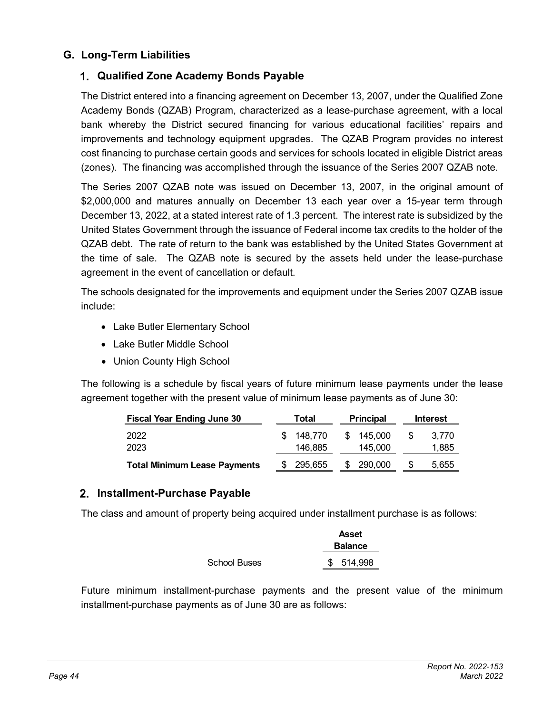#### **G. Long-Term Liabilities**

#### **Qualified Zone Academy Bonds Payable**

The District entered into a financing agreement on December 13, 2007, under the Qualified Zone Academy Bonds (QZAB) Program, characterized as a lease-purchase agreement, with a local bank whereby the District secured financing for various educational facilities' repairs and improvements and technology equipment upgrades. The QZAB Program provides no interest cost financing to purchase certain goods and services for schools located in eligible District areas (zones). The financing was accomplished through the issuance of the Series 2007 QZAB note.

The Series 2007 QZAB note was issued on December 13, 2007, in the original amount of \$2,000,000 and matures annually on December 13 each year over a 15-year term through December 13, 2022, at a stated interest rate of 1.3 percent. The interest rate is subsidized by the United States Government through the issuance of Federal income tax credits to the holder of the QZAB debt. The rate of return to the bank was established by the United States Government at the time of sale. The QZAB note is secured by the assets held under the lease-purchase agreement in the event of cancellation or default.

The schools designated for the improvements and equipment under the Series 2007 QZAB issue include:

- Lake Butler Elementary School
- Lake Butler Middle School
- Union County High School

The following is a schedule by fiscal years of future minimum lease payments under the lease agreement together with the present value of minimum lease payments as of June 30:

| <b>Fiscal Year Ending June 30</b>   | Total              | <b>Principal</b>   | <b>Interest</b>       |
|-------------------------------------|--------------------|--------------------|-----------------------|
| 2022<br>2023                        | 148.770<br>146.885 | 145.000<br>145.000 | 3.770<br>\$.<br>1,885 |
| <b>Total Minimum Lease Payments</b> | 295,655            | 290,000<br>S       | 5,655                 |
|                                     |                    |                    |                       |

#### **Installment-Purchase Payable**

The class and amount of property being acquired under installment purchase is as follows:

|                     | <b>Asset</b><br><b>Balance</b> |
|---------------------|--------------------------------|
| <b>School Buses</b> | \$514,998                      |

Future minimum installment-purchase payments and the present value of the minimum installment-purchase payments as of June 30 are as follows: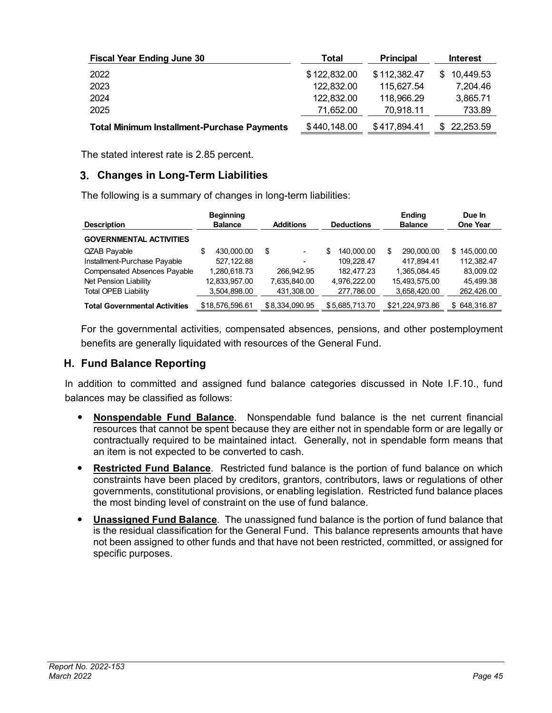| <b>Fiscal Year Ending June 30</b>                  | Total        | <b>Principal</b> | <b>Interest</b>  |
|----------------------------------------------------|--------------|------------------|------------------|
| 2022                                               | \$122,832.00 | \$112,382.47     | 10,449.53<br>\$. |
| 2023                                               | 122,832.00   | 115.627.54       | 7.204.46         |
| 2024                                               | 122,832.00   | 118,966.29       | 3,865.71         |
| 2025                                               | 71,652.00    | 70.918.11        | 733.89           |
| <b>Total Minimum Installment-Purchase Payments</b> | \$440,148.00 | \$417,894.41     | 22,253.59<br>\$. |

The stated interest rate is 2.85 percent.

#### **Changes in Long-Term Liabilities**

The following is a summary of changes in long-term liabilities:

| <b>Description</b>                   | <b>Beginning</b><br><b>Balance</b> | <b>Additions</b>              | <b>Deductions</b> | <b>Ending</b><br><b>Balance</b> | Due In<br><b>One Year</b> |
|--------------------------------------|------------------------------------|-------------------------------|-------------------|---------------------------------|---------------------------|
| <b>GOVERNMENTAL ACTIVITIES</b>       |                                    |                               |                   |                                 |                           |
| QZAB Payable                         | 430.000.00<br>\$                   | S<br>$\overline{\phantom{a}}$ | 140.000.00<br>S   | 290,000.00<br>S                 | \$145,000.00              |
| Installment-Purchase Payable         | 527.122.88                         |                               | 109.228.47        | 417.894.41                      | 112.382.47                |
| <b>Compensated Absences Payable</b>  | 1,280,618.73                       | 266.942.95                    | 182.477.23        | 1.365.084.45                    | 83,009.02                 |
| Net Pension Liability                | 12,833,957.00                      | 7,635,840.00                  | 4.976.222.00      | 15,493,575.00                   | 45.499.38                 |
| <b>Total OPEB Liability</b>          | 3,504,898.00                       | 431,308.00                    | 277,786.00        | 3,658,420.00                    | 262,426.00                |
| <b>Total Governmental Activities</b> | \$18,576,596.61                    | \$8,334,090.95                | \$5,685,713.70    | \$21,224,973.86                 | \$648,316.87              |

For the governmental activities, compensated absences, pensions, and other postemployment benefits are generally liquidated with resources of the General Fund.

#### **H. Fund Balance Reporting**

In addition to committed and assigned fund balance categories discussed in Note I.F.10., fund balances may be classified as follows:

- **Nonspendable Fund Balance**. Nonspendable fund balance is the net current financial resources that cannot be spent because they are either not in spendable form or are legally or contractually required to be maintained intact. Generally, not in spendable form means that an item is not expected to be converted to cash.
- **Restricted Fund Balance**. Restricted fund balance is the portion of fund balance on which constraints have been placed by creditors, grantors, contributors, laws or regulations of other governments, constitutional provisions, or enabling legislation. Restricted fund balance places the most binding level of constraint on the use of fund balance.
- **Unassigned Fund Balance**. The unassigned fund balance is the portion of fund balance that is the residual classification for the General Fund. This balance represents amounts that have not been assigned to other funds and that have not been restricted, committed, or assigned for specific purposes.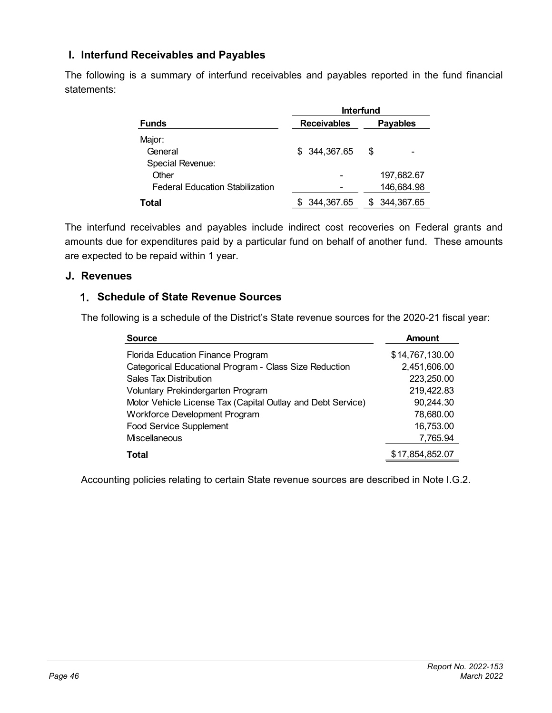#### **I. Interfund Receivables and Payables**

The following is a summary of interfund receivables and payables reported in the fund financial statements:

|                                        | <b>Interfund</b>                      |            |  |
|----------------------------------------|---------------------------------------|------------|--|
| <b>Funds</b>                           | <b>Receivables</b><br><b>Payables</b> |            |  |
| Major:                                 |                                       |            |  |
| General                                | \$ 344,367.65                         | S          |  |
| Special Revenue:                       |                                       |            |  |
| Other                                  |                                       | 197,682.67 |  |
| <b>Federal Education Stabilization</b> |                                       | 146,684.98 |  |
| Total                                  | 344,367.65                            | 344,367.65 |  |

The interfund receivables and payables include indirect cost recoveries on Federal grants and amounts due for expenditures paid by a particular fund on behalf of another fund. These amounts are expected to be repaid within 1 year.

#### **J. Revenues**

#### **Schedule of State Revenue Sources**

The following is a schedule of the District's State revenue sources for the 2020-21 fiscal year:

| <b>Source</b>                                               | <b>Amount</b>   |
|-------------------------------------------------------------|-----------------|
| Florida Education Finance Program                           | \$14,767,130.00 |
| Categorical Educational Program - Class Size Reduction      | 2,451,606.00    |
| Sales Tax Distribution                                      | 223,250.00      |
| Voluntary Prekindergarten Program                           | 219,422.83      |
| Motor Vehicle License Tax (Capital Outlay and Debt Service) | 90,244.30       |
| Workforce Development Program                               | 78,680.00       |
| <b>Food Service Supplement</b>                              | 16,753.00       |
| <b>Miscellaneous</b>                                        | 7,765.94        |
| Total                                                       | \$17,854,852.07 |

Accounting policies relating to certain State revenue sources are described in Note I.G.2.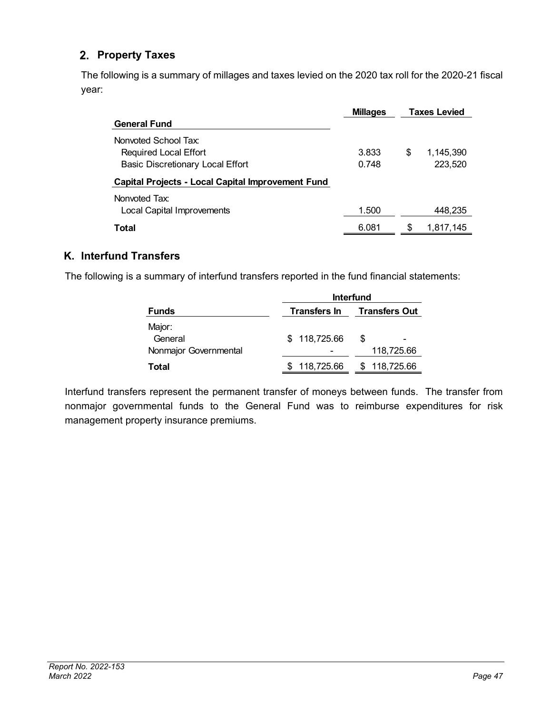## **Property Taxes**

The following is a summary of millages and taxes levied on the 2020 tax roll for the 2020-21 fiscal year:

|                                                          | <b>Millages</b> |     | <b>Taxes Levied</b> |
|----------------------------------------------------------|-----------------|-----|---------------------|
| <b>General Fund</b>                                      |                 |     |                     |
| Nonvoted School Tax:                                     |                 |     |                     |
| Required Local Effort                                    | 3.833           | S   | 1,145,390           |
| <b>Basic Discretionary Local Effort</b>                  | 0.748           |     | 223,520             |
| <b>Capital Projects - Local Capital Improvement Fund</b> |                 |     |                     |
| Nonvoted Tax:                                            |                 |     |                     |
| Local Capital Improvements                               | 1.500           |     | 448,235             |
| Total                                                    | 6.081           | \$. | 1,817,145           |

## **K. Interfund Transfers**

The following is a summary of interfund transfers reported in the fund financial statements:

|                       | <b>Interfund</b> |                                   |  |
|-----------------------|------------------|-----------------------------------|--|
| <b>Funds</b>          |                  | <b>Transfers In Transfers Out</b> |  |
| Major:                |                  |                                   |  |
| General               | \$118,725.66     | -S<br>-                           |  |
| Nonmajor Governmental |                  | 118,725.66                        |  |
| Total                 | \$118,725.66     | \$118,725.66                      |  |

Interfund transfers represent the permanent transfer of moneys between funds. The transfer from nonmajor governmental funds to the General Fund was to reimburse expenditures for risk management property insurance premiums.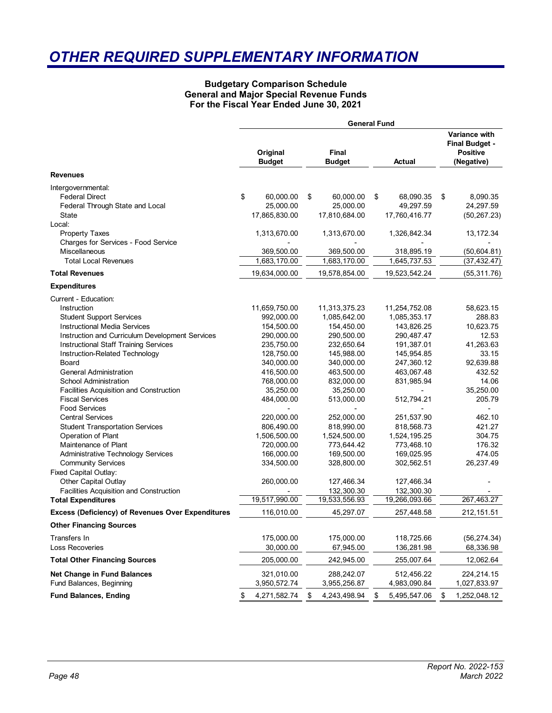## <span id="page-53-0"></span>*OTHER REQUIRED SUPPLEMENTARY INFORMATION*

#### **Budgetary Comparison Schedule General and Major Special Revenue Funds For the Fiscal Year Ended June 30, 2021**

|                                                                                                                                                                                                                                                                                                                                                                                                                                                                                                                                                                                                                                                                                                                                                        | <b>General Fund</b>       |                                                                                                                                                                                                                                                                               |                        |                                                                                                                                                                                                                                                                                               |        |                                                                                                                                                                                                                                                                                  |    |                                                                                                                                                                                                          |
|--------------------------------------------------------------------------------------------------------------------------------------------------------------------------------------------------------------------------------------------------------------------------------------------------------------------------------------------------------------------------------------------------------------------------------------------------------------------------------------------------------------------------------------------------------------------------------------------------------------------------------------------------------------------------------------------------------------------------------------------------------|---------------------------|-------------------------------------------------------------------------------------------------------------------------------------------------------------------------------------------------------------------------------------------------------------------------------|------------------------|-----------------------------------------------------------------------------------------------------------------------------------------------------------------------------------------------------------------------------------------------------------------------------------------------|--------|----------------------------------------------------------------------------------------------------------------------------------------------------------------------------------------------------------------------------------------------------------------------------------|----|----------------------------------------------------------------------------------------------------------------------------------------------------------------------------------------------------------|
|                                                                                                                                                                                                                                                                                                                                                                                                                                                                                                                                                                                                                                                                                                                                                        | Original<br><b>Budget</b> |                                                                                                                                                                                                                                                                               | Final<br><b>Budget</b> |                                                                                                                                                                                                                                                                                               | Actual |                                                                                                                                                                                                                                                                                  |    | Variance with<br><b>Final Budget -</b><br><b>Positive</b><br>(Negative)                                                                                                                                  |
| <b>Revenues</b>                                                                                                                                                                                                                                                                                                                                                                                                                                                                                                                                                                                                                                                                                                                                        |                           |                                                                                                                                                                                                                                                                               |                        |                                                                                                                                                                                                                                                                                               |        |                                                                                                                                                                                                                                                                                  |    |                                                                                                                                                                                                          |
| Intergovernmental:<br><b>Federal Direct</b><br>Federal Through State and Local<br>State                                                                                                                                                                                                                                                                                                                                                                                                                                                                                                                                                                                                                                                                | \$                        | 60,000.00<br>25,000.00<br>17,865,830.00                                                                                                                                                                                                                                       | \$                     | 60,000.00<br>25,000.00<br>17,810,684.00                                                                                                                                                                                                                                                       | \$     | 68,090.35<br>49,297.59<br>17,760,416.77                                                                                                                                                                                                                                          | \$ | 8,090.35<br>24,297.59<br>(50, 267.23)                                                                                                                                                                    |
| Local:<br><b>Property Taxes</b><br>Charges for Services - Food Service<br>Miscellaneous                                                                                                                                                                                                                                                                                                                                                                                                                                                                                                                                                                                                                                                                |                           | 1,313,670.00<br>369,500.00                                                                                                                                                                                                                                                    |                        | 1,313,670.00<br>369,500.00                                                                                                                                                                                                                                                                    |        | 1,326,842.34<br>318,895.19                                                                                                                                                                                                                                                       |    | 13,172.34<br>(50, 604.81)                                                                                                                                                                                |
| <b>Total Local Revenues</b>                                                                                                                                                                                                                                                                                                                                                                                                                                                                                                                                                                                                                                                                                                                            |                           | 1,683,170.00                                                                                                                                                                                                                                                                  |                        | 1,683,170.00                                                                                                                                                                                                                                                                                  |        | 1,645,737.53                                                                                                                                                                                                                                                                     |    | (37, 432.47)                                                                                                                                                                                             |
| <b>Total Revenues</b>                                                                                                                                                                                                                                                                                                                                                                                                                                                                                                                                                                                                                                                                                                                                  |                           | 19,634,000.00                                                                                                                                                                                                                                                                 |                        | 19,578,854.00                                                                                                                                                                                                                                                                                 |        | 19,523,542.24                                                                                                                                                                                                                                                                    |    | (55, 311.76)                                                                                                                                                                                             |
| <b>Expenditures</b>                                                                                                                                                                                                                                                                                                                                                                                                                                                                                                                                                                                                                                                                                                                                    |                           |                                                                                                                                                                                                                                                                               |                        |                                                                                                                                                                                                                                                                                               |        |                                                                                                                                                                                                                                                                                  |    |                                                                                                                                                                                                          |
| Current - Education:<br>Instruction<br><b>Student Support Services</b><br><b>Instructional Media Services</b><br>Instruction and Curriculum Development Services<br><b>Instructional Staff Training Services</b><br>Instruction-Related Technology<br>Board<br><b>General Administration</b><br><b>School Administration</b><br><b>Facilities Acquisition and Construction</b><br><b>Fiscal Services</b><br><b>Food Services</b><br><b>Central Services</b><br><b>Student Transportation Services</b><br>Operation of Plant<br>Maintenance of Plant<br><b>Administrative Technology Services</b><br><b>Community Services</b><br>Fixed Capital Outlay:<br>Other Capital Outlay<br>Facilities Acquisition and Construction<br><b>Total Expenditures</b> |                           | 11,659,750.00<br>992,000.00<br>154,500.00<br>290,000.00<br>235,750.00<br>128,750.00<br>340,000.00<br>416,500.00<br>768,000.00<br>35,250.00<br>484,000.00<br>220,000.00<br>806,490.00<br>1,506,500.00<br>720,000.00<br>166,000.00<br>334,500.00<br>260,000.00<br>19,517,990.00 |                        | 11,313,375.23<br>1,085,642.00<br>154,450.00<br>290,500.00<br>232,650.64<br>145,988.00<br>340,000.00<br>463,500.00<br>832,000.00<br>35,250.00<br>513,000.00<br>252,000.00<br>818,990.00<br>1,524,500.00<br>773,644.42<br>169,500.00<br>328,800.00<br>127,466.34<br>132,300.30<br>19,533,556.93 |        | 11,254,752.08<br>1,085,353.17<br>143,826.25<br>290,487.47<br>191,387.01<br>145,954.85<br>247,360.12<br>463,067.48<br>831,985.94<br>512,794.21<br>251,537.90<br>818,568.73<br>1,524,195.25<br>773,468.10<br>169,025.95<br>302,562.51<br>127,466.34<br>132,300.30<br>19,266,093.66 |    | 58,623.15<br>288.83<br>10,623.75<br>12.53<br>41,263.63<br>33.15<br>92,639.88<br>432.52<br>14.06<br>35,250.00<br>205.79<br>٠<br>462.10<br>421.27<br>304.75<br>176.32<br>474.05<br>26,237.49<br>267,463.27 |
| <b>Excess (Deficiency) of Revenues Over Expenditures</b>                                                                                                                                                                                                                                                                                                                                                                                                                                                                                                                                                                                                                                                                                               |                           | 116,010.00                                                                                                                                                                                                                                                                    |                        | 45,297.07                                                                                                                                                                                                                                                                                     |        | 257,448.58                                                                                                                                                                                                                                                                       |    | 212, 151.51                                                                                                                                                                                              |
|                                                                                                                                                                                                                                                                                                                                                                                                                                                                                                                                                                                                                                                                                                                                                        |                           |                                                                                                                                                                                                                                                                               |                        |                                                                                                                                                                                                                                                                                               |        |                                                                                                                                                                                                                                                                                  |    |                                                                                                                                                                                                          |
| <b>Other Financing Sources</b><br>Transfers In<br>Loss Recoveries                                                                                                                                                                                                                                                                                                                                                                                                                                                                                                                                                                                                                                                                                      |                           | 175,000.00<br>30,000.00                                                                                                                                                                                                                                                       |                        | 175,000.00<br>67,945.00                                                                                                                                                                                                                                                                       |        | 118,725.66<br>136,281.98                                                                                                                                                                                                                                                         |    | (56, 274.34)<br>68,336.98                                                                                                                                                                                |
| <b>Total Other Financing Sources</b>                                                                                                                                                                                                                                                                                                                                                                                                                                                                                                                                                                                                                                                                                                                   |                           | 205,000.00                                                                                                                                                                                                                                                                    |                        | 242,945.00                                                                                                                                                                                                                                                                                    |        | 255,007.64                                                                                                                                                                                                                                                                       |    | 12,062.64                                                                                                                                                                                                |
| <b>Net Change in Fund Balances</b><br>Fund Balances, Beginning                                                                                                                                                                                                                                                                                                                                                                                                                                                                                                                                                                                                                                                                                         |                           | 321,010.00<br>3,950,572.74                                                                                                                                                                                                                                                    |                        | 288,242.07<br>3,955,256.87                                                                                                                                                                                                                                                                    |        | 512,456.22<br>4,983,090.84                                                                                                                                                                                                                                                       |    | 224,214.15<br>1,027,833.97                                                                                                                                                                               |
| <b>Fund Balances, Ending</b>                                                                                                                                                                                                                                                                                                                                                                                                                                                                                                                                                                                                                                                                                                                           | \$                        | 4,271,582.74                                                                                                                                                                                                                                                                  | \$                     | 4,243,498.94                                                                                                                                                                                                                                                                                  | \$     | 5,495,547.06                                                                                                                                                                                                                                                                     | \$ | 1,252,048.12                                                                                                                                                                                             |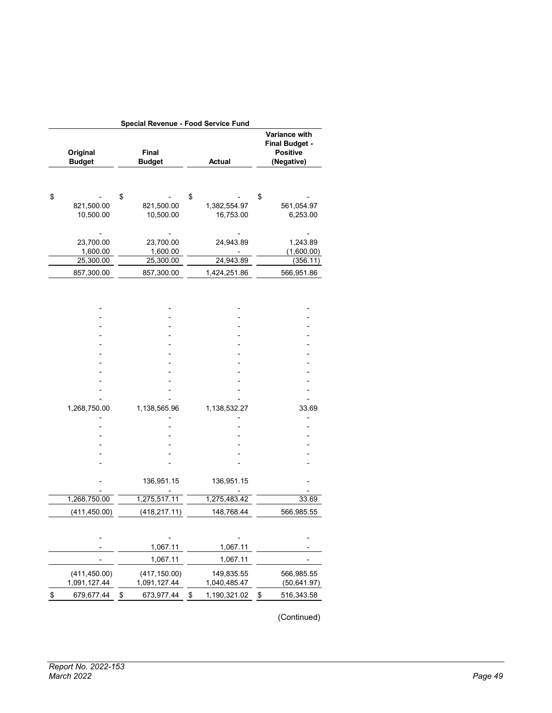|               | Special Revenue - Food Service Fund |                               |                    |                                                                         |  |  |  |  |  |  |
|---------------|-------------------------------------|-------------------------------|--------------------|-------------------------------------------------------------------------|--|--|--|--|--|--|
|               | Original<br><b>Budget</b>           | <b>Final</b><br><b>Budget</b> | <b>Actual</b>      | Variance with<br><b>Final Budget -</b><br><b>Positive</b><br>(Negative) |  |  |  |  |  |  |
|               |                                     |                               |                    |                                                                         |  |  |  |  |  |  |
|               |                                     |                               |                    |                                                                         |  |  |  |  |  |  |
| \$            |                                     | \$                            | \$                 | \$                                                                      |  |  |  |  |  |  |
|               | 821,500.00                          | 821,500.00                    | 1,382,554.97       | 561,054.97                                                              |  |  |  |  |  |  |
|               | 10,500.00                           | 10,500.00                     | 16,753.00          | 6,253.00                                                                |  |  |  |  |  |  |
|               |                                     |                               |                    |                                                                         |  |  |  |  |  |  |
|               |                                     |                               |                    |                                                                         |  |  |  |  |  |  |
|               | 23,700.00<br>1,600.00               | 23,700.00<br>1,600.00         | 24,943.89          | 1,243.89<br>(1,600.00)                                                  |  |  |  |  |  |  |
|               | 25,300.00                           | 25,300.00                     | 24,943.89          | (356.11)                                                                |  |  |  |  |  |  |
|               | 857,300.00                          | 857,300.00                    | 1,424,251.86       | 566,951.86                                                              |  |  |  |  |  |  |
|               |                                     |                               |                    |                                                                         |  |  |  |  |  |  |
|               |                                     |                               |                    |                                                                         |  |  |  |  |  |  |
|               |                                     |                               |                    |                                                                         |  |  |  |  |  |  |
|               |                                     |                               |                    |                                                                         |  |  |  |  |  |  |
|               |                                     |                               |                    |                                                                         |  |  |  |  |  |  |
|               |                                     |                               |                    |                                                                         |  |  |  |  |  |  |
|               |                                     |                               |                    |                                                                         |  |  |  |  |  |  |
|               |                                     |                               |                    |                                                                         |  |  |  |  |  |  |
|               |                                     |                               |                    |                                                                         |  |  |  |  |  |  |
|               |                                     |                               |                    |                                                                         |  |  |  |  |  |  |
|               |                                     |                               |                    |                                                                         |  |  |  |  |  |  |
|               |                                     |                               |                    |                                                                         |  |  |  |  |  |  |
|               | 1,268,750.00                        | 1,138,565.96                  | 1,138,532.27       | 33.69                                                                   |  |  |  |  |  |  |
|               |                                     |                               |                    |                                                                         |  |  |  |  |  |  |
|               |                                     |                               |                    |                                                                         |  |  |  |  |  |  |
|               |                                     |                               |                    |                                                                         |  |  |  |  |  |  |
|               |                                     |                               |                    |                                                                         |  |  |  |  |  |  |
|               |                                     |                               |                    |                                                                         |  |  |  |  |  |  |
|               |                                     |                               |                    |                                                                         |  |  |  |  |  |  |
|               |                                     | 136,951.15                    | 136,951.15         |                                                                         |  |  |  |  |  |  |
|               |                                     |                               |                    |                                                                         |  |  |  |  |  |  |
|               | 1,268,750.00                        | 1,275,517.11                  | 1,275,483.42       | 33.69                                                                   |  |  |  |  |  |  |
|               | (411, 450.00)                       | (418, 217.11)                 | 148,768.44         | 566,985.55                                                              |  |  |  |  |  |  |
|               |                                     |                               |                    |                                                                         |  |  |  |  |  |  |
|               |                                     |                               |                    |                                                                         |  |  |  |  |  |  |
|               |                                     | 1,067.11                      | 1,067.11           |                                                                         |  |  |  |  |  |  |
|               |                                     | 1,067.11                      | 1,067.11           |                                                                         |  |  |  |  |  |  |
|               | (411, 450.00)                       | (417, 150.00)                 | 149,835.55         | 566,985.55                                                              |  |  |  |  |  |  |
|               | 1,091,127.44                        | 1,091,127.44                  | 1,040,485.47       | (50, 641.97)                                                            |  |  |  |  |  |  |
| $\frac{1}{2}$ | 679,677.44                          | $\frac{1}{2}$<br>673,977.44   | \$<br>1,190,321.02 | $\frac{1}{2}$<br>516,343.58                                             |  |  |  |  |  |  |
|               |                                     |                               |                    |                                                                         |  |  |  |  |  |  |

(Continued)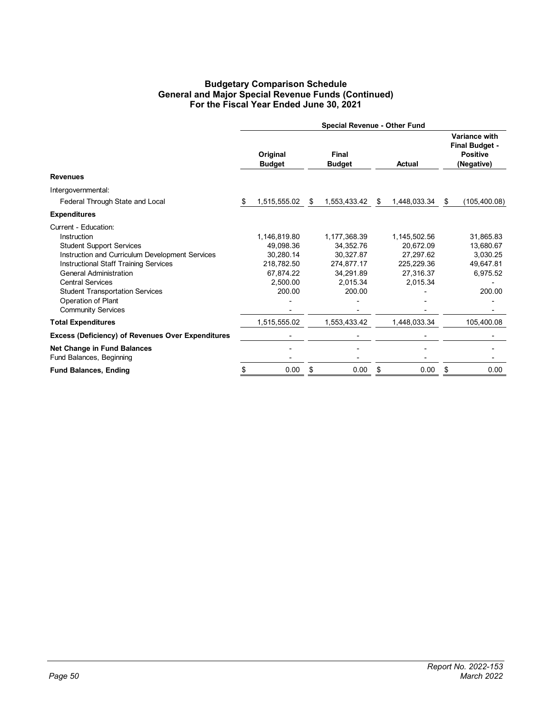#### **Budgetary Comparison Schedule General and Major Special Revenue Funds (Continued) For the Fiscal Year Ended June 30, 2021**

|                                                                                                                                                                                                                                                                                                                                    | <b>Special Revenue - Other Fund</b> |                                                                                         |                        |                                                                                         |        |                                                                               |                                                                         |                                                                       |
|------------------------------------------------------------------------------------------------------------------------------------------------------------------------------------------------------------------------------------------------------------------------------------------------------------------------------------|-------------------------------------|-----------------------------------------------------------------------------------------|------------------------|-----------------------------------------------------------------------------------------|--------|-------------------------------------------------------------------------------|-------------------------------------------------------------------------|-----------------------------------------------------------------------|
|                                                                                                                                                                                                                                                                                                                                    | Original<br><b>Budget</b>           |                                                                                         | Final<br><b>Budget</b> |                                                                                         | Actual |                                                                               | Variance with<br><b>Final Budget -</b><br><b>Positive</b><br>(Negative) |                                                                       |
| <b>Revenues</b>                                                                                                                                                                                                                                                                                                                    |                                     |                                                                                         |                        |                                                                                         |        |                                                                               |                                                                         |                                                                       |
| Intergovernmental:                                                                                                                                                                                                                                                                                                                 |                                     |                                                                                         |                        |                                                                                         |        |                                                                               |                                                                         |                                                                       |
| Federal Through State and Local                                                                                                                                                                                                                                                                                                    |                                     | 1,515,555.02                                                                            | S                      | 1,553,433.42                                                                            | \$     | 1,448,033.34                                                                  | \$                                                                      | (105, 400.08)                                                         |
| <b>Expenditures</b>                                                                                                                                                                                                                                                                                                                |                                     |                                                                                         |                        |                                                                                         |        |                                                                               |                                                                         |                                                                       |
| Current - Education:<br>Instruction<br><b>Student Support Services</b><br>Instruction and Curriculum Development Services<br><b>Instructional Staff Training Services</b><br><b>General Administration</b><br><b>Central Services</b><br><b>Student Transportation Services</b><br>Operation of Plant<br><b>Community Services</b> |                                     | 1,146,819.80<br>49.098.36<br>30,280.14<br>218,782.50<br>67.874.22<br>2,500.00<br>200.00 |                        | 1,177,368.39<br>34.352.76<br>30.327.87<br>274,877.17<br>34.291.89<br>2,015.34<br>200.00 |        | 1,145,502.56<br>20.672.09<br>27.297.62<br>225,229.36<br>27.316.37<br>2,015.34 |                                                                         | 31,865.83<br>13,680.67<br>3.030.25<br>49,647.81<br>6,975.52<br>200.00 |
| <b>Total Expenditures</b>                                                                                                                                                                                                                                                                                                          |                                     | 1,515,555.02                                                                            |                        | 1,553,433.42                                                                            |        | 1,448,033.34                                                                  |                                                                         | 105,400.08                                                            |
| <b>Excess (Deficiency) of Revenues Over Expenditures</b>                                                                                                                                                                                                                                                                           |                                     |                                                                                         |                        |                                                                                         |        |                                                                               |                                                                         |                                                                       |
| <b>Net Change in Fund Balances</b><br>Fund Balances, Beginning                                                                                                                                                                                                                                                                     |                                     |                                                                                         |                        |                                                                                         |        |                                                                               |                                                                         |                                                                       |
| <b>Fund Balances, Ending</b>                                                                                                                                                                                                                                                                                                       | \$                                  | 0.00                                                                                    | \$                     | 0.00                                                                                    | \$     | 0.00                                                                          | \$                                                                      | 0.00                                                                  |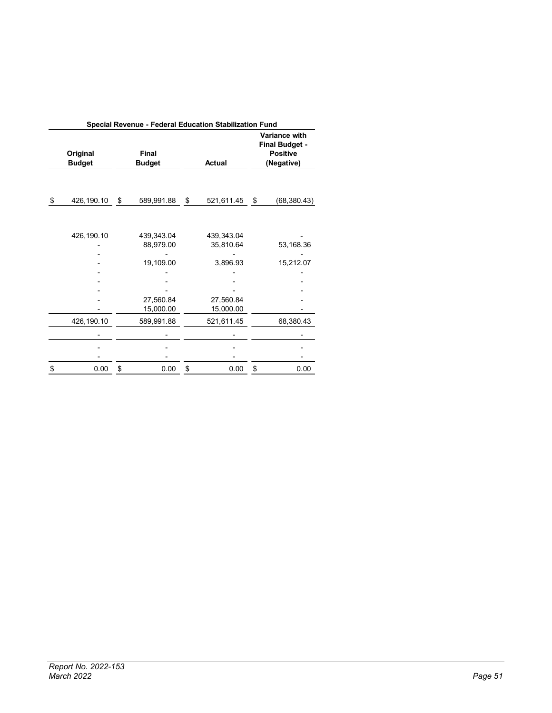| Special Revenue - Federal Education Stabilization Fund |            |    |                               |    |                         |                                                                                |              |  |
|--------------------------------------------------------|------------|----|-------------------------------|----|-------------------------|--------------------------------------------------------------------------------|--------------|--|
| Original<br><b>Budget</b>                              |            |    | <b>Final</b><br><b>Budget</b> |    | <b>Actual</b>           | <b>Variance with</b><br><b>Final Budget -</b><br><b>Positive</b><br>(Negative) |              |  |
| \$                                                     | 426,190.10 | \$ | 589,991.88                    | \$ | 521,611.45              | \$                                                                             | (68, 380.43) |  |
|                                                        | 426,190.10 |    | 439,343.04<br>88,979.00       |    | 439,343.04<br>35,810.64 |                                                                                | 53,168.36    |  |
|                                                        |            |    | 19,109.00                     |    | 3,896.93                |                                                                                | 15,212.07    |  |
|                                                        |            |    |                               |    |                         |                                                                                |              |  |
|                                                        |            |    | 27,560.84<br>15,000.00        |    | 27,560.84<br>15,000.00  |                                                                                |              |  |
|                                                        | 426,190.10 |    | 589,991.88                    |    | 521,611.45              |                                                                                | 68,380.43    |  |
|                                                        |            |    |                               |    |                         |                                                                                |              |  |
|                                                        |            |    |                               |    |                         |                                                                                |              |  |
| \$                                                     | 0.00       | \$ | 0.00                          | \$ | 0.00                    | \$                                                                             | 0.00         |  |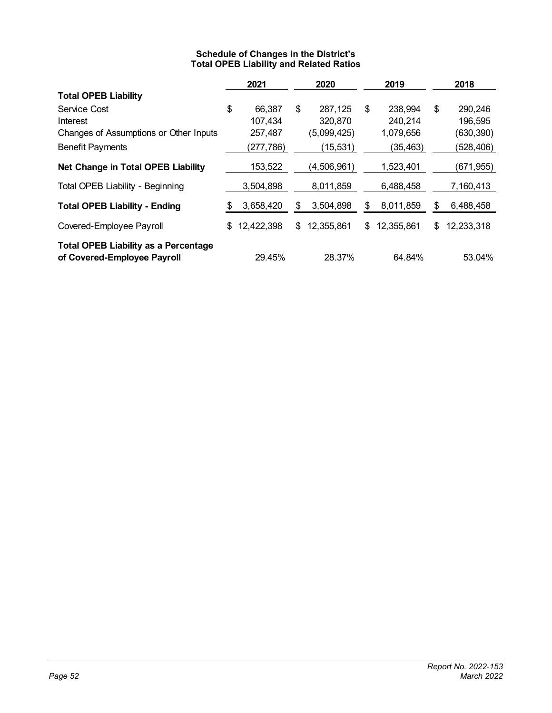#### **Schedule of Changes in the District's Total OPEB Liability and Related Ratios**

<span id="page-57-0"></span>

|                                                                            | 2021             | 2020             | 2019             | 2018             |
|----------------------------------------------------------------------------|------------------|------------------|------------------|------------------|
| <b>Total OPEB Liability</b>                                                |                  |                  |                  |                  |
| Service Cost                                                               | \$<br>66,387     | \$<br>287,125    | \$<br>238,994    | \$<br>290,246    |
| Interest                                                                   | 107,434          | 320,870          | 240,214          | 196,595          |
| Changes of Assumptions or Other Inputs                                     | 257,487          | (5,099,425)      | 1,079,656        | (630,390)        |
| <b>Benefit Payments</b>                                                    | (277, 786)       | (15,531)         | (35, 463)        | (528,406)        |
| Net Change in Total OPEB Liability                                         | 153,522          | (4,506,961)      | 1,523,401        | (671,955)        |
| Total OPEB Liability - Beginning                                           | 3,504,898        | 8,011,859        | 6,488,458        | 7,160,413        |
| <b>Total OPEB Liability - Ending</b>                                       | \$<br>3,658,420  | \$<br>3,504,898  | \$<br>8,011,859  | \$<br>6,488,458  |
| Covered-Employee Payroll                                                   | \$<br>12,422,398 | \$<br>12,355,861 | \$<br>12,355,861 | \$<br>12,233,318 |
| <b>Total OPEB Liability as a Percentage</b><br>of Covered-Employee Payroll | 29.45%           | 28.37%           | 64.84%           | 53.04%           |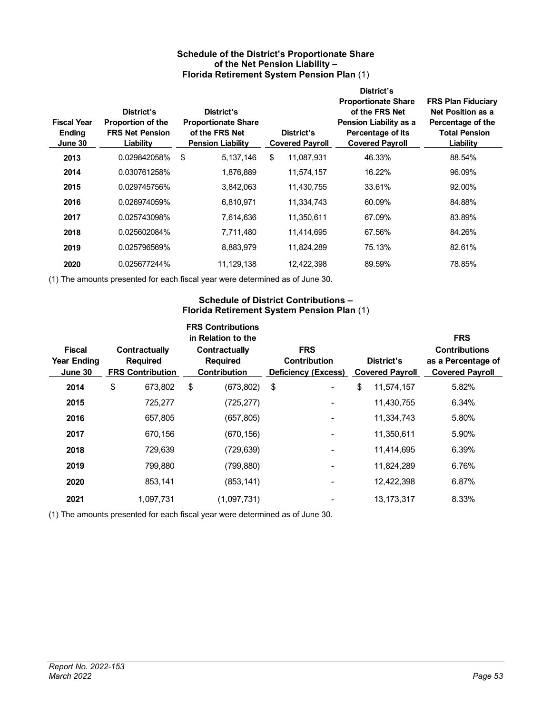#### **Schedule of the District's Proportionate Share of the Net Pension Liability – Florida Retirement System Pension Plan** (1)

<span id="page-58-0"></span>

| <b>Fiscal Year</b><br><b>Ending</b><br>June 30 | District's<br><b>Proportion of the</b><br><b>FRS Net Pension</b><br>Liability | District's<br><b>Proportionate Share</b><br>of the FRS Net<br><b>Pension Liability</b> | District's<br><b>Covered Payroll</b> | District's<br><b>Proportionate Share</b><br>of the FRS Net<br>Pension Liability as a<br>Percentage of its<br><b>Covered Payroll</b> | <b>FRS Plan Fiduciary</b><br>Net Position as a<br>Percentage of the<br><b>Total Pension</b><br>Liability |
|------------------------------------------------|-------------------------------------------------------------------------------|----------------------------------------------------------------------------------------|--------------------------------------|-------------------------------------------------------------------------------------------------------------------------------------|----------------------------------------------------------------------------------------------------------|
| 2013                                           | 0.029842058%                                                                  | \$<br>5, 137, 146                                                                      | \$<br>11,087,931                     | 46.33%                                                                                                                              | 88.54%                                                                                                   |
| 2014                                           | 0.030761258%                                                                  | 1,876,889                                                                              | 11,574,157                           | 16.22%                                                                                                                              | 96.09%                                                                                                   |
| 2015                                           | 0.029745756%                                                                  | 3,842,063                                                                              | 11,430,755                           | 33.61%                                                                                                                              | 92.00%                                                                                                   |
| 2016                                           | 0.026974059%                                                                  | 6,810,971                                                                              | 11,334,743                           | 60.09%                                                                                                                              | 84.88%                                                                                                   |
| 2017                                           | 0.025743098%                                                                  | 7,614,636                                                                              | 11,350,611                           | 67.09%                                                                                                                              | 83.89%                                                                                                   |
| 2018                                           | 0.025602084%                                                                  | 7,711,480                                                                              | 11.414.695                           | 67.56%                                                                                                                              | 84.26%                                                                                                   |
| 2019                                           | 0.025796569%                                                                  | 8,883,979                                                                              | 11,824,289                           | 75.13%                                                                                                                              | 82.61%                                                                                                   |
| 2020                                           | 0.025677244%                                                                  | 11.129.138                                                                             | 12.422.398                           | 89.59%                                                                                                                              | 78.85%                                                                                                   |

(1) The amounts presented for each fiscal year were determined as of June 30.

#### **Schedule of District Contributions – Florida Retirement System Pension Plan** (1)

| <b>Fiscal</b><br><b>Year Ending</b><br>June 30 | Contractually<br><b>Required</b><br><b>FRS Contribution</b> | <b>FRS Contributions</b><br>in Relation to the<br>Contractually<br><b>Required</b><br><b>Contribution</b> | <b>FRS</b><br><b>Contribution</b><br><b>Deficiency (Excess)</b> | District's<br><b>Covered Payroll</b> | <b>FRS</b><br><b>Contributions</b><br>as a Percentage of<br><b>Covered Payroll</b> |  |
|------------------------------------------------|-------------------------------------------------------------|-----------------------------------------------------------------------------------------------------------|-----------------------------------------------------------------|--------------------------------------|------------------------------------------------------------------------------------|--|
| 2014                                           | \$<br>673,802                                               | \$<br>(673, 802)                                                                                          | \$                                                              | \$<br>11,574,157                     | 5.82%                                                                              |  |
| 2015                                           | 725,277                                                     | (725, 277)                                                                                                |                                                                 | 11,430,755                           | 6.34%                                                                              |  |
| 2016                                           | 657,805                                                     | (657, 805)                                                                                                |                                                                 | 11,334,743                           | 5.80%                                                                              |  |
| 2017                                           | 670,156                                                     | (670, 156)                                                                                                |                                                                 | 11,350,611                           | 5.90%                                                                              |  |
| 2018                                           | 729,639                                                     | (729, 639)                                                                                                |                                                                 | 11,414,695                           | 6.39%                                                                              |  |
| 2019                                           | 799,880                                                     | (799, 880)                                                                                                |                                                                 | 11,824,289                           | 6.76%                                                                              |  |
| 2020                                           | 853,141                                                     | (853, 141)                                                                                                |                                                                 | 12,422,398                           | 6.87%                                                                              |  |
| 2021                                           | 1,097,731                                                   | (1,097,731)                                                                                               |                                                                 | 13, 173, 317                         | 8.33%                                                                              |  |
|                                                |                                                             |                                                                                                           |                                                                 |                                      |                                                                                    |  |

(1) The amounts presented for each fiscal year were determined as of June 30.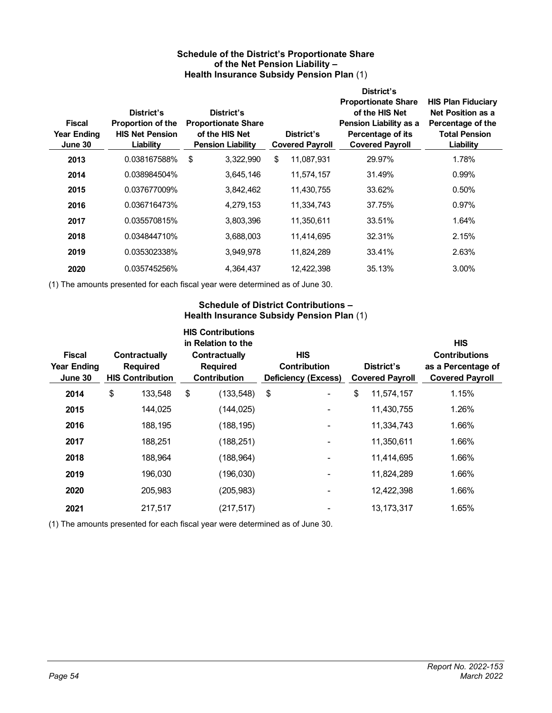#### **Schedule of the District's Proportionate Share of the Net Pension Liability – Health Insurance Subsidy Pension Plan** (1)

<span id="page-59-0"></span>

| <b>Fiscal</b><br><b>Year Ending</b><br>June 30 | District's<br>Proportion of the<br><b>HIS Net Pension</b><br>Liability | District's<br><b>Proportionate Share</b><br>of the HIS Net<br><b>Pension Liability</b> | District's<br><b>Covered Payroll</b> | District's<br><b>Proportionate Share</b><br>of the HIS Net<br>Pension Liability as a<br>Percentage of its<br><b>Covered Payroll</b> | <b>HIS Plan Fiduciary</b><br><b>Net Position as a</b><br>Percentage of the<br><b>Total Pension</b><br>Liability |
|------------------------------------------------|------------------------------------------------------------------------|----------------------------------------------------------------------------------------|--------------------------------------|-------------------------------------------------------------------------------------------------------------------------------------|-----------------------------------------------------------------------------------------------------------------|
| 2013                                           | 0.038167588%                                                           | 3,322,990<br>\$                                                                        | 11,087,931<br>\$                     | 29.97%                                                                                                                              | 1.78%                                                                                                           |
| 2014                                           | 0.038984504%                                                           | 3,645,146                                                                              | 11,574,157                           | 31.49%                                                                                                                              | 0.99%                                                                                                           |
| 2015                                           | 0.037677009%                                                           | 3,842,462                                                                              | 11,430,755                           | 33.62%                                                                                                                              | 0.50%                                                                                                           |
| 2016                                           | 0.036716473%                                                           | 4,279,153                                                                              | 11,334,743                           | 37.75%                                                                                                                              | $0.97\%$                                                                                                        |
| 2017                                           | 0.035570815%                                                           | 3,803,396                                                                              | 11,350,611                           | 33.51%                                                                                                                              | 1.64%                                                                                                           |
| 2018                                           | 0.034844710%                                                           | 3,688,003                                                                              | 11,414,695                           | 32.31%                                                                                                                              | 2.15%                                                                                                           |
| 2019                                           | 0.035302338%                                                           | 3,949,978                                                                              | 11,824,289                           | 33.41%                                                                                                                              | 2.63%                                                                                                           |
| 2020                                           | 0.035745256%                                                           | 4,364,437                                                                              | 12,422,398                           | 35.13%                                                                                                                              | 3.00%                                                                                                           |

(1) The amounts presented for each fiscal year were determined as of June 30.

#### **Schedule of District Contributions – Health Insurance Subsidy Pension Plan** (1)

| <b>Fiscal</b><br><b>Year Ending</b><br>June 30 | Contractually<br><b>Required</b><br><b>HIS Contribution</b> | <b>HIS Contributions</b><br>in Relation to the<br>Contractually<br><b>Required</b><br><b>Contribution</b> | <b>HIS</b><br><b>Contribution</b><br><b>Deficiency (Excess)</b> | District's<br><b>Covered Payroll</b> | <b>HIS</b><br><b>Contributions</b><br>as a Percentage of<br><b>Covered Payroll</b> |
|------------------------------------------------|-------------------------------------------------------------|-----------------------------------------------------------------------------------------------------------|-----------------------------------------------------------------|--------------------------------------|------------------------------------------------------------------------------------|
| 2014                                           | \$<br>133,548                                               | \$<br>(133, 548)                                                                                          | \$<br>۰                                                         | \$<br>11,574,157                     | 1.15%                                                                              |
| 2015                                           | 144,025                                                     | (144, 025)                                                                                                |                                                                 | 11,430,755                           | 1.26%                                                                              |
| 2016                                           | 188,195                                                     | (188,195)                                                                                                 |                                                                 | 11,334,743                           | 1.66%                                                                              |
| 2017                                           | 188,251                                                     | (188,251)                                                                                                 |                                                                 | 11,350,611                           | 1.66%                                                                              |
| 2018                                           | 188,964                                                     | (188, 964)                                                                                                |                                                                 | 11,414,695                           | 1.66%                                                                              |
| 2019                                           | 196,030                                                     | (196, 030)                                                                                                |                                                                 | 11,824,289                           | 1.66%                                                                              |
| 2020                                           | 205,983                                                     | (205, 983)                                                                                                | ۰                                                               | 12,422,398                           | 1.66%                                                                              |
| 2021                                           | 217.517                                                     | (217, 517)                                                                                                |                                                                 | 13, 173, 317                         | 1.65%                                                                              |

(1) The amounts presented for each fiscal year were determined as of June 30.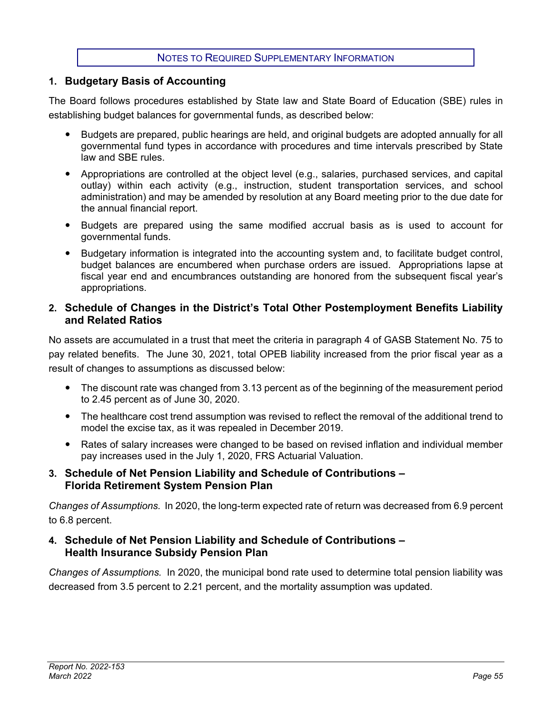#### NOTES TO REQUIRED SUPPLEMENTARY INFORMATION

#### <span id="page-60-0"></span>**1. Budgetary Basis of Accounting**

The Board follows procedures established by State law and State Board of Education (SBE) rules in establishing budget balances for governmental funds, as described below:

- Budgets are prepared, public hearings are held, and original budgets are adopted annually for all governmental fund types in accordance with procedures and time intervals prescribed by State law and SBE rules.
- Appropriations are controlled at the object level (e.g., salaries, purchased services, and capital outlay) within each activity (e.g., instruction, student transportation services, and school administration) and may be amended by resolution at any Board meeting prior to the due date for the annual financial report.
- Budgets are prepared using the same modified accrual basis as is used to account for governmental funds.
- Budgetary information is integrated into the accounting system and, to facilitate budget control, budget balances are encumbered when purchase orders are issued. Appropriations lapse at fiscal year end and encumbrances outstanding are honored from the subsequent fiscal year's appropriations.

#### **2. Schedule of Changes in the District's Total Other Postemployment Benefits Liability and Related Ratios**

No assets are accumulated in a trust that meet the criteria in paragraph 4 of GASB Statement No. 75 to pay related benefits. The June 30, 2021, total OPEB liability increased from the prior fiscal year as a result of changes to assumptions as discussed below:

- The discount rate was changed from 3.13 percent as of the beginning of the measurement period to 2.45 percent as of June 30, 2020.
- The healthcare cost trend assumption was revised to reflect the removal of the additional trend to model the excise tax, as it was repealed in December 2019.
- Rates of salary increases were changed to be based on revised inflation and individual member pay increases used in the July 1, 2020, FRS Actuarial Valuation.
- **3. Schedule of Net Pension Liability and Schedule of Contributions Florida Retirement System Pension Plan**

*Changes of Assumptions.* In 2020, the long-term expected rate of return was decreased from 6.9 percent to 6.8 percent.

#### **4. Schedule of Net Pension Liability and Schedule of Contributions – Health Insurance Subsidy Pension Plan**

*Changes of Assumptions.* In 2020, the municipal bond rate used to determine total pension liability was decreased from 3.5 percent to 2.21 percent, and the mortality assumption was updated.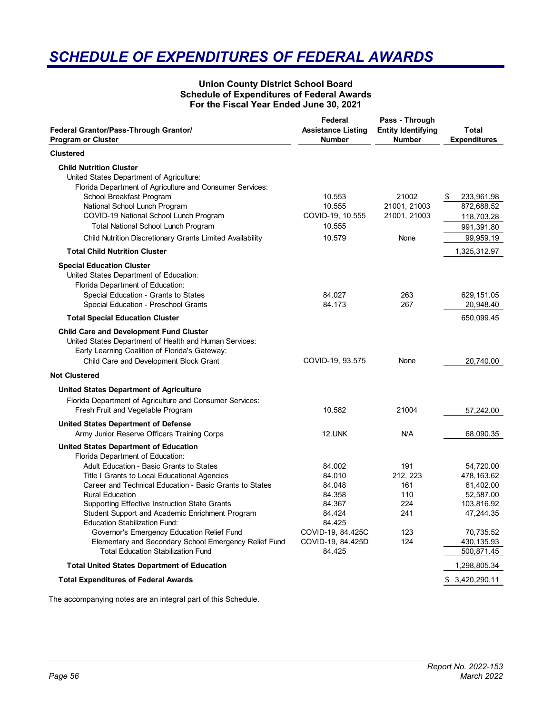## <span id="page-61-0"></span>*SCHEDULE OF EXPENDITURES OF FEDERAL AWARDS*

#### **Union County District School Board Schedule of Expenditures of Federal Awards For the Fiscal Year Ended June 30, 2021**

| Federal Grantor/Pass-Through Grantor/<br><b>Program or Cluster</b>                                                                                                                                   | Federal<br><b>Assistance Listing</b><br><b>Number</b> | Pass - Through<br><b>Entity Identifying</b><br><b>Number</b> | <b>Total</b><br><b>Expenditures</b> |
|------------------------------------------------------------------------------------------------------------------------------------------------------------------------------------------------------|-------------------------------------------------------|--------------------------------------------------------------|-------------------------------------|
| <b>Clustered</b>                                                                                                                                                                                     |                                                       |                                                              |                                     |
| <b>Child Nutrition Cluster</b><br>United States Department of Agriculture:<br>Florida Department of Agriculture and Consumer Services:                                                               |                                                       |                                                              |                                     |
| School Breakfast Program                                                                                                                                                                             | 10.553                                                | 21002                                                        | 233,961.98<br>\$                    |
| National School Lunch Program                                                                                                                                                                        | 10.555                                                | 21001, 21003                                                 | 872,688.52                          |
| COVID-19 National School Lunch Program                                                                                                                                                               | COVID-19, 10.555                                      | 21001, 21003                                                 | 118,703.28                          |
| <b>Total National School Lunch Program</b>                                                                                                                                                           | 10.555                                                |                                                              | 991,391.80                          |
| Child Nutrition Discretionary Grants Limited Availability                                                                                                                                            | 10.579                                                | None                                                         | 99,959.19                           |
| <b>Total Child Nutrition Cluster</b>                                                                                                                                                                 |                                                       |                                                              | 1,325,312.97                        |
| <b>Special Education Cluster</b><br>United States Department of Education:<br>Florida Department of Education:<br>Special Education - Grants to States                                               | 84.027                                                | 263                                                          | 629,151.05                          |
| Special Education - Preschool Grants                                                                                                                                                                 | 84.173                                                | 267                                                          | 20,948.40                           |
| <b>Total Special Education Cluster</b>                                                                                                                                                               |                                                       |                                                              | 650,099.45                          |
| <b>Child Care and Development Fund Cluster</b><br>United States Department of Health and Human Services:<br>Early Learning Coalition of Florida's Gateway:<br>Child Care and Development Block Grant | COVID-19, 93.575                                      | None                                                         | 20.740.00                           |
| <b>Not Clustered</b>                                                                                                                                                                                 |                                                       |                                                              |                                     |
| <b>United States Department of Agriculture</b>                                                                                                                                                       |                                                       |                                                              |                                     |
| Florida Department of Agriculture and Consumer Services:<br>Fresh Fruit and Vegetable Program                                                                                                        | 10.582                                                | 21004                                                        | 57,242.00                           |
| <b>United States Department of Defense</b>                                                                                                                                                           |                                                       |                                                              |                                     |
| Army Junior Reserve Officers Training Corps                                                                                                                                                          | <b>12.UNK</b>                                         | N/A                                                          | 68,090.35                           |
| <b>United States Department of Education</b><br>Florida Department of Education:                                                                                                                     |                                                       |                                                              |                                     |
| Adult Education - Basic Grants to States                                                                                                                                                             | 84.002                                                | 191                                                          | 54,720.00                           |
| Title I Grants to Local Educational Agencies                                                                                                                                                         | 84.010                                                | 212, 223                                                     | 478, 163.62                         |
| Career and Technical Education - Basic Grants to States                                                                                                                                              | 84.048                                                | 161                                                          | 61,402.00                           |
| <b>Rural Education</b>                                                                                                                                                                               | 84.358                                                | 110                                                          | 52,587.00                           |
| Supporting Effective Instruction State Grants<br>Student Support and Academic Enrichment Program                                                                                                     | 84.367<br>84.424                                      | 224<br>241                                                   | 103,816.92<br>47,244.35             |
| <b>Education Stabilization Fund:</b>                                                                                                                                                                 | 84.425                                                |                                                              |                                     |
| Governor's Emergency Education Relief Fund                                                                                                                                                           | COVID-19, 84.425C                                     | 123                                                          | 70,735.52                           |
| Elementary and Secondary School Emergency Relief Fund                                                                                                                                                | COVID-19, 84.425D                                     | 124                                                          | 430, 135.93                         |
| <b>Total Education Stabilization Fund</b>                                                                                                                                                            | 84.425                                                |                                                              | 500,871.45                          |
| <b>Total United States Department of Education</b>                                                                                                                                                   |                                                       |                                                              | 1,298,805.34                        |
| <b>Total Expenditures of Federal Awards</b>                                                                                                                                                          |                                                       |                                                              | \$3,420,290.11                      |

The accompanying notes are an integral part of this Schedule.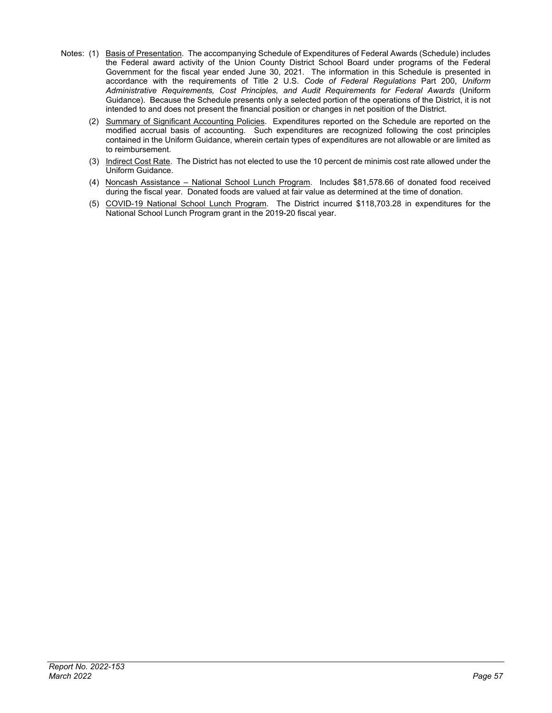- Notes: (1) Basis of Presentation. The accompanying Schedule of Expenditures of Federal Awards (Schedule) includes the Federal award activity of the Union County District School Board under programs of the Federal Government for the fiscal year ended June 30, 2021. The information in this Schedule is presented in accordance with the requirements of Title 2 U.S. *Code of Federal Regulations* Part 200, *Uniform Administrative Requirements, Cost Principles, and Audit Requirements for Federal Awards* (Uniform Guidance). Because the Schedule presents only a selected portion of the operations of the District, it is not intended to and does not present the financial position or changes in net position of the District.
	- (2) Summary of Significant Accounting Policies. Expenditures reported on the Schedule are reported on the modified accrual basis of accounting. Such expenditures are recognized following the cost principles contained in the Uniform Guidance, wherein certain types of expenditures are not allowable or are limited as to reimbursement.
	- (3) Indirect Cost Rate. The District has not elected to use the 10 percent de minimis cost rate allowed under the Uniform Guidance.
	- (4) Noncash Assistance National School Lunch Program. Includes \$81,578.66 of donated food received during the fiscal year. Donated foods are valued at fair value as determined at the time of donation.
	- (5) COVID-19 National School Lunch Program. The District incurred \$118,703.28 in expenditures for the National School Lunch Program grant in the 2019-20 fiscal year.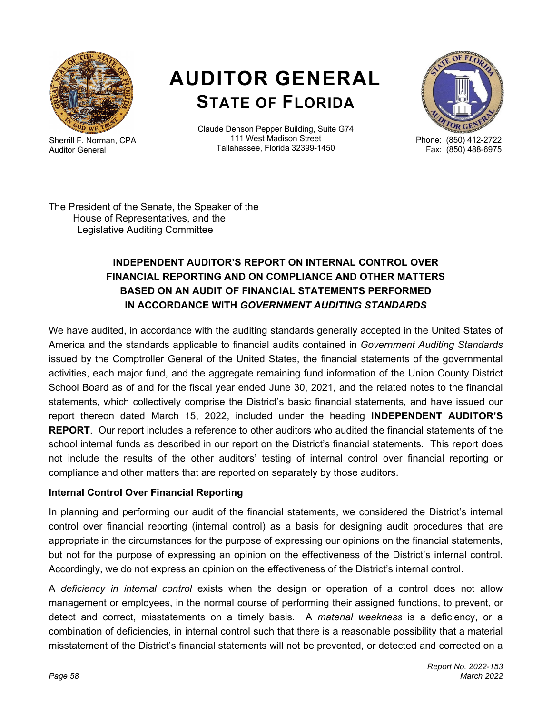<span id="page-63-0"></span>

Sherrill F. Norman, CPA Auditor General

# **AUDITOR GENERAL STATE OF FLORIDA**

Claude Denson Pepper Building, Suite G74 111 West Madison Street Tallahassee, Florida 32399-1450



Phone: (850) 412-2722 Fax: (850) 488-6975

The President of the Senate, the Speaker of the House of Representatives, and the Legislative Auditing Committee

## **INDEPENDENT AUDITOR'S REPORT ON INTERNAL CONTROL OVER FINANCIAL REPORTING AND ON COMPLIANCE AND OTHER MATTERS BASED ON AN AUDIT OF FINANCIAL STATEMENTS PERFORMED IN ACCORDANCE WITH** *GOVERNMENT AUDITING STANDARDS*

We have audited, in accordance with the auditing standards generally accepted in the United States of America and the standards applicable to financial audits contained in *Government Auditing Standards* issued by the Comptroller General of the United States, the financial statements of the governmental activities, each major fund, and the aggregate remaining fund information of the Union County District School Board as of and for the fiscal year ended June 30, 2021, and the related notes to the financial statements, which collectively comprise the District's basic financial statements, and have issued our report thereon dated March 15, 2022, included under the heading **INDEPENDENT AUDITOR'S REPORT**. Our report includes a reference to other auditors who audited the financial statements of the school internal funds as described in our report on the District's financial statements. This report does not include the results of the other auditors' testing of internal control over financial reporting or compliance and other matters that are reported on separately by those auditors.

#### **Internal Control Over Financial Reporting**

In planning and performing our audit of the financial statements, we considered the District's internal control over financial reporting (internal control) as a basis for designing audit procedures that are appropriate in the circumstances for the purpose of expressing our opinions on the financial statements, but not for the purpose of expressing an opinion on the effectiveness of the District's internal control. Accordingly, we do not express an opinion on the effectiveness of the District's internal control.

A *deficiency in internal control* exists when the design or operation of a control does not allow management or employees, in the normal course of performing their assigned functions, to prevent, or detect and correct, misstatements on a timely basis. A *material weakness* is a deficiency, or a combination of deficiencies, in internal control such that there is a reasonable possibility that a material misstatement of the District's financial statements will not be prevented, or detected and corrected on a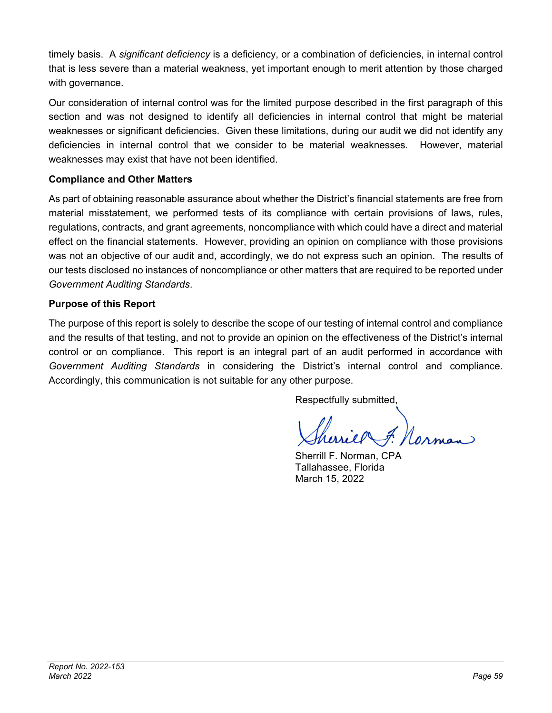timely basis. A *significant deficiency* is a deficiency, or a combination of deficiencies, in internal control that is less severe than a material weakness, yet important enough to merit attention by those charged with governance.

Our consideration of internal control was for the limited purpose described in the first paragraph of this section and was not designed to identify all deficiencies in internal control that might be material weaknesses or significant deficiencies. Given these limitations, during our audit we did not identify any deficiencies in internal control that we consider to be material weaknesses. However, material weaknesses may exist that have not been identified.

#### **Compliance and Other Matters**

As part of obtaining reasonable assurance about whether the District's financial statements are free from material misstatement, we performed tests of its compliance with certain provisions of laws, rules, regulations, contracts, and grant agreements, noncompliance with which could have a direct and material effect on the financial statements. However, providing an opinion on compliance with those provisions was not an objective of our audit and, accordingly, we do not express such an opinion. The results of our tests disclosed no instances of noncompliance or other matters that are required to be reported under *Government Auditing Standards*.

#### **Purpose of this Report**

The purpose of this report is solely to describe the scope of our testing of internal control and compliance and the results of that testing, and not to provide an opinion on the effectiveness of the District's internal control or on compliance. This report is an integral part of an audit performed in accordance with *Government Auditing Standards* in considering the District's internal control and compliance. Accordingly, this communication is not suitable for any other purpose.

Respectfully submitted,

Sherrill F. Norman, CPA Tallahassee, Florida March 15, 2022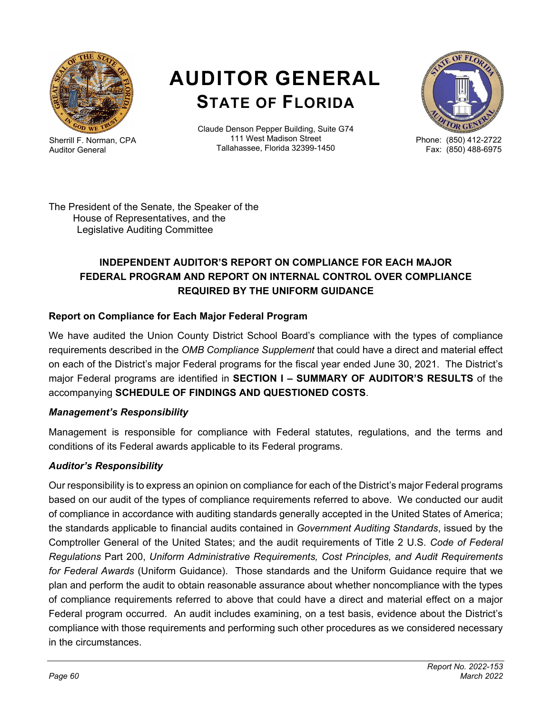<span id="page-65-0"></span>

Sherrill F. Norman, CPA Auditor General

# **AUDITOR GENERAL STATE OF FLORIDA**

Claude Denson Pepper Building, Suite G74 111 West Madison Street Tallahassee, Florida 32399-1450



Phone: (850) 412-2722 Fax: (850) 488-6975

The President of the Senate, the Speaker of the House of Representatives, and the Legislative Auditing Committee

## **INDEPENDENT AUDITOR'S REPORT ON COMPLIANCE FOR EACH MAJOR FEDERAL PROGRAM AND REPORT ON INTERNAL CONTROL OVER COMPLIANCE REQUIRED BY THE UNIFORM GUIDANCE**

#### **Report on Compliance for Each Major Federal Program**

We have audited the Union County District School Board's compliance with the types of compliance requirements described in the *OMB Compliance Supplement* that could have a direct and material effect on each of the District's major Federal programs for the fiscal year ended June 30, 2021. The District's major Federal programs are identified in **SECTION I – SUMMARY OF AUDITOR'S RESULTS** of the accompanying **SCHEDULE OF FINDINGS AND QUESTIONED COSTS**.

#### *Management's Responsibility*

Management is responsible for compliance with Federal statutes, regulations, and the terms and conditions of its Federal awards applicable to its Federal programs.

#### *Auditor's Responsibility*

Our responsibility is to express an opinion on compliance for each of the District's major Federal programs based on our audit of the types of compliance requirements referred to above. We conducted our audit of compliance in accordance with auditing standards generally accepted in the United States of America; the standards applicable to financial audits contained in *Government Auditing Standards*, issued by the Comptroller General of the United States; and the audit requirements of Title 2 U.S. *Code of Federal Regulations* Part 200, *Uniform Administrative Requirements, Cost Principles, and Audit Requirements for Federal Awards* (Uniform Guidance). Those standards and the Uniform Guidance require that we plan and perform the audit to obtain reasonable assurance about whether noncompliance with the types of compliance requirements referred to above that could have a direct and material effect on a major Federal program occurred. An audit includes examining, on a test basis, evidence about the District's compliance with those requirements and performing such other procedures as we considered necessary in the circumstances.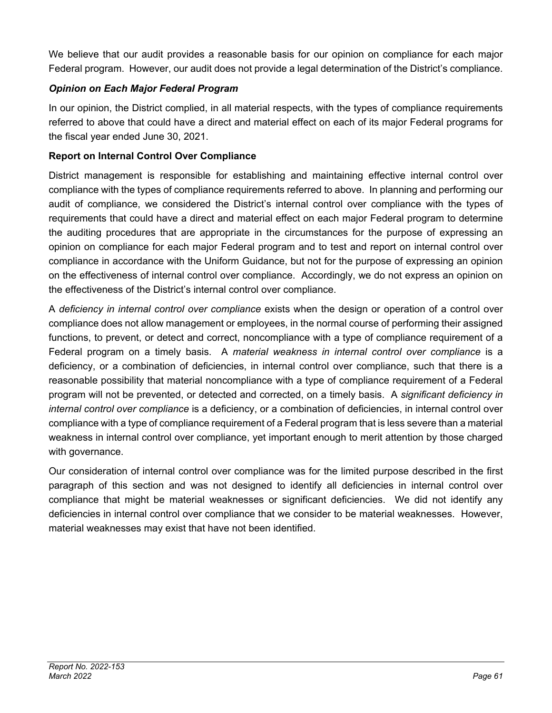We believe that our audit provides a reasonable basis for our opinion on compliance for each major Federal program. However, our audit does not provide a legal determination of the District's compliance.

#### *Opinion on Each Major Federal Program*

In our opinion, the District complied, in all material respects, with the types of compliance requirements referred to above that could have a direct and material effect on each of its major Federal programs for the fiscal year ended June 30, 2021.

#### **Report on Internal Control Over Compliance**

District management is responsible for establishing and maintaining effective internal control over compliance with the types of compliance requirements referred to above. In planning and performing our audit of compliance, we considered the District's internal control over compliance with the types of requirements that could have a direct and material effect on each major Federal program to determine the auditing procedures that are appropriate in the circumstances for the purpose of expressing an opinion on compliance for each major Federal program and to test and report on internal control over compliance in accordance with the Uniform Guidance, but not for the purpose of expressing an opinion on the effectiveness of internal control over compliance. Accordingly, we do not express an opinion on the effectiveness of the District's internal control over compliance.

A *deficiency in internal control over compliance* exists when the design or operation of a control over compliance does not allow management or employees, in the normal course of performing their assigned functions, to prevent, or detect and correct, noncompliance with a type of compliance requirement of a Federal program on a timely basis. A *material weakness in internal control over compliance* is a deficiency, or a combination of deficiencies, in internal control over compliance, such that there is a reasonable possibility that material noncompliance with a type of compliance requirement of a Federal program will not be prevented, or detected and corrected, on a timely basis. A *significant deficiency in internal control over compliance* is a deficiency, or a combination of deficiencies, in internal control over compliance with a type of compliance requirement of a Federal program that is less severe than a material weakness in internal control over compliance, yet important enough to merit attention by those charged with governance.

Our consideration of internal control over compliance was for the limited purpose described in the first paragraph of this section and was not designed to identify all deficiencies in internal control over compliance that might be material weaknesses or significant deficiencies. We did not identify any deficiencies in internal control over compliance that we consider to be material weaknesses. However, material weaknesses may exist that have not been identified.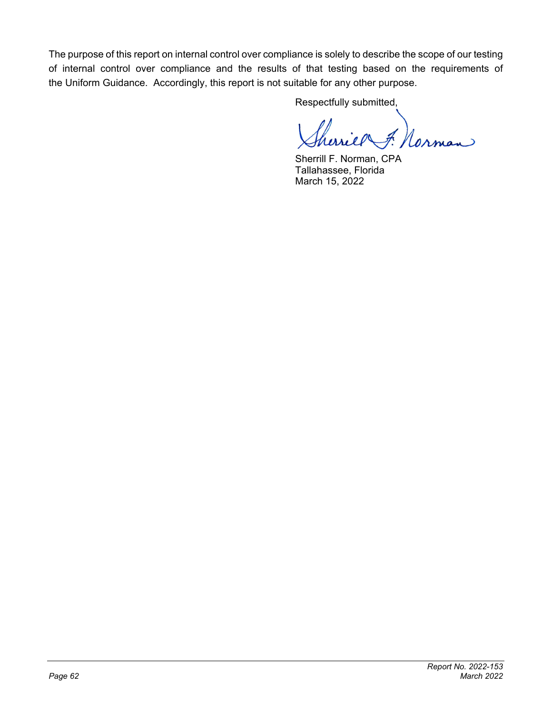The purpose of this report on internal control over compliance is solely to describe the scope of our testing of internal control over compliance and the results of that testing based on the requirements of the Uniform Guidance. Accordingly, this report is not suitable for any other purpose.

Respectfully submitted,

F. Norman

Sherrill F. Norman, CPA Tallahassee, Florida March 15, 2022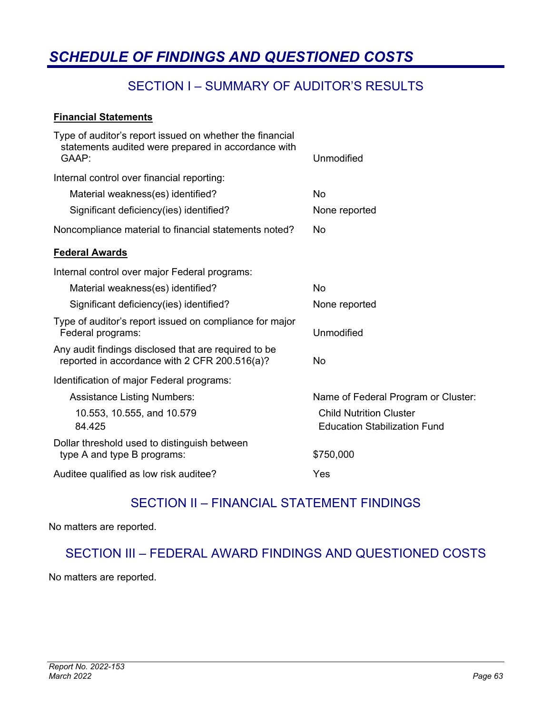## <span id="page-68-0"></span>*SCHEDULE OF FINDINGS AND QUESTIONED COSTS*

## SECTION I – SUMMARY OF AUDITOR'S RESULTS

#### **Financial Statements**

| Type of auditor's report issued on whether the financial<br>statements audited were prepared in accordance with<br>GAAP: | Unmodified                                                            |
|--------------------------------------------------------------------------------------------------------------------------|-----------------------------------------------------------------------|
| Internal control over financial reporting:                                                                               |                                                                       |
| Material weakness(es) identified?                                                                                        | No                                                                    |
| Significant deficiency(ies) identified?                                                                                  | None reported                                                         |
| Noncompliance material to financial statements noted?                                                                    | No                                                                    |
| <b>Federal Awards</b>                                                                                                    |                                                                       |
| Internal control over major Federal programs:                                                                            |                                                                       |
| Material weakness(es) identified?                                                                                        | No                                                                    |
| Significant deficiency(ies) identified?                                                                                  | None reported                                                         |
| Type of auditor's report issued on compliance for major<br>Federal programs:                                             | Unmodified                                                            |
| Any audit findings disclosed that are required to be<br>reported in accordance with 2 CFR 200.516(a)?                    | No                                                                    |
| Identification of major Federal programs:                                                                                |                                                                       |
| <b>Assistance Listing Numbers:</b>                                                                                       | Name of Federal Program or Cluster:                                   |
| 10.553, 10.555, and 10.579<br>84.425                                                                                     | <b>Child Nutrition Cluster</b><br><b>Education Stabilization Fund</b> |
| Dollar threshold used to distinguish between<br>type A and type B programs:                                              | \$750,000                                                             |
| Auditee qualified as low risk auditee?                                                                                   | Yes                                                                   |

## SECTION II – FINANCIAL STATEMENT FINDINGS

No matters are reported.

## SECTION III – FEDERAL AWARD FINDINGS AND QUESTIONED COSTS

No matters are reported.